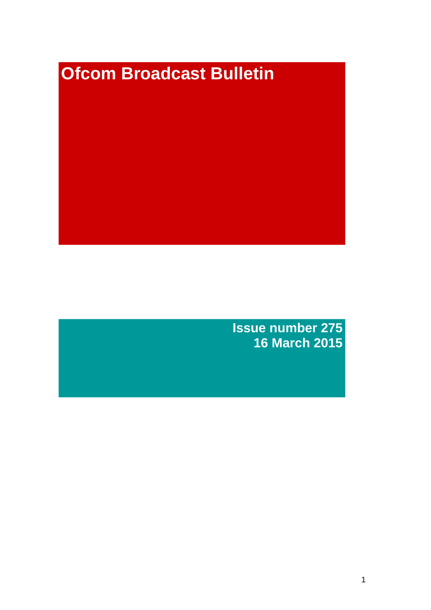# **Ofcom Broadcast Bulletin**

**Issue number 275 16 March 2015**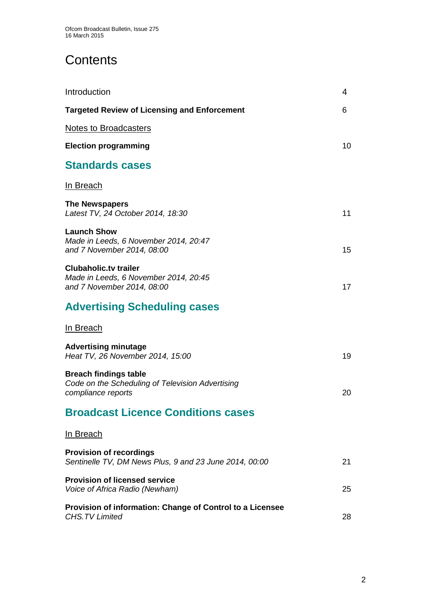# **Contents**

| Introduction                                                                                           | 4  |
|--------------------------------------------------------------------------------------------------------|----|
| <b>Targeted Review of Licensing and Enforcement</b>                                                    | 6  |
| <b>Notes to Broadcasters</b>                                                                           |    |
| <b>Election programming</b>                                                                            | 10 |
| <b>Standards cases</b>                                                                                 |    |
| In Breach                                                                                              |    |
| <b>The Newspapers</b><br>Latest TV, 24 October 2014, 18:30                                             | 11 |
| <b>Launch Show</b><br>Made in Leeds, 6 November 2014, 20:47<br>and 7 November 2014, 08:00              | 15 |
| <b>Clubaholic.tv trailer</b><br>Made in Leeds, 6 November 2014, 20:45<br>and 7 November 2014, 08:00    | 17 |
| <b>Advertising Scheduling cases</b>                                                                    |    |
| <u>In Breach</u>                                                                                       |    |
| <b>Advertising minutage</b><br>Heat TV, 26 November 2014, 15:00                                        | 19 |
| <b>Breach findings table</b><br>Code on the Scheduling of Television Advertising<br>compliance reports | 20 |
| <b>Broadcast Licence Conditions cases</b>                                                              |    |
| <u>In Breach</u>                                                                                       |    |
| <b>Provision of recordings</b><br>Sentinelle TV, DM News Plus, 9 and 23 June 2014, 00:00               | 21 |
| <b>Provision of licensed service</b><br>Voice of Africa Radio (Newham)                                 | 25 |
| Provision of information: Change of Control to a Licensee<br><b>CHS.TV Limited</b>                     | 28 |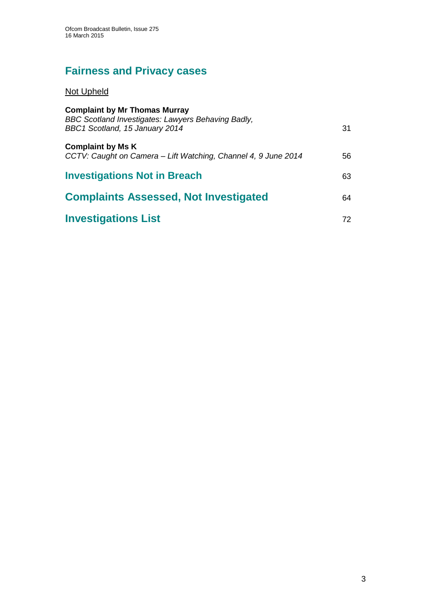# **Fairness and Privacy cases**

## Not Upheld

| <b>Complaint by Mr Thomas Murray</b><br>BBC Scotland Investigates: Lawyers Behaving Badly,<br>BBC1 Scotland, 15 January 2014 | 31  |
|------------------------------------------------------------------------------------------------------------------------------|-----|
| <b>Complaint by Ms K</b><br>CCTV: Caught on Camera - Lift Watching, Channel 4, 9 June 2014                                   | 56  |
| <b>Investigations Not in Breach</b>                                                                                          | 63  |
| <b>Complaints Assessed, Not Investigated</b>                                                                                 | 64. |
| <b>Investigations List</b>                                                                                                   | 72  |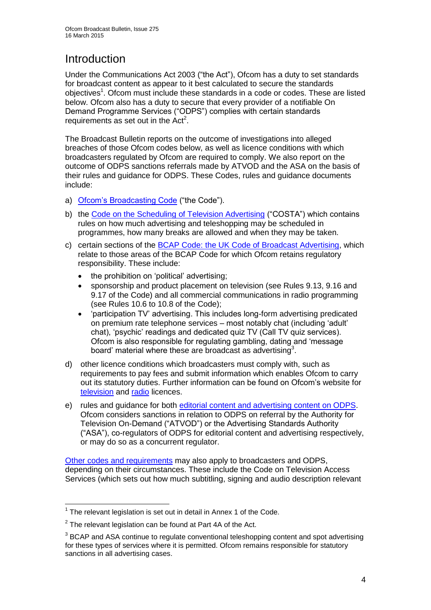# **Introduction**

Under the Communications Act 2003 ("the Act"), Ofcom has a duty to set standards for broadcast content as appear to it best calculated to secure the standards objectives<sup>1</sup>. Ofcom must include these standards in a code or codes. These are listed below. Ofcom also has a duty to secure that every provider of a notifiable On Demand Programme Services ("ODPS") complies with certain standards requirements as set out in the  $Act<sup>2</sup>$ .

The Broadcast Bulletin reports on the outcome of investigations into alleged breaches of those Ofcom codes below, as well as licence conditions with which broadcasters regulated by Ofcom are required to comply. We also report on the outcome of ODPS sanctions referrals made by ATVOD and the ASA on the basis of their rules and guidance for ODPS. These Codes, rules and guidance documents include:

- a) [Ofcom's Broadcasting Code](http://stakeholders.ofcom.org.uk/broadcasting/broadcast-codes/broadcast-code/) ("the Code").
- b) the [Code on the Scheduling of Television Advertising](http://stakeholders.ofcom.org.uk/broadcasting/broadcast-codes/advert-code/) ("COSTA") which contains rules on how much advertising and teleshopping may be scheduled in programmes, how many breaks are allowed and when they may be taken.
- c) certain sections of the [BCAP Code: the UK Code of Broadcast Advertising,](http://www.bcap.org.uk/Advertising-Codes/Broadcast-HTML.aspx) which relate to those areas of the BCAP Code for which Ofcom retains regulatory responsibility. These include:
	- the prohibition on 'political' advertising:
	- sponsorship and product placement on television (see Rules 9.13, 9.16 and 9.17 of the Code) and all commercial communications in radio programming (see Rules 10.6 to 10.8 of the Code);
	- 'participation TV' advertising. This includes long-form advertising predicated on premium rate telephone services – most notably chat (including 'adult' chat), 'psychic' readings and dedicated quiz TV (Call TV quiz services). Ofcom is also responsible for regulating gambling, dating and 'message board' material where these are broadcast as advertising<sup>3</sup>.
- d) other licence conditions which broadcasters must comply with, such as requirements to pay fees and submit information which enables Ofcom to carry out its statutory duties. Further information can be found on Ofcom's website for [television](http://licensing.ofcom.org.uk/tv-broadcast-licences/) and [radio](http://licensing.ofcom.org.uk/radio-broadcast-licensing/) licences.
- e) rules and guidance for both [editorial content and advertising content on ODPS.](http://www.atvod.co.uk/uploads/files/ATVOD_Rules_and_Guidance_Ed_2.0_May_2012.pdf) Ofcom considers sanctions in relation to ODPS on referral by the Authority for Television On-Demand ("ATVOD") or the Advertising Standards Authority ("ASA"), co-regulators of ODPS for editorial content and advertising respectively, or may do so as a concurrent regulator.

[Other codes and requirements](http://stakeholders.ofcom.org.uk/broadcasting/broadcast-codes/) may also apply to broadcasters and ODPS, depending on their circumstances. These include the Code on Television Access Services (which sets out how much subtitling, signing and audio description relevant

<sup>1</sup>  $1$  The relevant legislation is set out in detail in Annex 1 of the Code.

 $2$  The relevant legislation can be found at Part 4A of the Act.

 $3$  BCAP and ASA continue to regulate conventional teleshopping content and spot advertising for these types of services where it is permitted. Ofcom remains responsible for statutory sanctions in all advertising cases.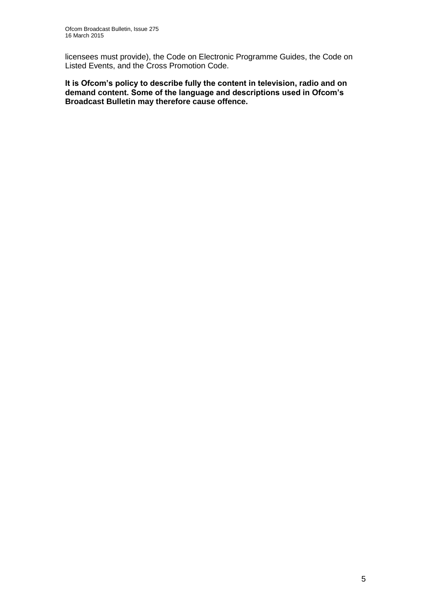licensees must provide), the Code on Electronic Programme Guides, the Code on Listed Events, and the Cross Promotion Code.

**It is Ofcom's policy to describe fully the content in television, radio and on demand content. Some of the language and descriptions used in Ofcom's Broadcast Bulletin may therefore cause offence.**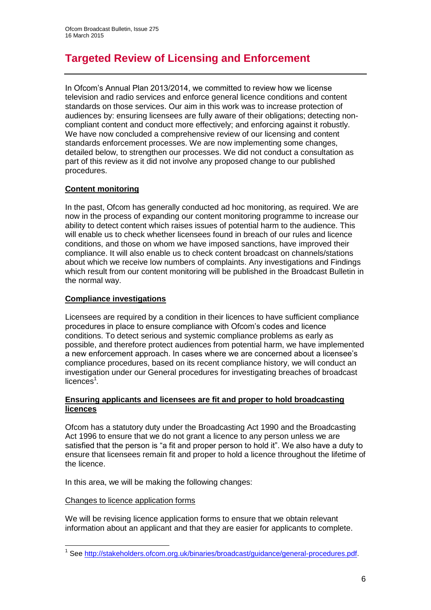# **Targeted Review of Licensing and Enforcement**

In Ofcom's Annual Plan 2013/2014, we committed to review how we license television and radio services and enforce general licence conditions and content standards on those services. Our aim in this work was to increase protection of audiences by: ensuring licensees are fully aware of their obligations; detecting noncompliant content and conduct more effectively; and enforcing against it robustly. We have now concluded a comprehensive review of our licensing and content standards enforcement processes. We are now implementing some changes, detailed below, to strengthen our processes. We did not conduct a consultation as part of this review as it did not involve any proposed change to our published procedures.

## **Content monitoring**

In the past, Ofcom has generally conducted ad hoc monitoring, as required. We are now in the process of expanding our content monitoring programme to increase our ability to detect content which raises issues of potential harm to the audience. This will enable us to check whether licensees found in breach of our rules and licence conditions, and those on whom we have imposed sanctions, have improved their compliance. It will also enable us to check content broadcast on channels/stations about which we receive low numbers of complaints. Any investigations and Findings which result from our content monitoring will be published in the Broadcast Bulletin in the normal way.

## **Compliance investigations**

Licensees are required by a condition in their licences to have sufficient compliance procedures in place to ensure compliance with Ofcom's codes and licence conditions. To detect serious and systemic compliance problems as early as possible, and therefore protect audiences from potential harm, we have implemented a new enforcement approach. In cases where we are concerned about a licensee's compliance procedures, based on its recent compliance history, we will conduct an investigation under our General procedures for investigating breaches of broadcast licences<sup>1</sup>.

## **Ensuring applicants and licensees are fit and proper to hold broadcasting licences**

Ofcom has a statutory duty under the Broadcasting Act 1990 and the Broadcasting Act 1996 to ensure that we do not grant a licence to any person unless we are satisfied that the person is "a fit and proper person to hold it". We also have a duty to ensure that licensees remain fit and proper to hold a licence throughout the lifetime of the licence.

In this area, we will be making the following changes:

## Changes to licence application forms

We will be revising licence application forms to ensure that we obtain relevant information about an applicant and that they are easier for applicants to complete.

<sup>1</sup> <sup>1</sup> See [http://stakeholders.ofcom.org.uk/binaries/broadcast/guidance/general-procedures.pdf.](http://stakeholders.ofcom.org.uk/binaries/broadcast/guidance/general-procedures.pdf)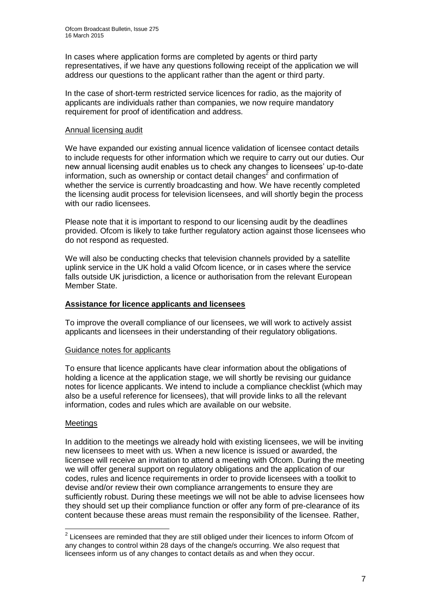In cases where application forms are completed by agents or third party representatives, if we have any questions following receipt of the application we will address our questions to the applicant rather than the agent or third party.

In the case of short-term restricted service licences for radio, as the majority of applicants are individuals rather than companies, we now require mandatory requirement for proof of identification and address.

## Annual licensing audit

We have expanded our existing annual licence validation of licensee contact details to include requests for other information which we require to carry out our duties. Our new annual licensing audit enables us to check any changes to licensees' up-to-date information, such as ownership or contact detail changes<sup>2</sup> and confirmation of whether the service is currently broadcasting and how. We have recently completed the licensing audit process for television licensees, and will shortly begin the process with our radio licensees.

Please note that it is important to respond to our licensing audit by the deadlines provided. Ofcom is likely to take further regulatory action against those licensees who do not respond as requested.

We will also be conducting checks that television channels provided by a satellite uplink service in the UK hold a valid Ofcom licence, or in cases where the service falls outside UK jurisdiction, a licence or authorisation from the relevant European Member State.

#### **Assistance for licence applicants and licensees**

To improve the overall compliance of our licensees, we will work to actively assist applicants and licensees in their understanding of their regulatory obligations.

#### Guidance notes for applicants

To ensure that licence applicants have clear information about the obligations of holding a licence at the application stage, we will shortly be revising our guidance notes for licence applicants. We intend to include a compliance checklist (which may also be a useful reference for licensees), that will provide links to all the relevant information, codes and rules which are available on our website.

#### **Meetings**

In addition to the meetings we already hold with existing licensees, we will be inviting new licensees to meet with us. When a new licence is issued or awarded, the licensee will receive an invitation to attend a meeting with Ofcom. During the meeting we will offer general support on regulatory obligations and the application of our codes, rules and licence requirements in order to provide licensees with a toolkit to devise and/or review their own compliance arrangements to ensure they are sufficiently robust. During these meetings we will not be able to advise licensees how they should set up their compliance function or offer any form of pre-clearance of its content because these areas must remain the responsibility of the licensee. Rather,

<sup>1</sup>  $2$  Licensees are reminded that they are still obliged under their licences to inform Ofcom of any changes to control within 28 days of the change/s occurring. We also request that licensees inform us of any changes to contact details as and when they occur.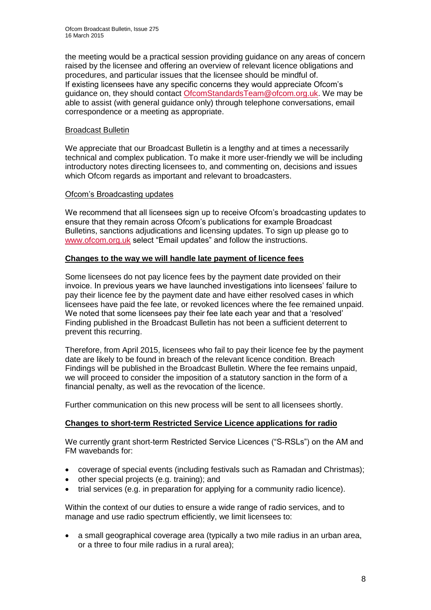the meeting would be a practical session providing guidance on any areas of concern raised by the licensee and offering an overview of relevant licence obligations and procedures, and particular issues that the licensee should be mindful of. If existing licensees have any specific concerns they would appreciate Ofcom's guidance on, they should contact [OfcomStandardsTeam@ofcom.org.uk.](mailto:OfcomStandardsTeam@ofcom.org.uk) We may be able to assist (with general guidance only) through telephone conversations, email correspondence or a meeting as appropriate.

## Broadcast Bulletin

We appreciate that our Broadcast Bulletin is a lengthy and at times a necessarily technical and complex publication. To make it more user-friendly we will be including introductory notes directing licensees to, and commenting on, decisions and issues which Ofcom regards as important and relevant to broadcasters.

## Ofcom's Broadcasting updates

We recommend that all licensees sign up to receive Ofcom's broadcasting updates to ensure that they remain across Ofcom's publications for example Broadcast Bulletins, sanctions adjudications and licensing updates. To sign up please go to [www.ofcom.org.uk](http://www.ofcom.org.uk/) select "Email updates" and follow the instructions.

## **Changes to the way we will handle late payment of licence fees**

Some licensees do not pay licence fees by the payment date provided on their invoice. In previous years we have launched investigations into licensees' failure to pay their licence fee by the payment date and have either resolved cases in which licensees have paid the fee late, or revoked licences where the fee remained unpaid. We noted that some licensees pay their fee late each year and that a 'resolved' Finding published in the Broadcast Bulletin has not been a sufficient deterrent to prevent this recurring.

Therefore, from April 2015, licensees who fail to pay their licence fee by the payment date are likely to be found in breach of the relevant licence condition. Breach Findings will be published in the Broadcast Bulletin. Where the fee remains unpaid, we will proceed to consider the imposition of a statutory sanction in the form of a financial penalty, as well as the revocation of the licence.

Further communication on this new process will be sent to all licensees shortly.

## **Changes to short-term Restricted Service Licence applications for radio**

We currently grant short-term Restricted Service Licences ("S-RSLs") on the AM and FM wavebands for:

- coverage of special events (including festivals such as Ramadan and Christmas);
- other special projects (e.g. training); and
- trial services (e.g. in preparation for applying for a community radio licence).

Within the context of our duties to ensure a wide range of radio services, and to manage and use radio spectrum efficiently, we limit licensees to:

 a small geographical coverage area (typically a two mile radius in an urban area, or a three to four mile radius in a rural area);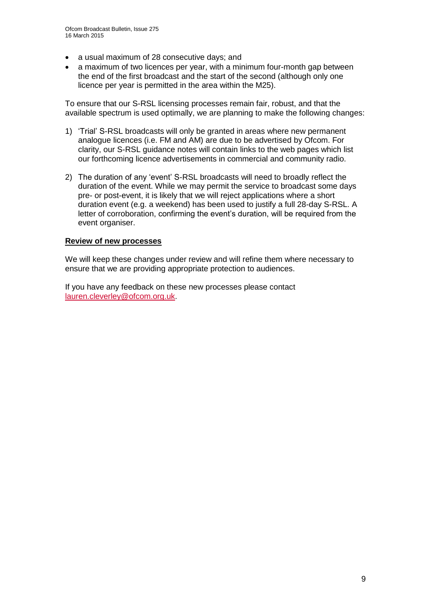- a usual maximum of 28 consecutive days; and
- a maximum of two licences per year, with a minimum four-month gap between the end of the first broadcast and the start of the second (although only one licence per year is permitted in the area within the M25).

To ensure that our S-RSL licensing processes remain fair, robust, and that the available spectrum is used optimally, we are planning to make the following changes:

- 1) 'Trial' S-RSL broadcasts will only be granted in areas where new permanent analogue licences (i.e. FM and AM) are due to be advertised by Ofcom. For clarity, our S-RSL guidance notes will contain links to the web pages which list our forthcoming licence advertisements in commercial and community radio.
- 2) The duration of any 'event' S-RSL broadcasts will need to broadly reflect the duration of the event. While we may permit the service to broadcast some days pre- or post-event, it is likely that we will reject applications where a short duration event (e.g. a weekend) has been used to justify a full 28-day S-RSL. A letter of corroboration, confirming the event's duration, will be required from the event organiser.

## **Review of new processes**

We will keep these changes under review and will refine them where necessary to ensure that we are providing appropriate protection to audiences.

If you have any feedback on these new processes please contact [lauren.cleverley@ofcom.org.uk.](mailto:lauren.cleverley@ofcom.org.uk)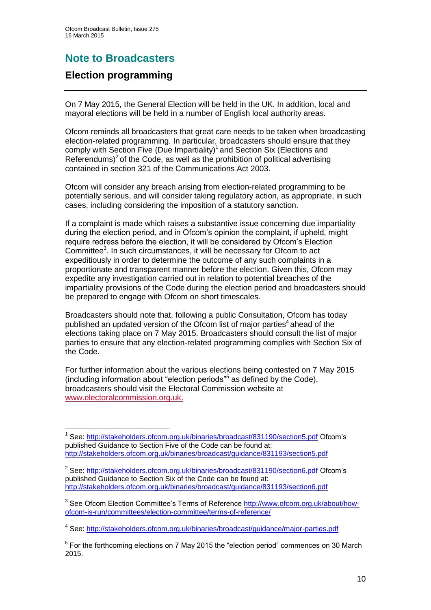# **Note to Broadcasters**

## **Election programming**

On 7 May 2015, the General Election will be held in the UK. In addition, local and mayoral elections will be held in a number of English local authority areas.

Ofcom reminds all broadcasters that great care needs to be taken when broadcasting election-related programming. In particular, broadcasters should ensure that they comply with Section Five (Due Impartiality) $1$  and Section Six (Elections and Referendums)<sup>2</sup> of the Code, as well as the prohibition of political advertising contained in section 321 of the Communications Act 2003.

Ofcom will consider any breach arising from election-related programming to be potentially serious, and will consider taking regulatory action, as appropriate, in such cases, including considering the imposition of a statutory sanction.

If a complaint is made which raises a substantive issue concerning due impartiality during the election period, and in Ofcom's opinion the complaint, if upheld, might require redress before the election, it will be considered by Ofcom's Election Committee<sup>3</sup>. In such circumstances, it will be necessary for Ofcom to act expeditiously in order to determine the outcome of any such complaints in a proportionate and transparent manner before the election. Given this, Ofcom may expedite any investigation carried out in relation to potential breaches of the impartiality provisions of the Code during the election period and broadcasters should be prepared to engage with Ofcom on short timescales.

Broadcasters should note that, following a public Consultation, Ofcom has today published an updated version of the Ofcom list of major parties<sup>4</sup> ahead of the elections taking place on 7 May 2015. Broadcasters should consult the list of major parties to ensure that any election-related programming complies with Section Six of the Code.

For further information about the various elections being contested on 7 May 2015 (including information about "election periods"<sup>5</sup> as defined by the Code), broadcasters should visit the Electoral Commission website at [www.electoralcommission.org.uk.](http://www.electoralcommission.org.uk/)

<sup>1</sup> <sup>1</sup> See:<http://stakeholders.ofcom.org.uk/binaries/broadcast/831190/section5.pdf> Ofcom's published Guidance to Section Five of the Code can be found at: <http://stakeholders.ofcom.org.uk/binaries/broadcast/guidance/831193/section5.pdf>

<sup>&</sup>lt;sup>2</sup> See:<http://stakeholders.ofcom.org.uk/binaries/broadcast/831190/section6.pdf> Ofcom's published Guidance to Section Six of the Code can be found at: <http://stakeholders.ofcom.org.uk/binaries/broadcast/guidance/831193/section6.pdf>

<sup>&</sup>lt;sup>3</sup> See Ofcom Election Committee's Terms of Reference [http://www.ofcom.org.uk/about/how](http://www.ofcom.org.uk/about/how-ofcom-is-run/committees/election-committee/terms-of-reference/)[ofcom-is-run/committees/election-committee/terms-of-reference/](http://www.ofcom.org.uk/about/how-ofcom-is-run/committees/election-committee/terms-of-reference/)

<sup>&</sup>lt;sup>4</sup> See:<http://stakeholders.ofcom.org.uk/binaries/broadcast/guidance/major-parties.pdf>

<sup>&</sup>lt;sup>5</sup> For the forthcoming elections on 7 May 2015 the "election period" commences on 30 March 2015.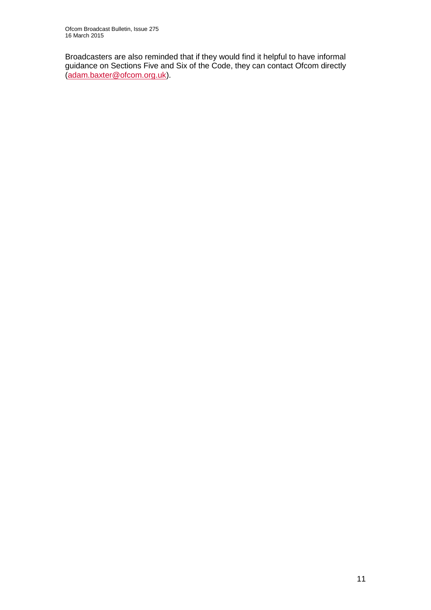Broadcasters are also reminded that if they would find it helpful to have informal guidance on Sections Five and Six of the Code, they can contact Ofcom directly [\(adam.baxter@ofcom.org.uk\)](mailto:adam.baxter@ofcom.org.uk).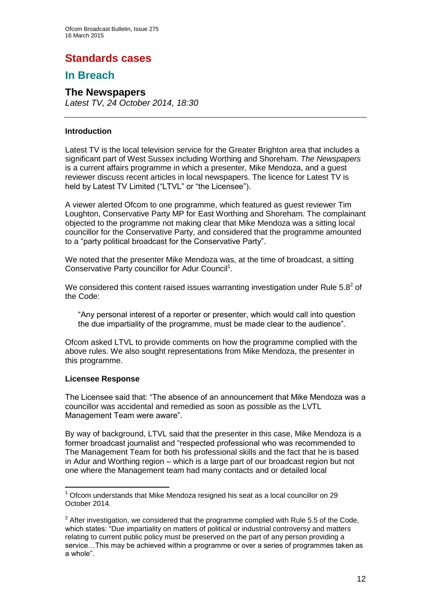# **Standards cases**

## **In Breach**

## **The Newspapers**

*Latest TV, 24 October 2014, 18:30*

## **Introduction**

Latest TV is the local television service for the Greater Brighton area that includes a significant part of West Sussex including Worthing and Shoreham. *The Newspapers*  is a current affairs programme in which a presenter, Mike Mendoza, and a guest reviewer discuss recent articles in local newspapers. The licence for Latest TV is held by Latest TV Limited ("LTVL" or "the Licensee").

A viewer alerted Ofcom to one programme, which featured as guest reviewer Tim Loughton, Conservative Party MP for East Worthing and Shoreham. The complainant objected to the programme not making clear that Mike Mendoza was a sitting local councillor for the Conservative Party, and considered that the programme amounted to a "party political broadcast for the Conservative Party".

We noted that the presenter Mike Mendoza was, at the time of broadcast, a sitting Conservative Party councillor for Adur Council<sup>1</sup>.

We considered this content raised issues warranting investigation under Rule 5.8 $2$  of the Code:

"Any personal interest of a reporter or presenter, which would call into question the due impartiality of the programme, must be made clear to the audience".

Ofcom asked LTVL to provide comments on how the programme complied with the above rules. We also sought representations from Mike Mendoza, the presenter in this programme.

## **Licensee Response**

1

The Licensee said that: "The absence of an announcement that Mike Mendoza was a councillor was accidental and remedied as soon as possible as the LVTL Management Team were aware".

By way of background, LTVL said that the presenter in this case, Mike Mendoza is a former broadcast journalist and "respected professional who was recommended to The Management Team for both his professional skills and the fact that he is based in Adur and Worthing region – which is a large part of our broadcast region but not one where the Management team had many contacts and or detailed local

 $1$  Ofcom understands that Mike Mendoza resigned his seat as a local councillor on 29 October 2014.

 $2$  After investigation, we considered that the programme complied with Rule 5.5 of the Code, which states: "Due impartiality on matters of political or industrial controversy and matters relating to current public policy must be preserved on the part of any person providing a service…This may be achieved within a programme or over a series of programmes taken as a whole".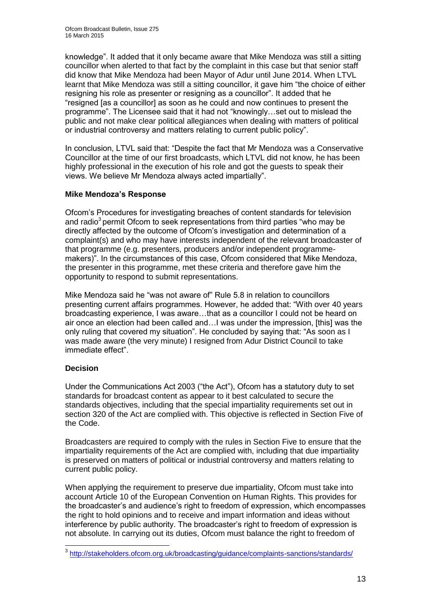knowledge". It added that it only became aware that Mike Mendoza was still a sitting councillor when alerted to that fact by the complaint in this case but that senior staff did know that Mike Mendoza had been Mayor of Adur until June 2014. When LTVL learnt that Mike Mendoza was still a sitting councillor, it gave him "the choice of either resigning his role as presenter or resigning as a councillor". It added that he "resigned [as a councillor] as soon as he could and now continues to present the programme". The Licensee said that it had not "knowingly…set out to mislead the public and not make clear political allegiances when dealing with matters of political or industrial controversy and matters relating to current public policy".

In conclusion, LTVL said that: "Despite the fact that Mr Mendoza was a Conservative Councillor at the time of our first broadcasts, which LTVL did not know, he has been highly professional in the execution of his role and got the guests to speak their views. We believe Mr Mendoza always acted impartially".

## **Mike Mendoza's Response**

Ofcom's Procedures for investigating breaches of content standards for television and radio<sup>3</sup> permit Ofcom to seek representations from third parties "who may be directly affected by the outcome of Ofcom's investigation and determination of a complaint(s) and who may have interests independent of the relevant broadcaster of that programme (e.g. presenters, producers and/or independent programmemakers)". In the circumstances of this case, Ofcom considered that Mike Mendoza, the presenter in this programme, met these criteria and therefore gave him the opportunity to respond to submit representations.

Mike Mendoza said he "was not aware of" Rule 5.8 in relation to councillors presenting current affairs programmes. However, he added that: "With over 40 years broadcasting experience, I was aware…that as a councillor I could not be heard on air once an election had been called and…I was under the impression, [this] was the only ruling that covered my situation". He concluded by saying that: "As soon as I was made aware (the very minute) I resigned from Adur District Council to take immediate effect".

## **Decision**

Under the Communications Act 2003 ("the Act"), Ofcom has a statutory duty to set standards for broadcast content as appear to it best calculated to secure the standards objectives, including that the special impartiality requirements set out in section 320 of the Act are complied with. This objective is reflected in Section Five of the Code.

Broadcasters are required to comply with the rules in Section Five to ensure that the impartiality requirements of the Act are complied with, including that due impartiality is preserved on matters of political or industrial controversy and matters relating to current public policy.

When applying the requirement to preserve due impartiality, Ofcom must take into account Article 10 of the European Convention on Human Rights. This provides for the broadcaster's and audience's right to freedom of expression, which encompasses the right to hold opinions and to receive and impart information and ideas without interference by public authority. The broadcaster's right to freedom of expression is not absolute. In carrying out its duties, Ofcom must balance the right to freedom of

 3 <http://stakeholders.ofcom.org.uk/broadcasting/guidance/complaints-sanctions/standards/>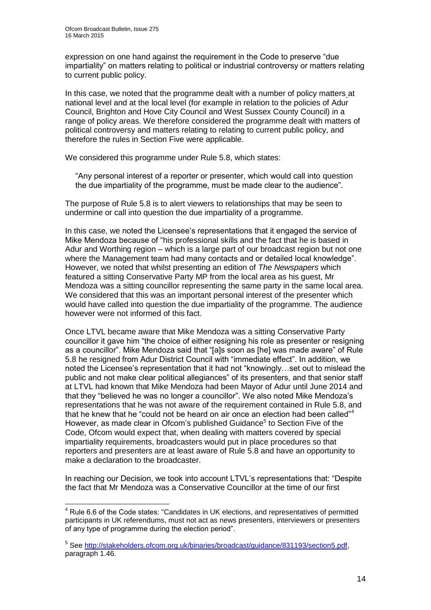expression on one hand against the requirement in the Code to preserve "due impartiality" on matters relating to political or industrial controversy or matters relating to current public policy.

In this case, we noted that the programme dealt with a number of policy matters at national level and at the local level (for example in relation to the policies of Adur Council, Brighton and Hove City Council and West Sussex County Council) in a range of policy areas. We therefore considered the programme dealt with matters of political controversy and matters relating to relating to current public policy, and therefore the rules in Section Five were applicable.

We considered this programme under Rule 5.8, which states:

"Any personal interest of a reporter or presenter, which would call into question the due impartiality of the programme, must be made clear to the audience".

The purpose of Rule 5.8 is to alert viewers to relationships that may be seen to undermine or call into question the due impartiality of a programme.

In this case, we noted the Licensee's representations that it engaged the service of Mike Mendoza because of "his professional skills and the fact that he is based in Adur and Worthing region – which is a large part of our broadcast region but not one where the Management team had many contacts and or detailed local knowledge". However, we noted that whilst presenting an edition of *The Newspapers* which featured a sitting Conservative Party MP from the local area as his guest, Mr Mendoza was a sitting councillor representing the same party in the same local area. We considered that this was an important personal interest of the presenter which would have called into question the due impartiality of the programme. The audience however were not informed of this fact.

Once LTVL became aware that Mike Mendoza was a sitting Conservative Party councillor it gave him "the choice of either resigning his role as presenter or resigning as a councillor". Mike Mendoza said that "[a]s soon as [he] was made aware" of Rule 5.8 he resigned from Adur District Council with "immediate effect". In addition, we noted the Licensee's representation that it had not "knowingly…set out to mislead the public and not make clear political allegiances" of its presenters, and that senior staff at LTVL had known that Mike Mendoza had been Mayor of Adur until June 2014 and that they "believed he was no longer a councillor". We also noted Mike Mendoza's representations that he was not aware of the requirement contained in Rule 5.8, and that he knew that he "could not be heard on air once an election had been called"<sup>4</sup> However, as made clear in Ofcom's published Guidance<sup>5</sup> to Section Five of the Code, Ofcom would expect that, when dealing with matters covered by special impartiality requirements, broadcasters would put in place procedures so that reporters and presenters are at least aware of Rule 5.8 and have an opportunity to make a declaration to the broadcaster.

In reaching our Decision, we took into account LTVL's representations that: "Despite the fact that Mr Mendoza was a Conservative Councillor at the time of our first

<sup>1</sup> <sup>4</sup> Rule 6.6 of the Code states: "Candidates in UK elections, and representatives of permitted participants in UK referendums, must not act as news presenters, interviewers or presenters of any type of programme during the election period".

<sup>&</sup>lt;sup>5</sup> See [http://stakeholders.ofcom.org.uk/binaries/broadcast/guidance/831193/section5.pdf,](http://stakeholders.ofcom.org.uk/binaries/broadcast/guidance/831193/section5.pdf) paragraph 1.46.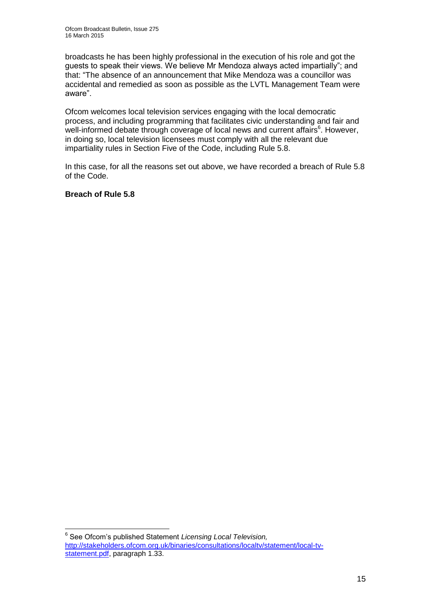broadcasts he has been highly professional in the execution of his role and got the guests to speak their views. We believe Mr Mendoza always acted impartially"; and that: "The absence of an announcement that Mike Mendoza was a councillor was accidental and remedied as soon as possible as the LVTL Management Team were aware".

Ofcom welcomes local television services engaging with the local democratic process, and including programming that facilitates civic understanding and fair and well-informed debate through coverage of local news and current affairs $<sup>6</sup>$ . However,</sup> in doing so, local television licensees must comply with all the relevant due impartiality rules in Section Five of the Code, including Rule 5.8.

In this case, for all the reasons set out above, we have recorded a breach of Rule 5.8 of the Code.

#### **Breach of Rule 5.8**

 6 See Ofcom's published Statement *Licensing Local Television,*  [http://stakeholders.ofcom.org.uk/binaries/consultations/localtv/statement/local-tv](http://stakeholders.ofcom.org.uk/binaries/consultations/localtv/statement/local-tv-statement.pdf)[statement.pdf,](http://stakeholders.ofcom.org.uk/binaries/consultations/localtv/statement/local-tv-statement.pdf) paragraph 1.33.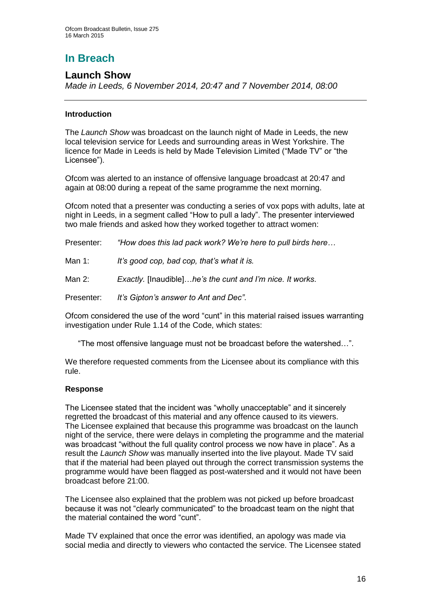# **In Breach**

## **Launch Show**

*Made in Leeds, 6 November 2014, 20:47 and 7 November 2014, 08:00*

## **Introduction**

The *Launch Show* was broadcast on the launch night of Made in Leeds, the new local television service for Leeds and surrounding areas in West Yorkshire. The licence for Made in Leeds is held by Made Television Limited ("Made TV" or "the Licensee").

Ofcom was alerted to an instance of offensive language broadcast at 20:47 and again at 08:00 during a repeat of the same programme the next morning.

Ofcom noted that a presenter was conducting a series of vox pops with adults, late at night in Leeds, in a segment called "How to pull a lady". The presenter interviewed two male friends and asked how they worked together to attract women:

| Presenter: | "How does this lad pack work? We're here to pull birds here |  |  |
|------------|-------------------------------------------------------------|--|--|
|            |                                                             |  |  |

Man 1: *It's good cop, bad cop, that's what it is.*

Man 2: *Exactly.* [Inaudible]…*he's the cunt and I'm nice. It works*.

Presenter: *It's Gipton's answer to Ant and Dec"*.

Ofcom considered the use of the word "cunt" in this material raised issues warranting investigation under Rule 1.14 of the Code, which states:

"The most offensive language must not be broadcast before the watershed…".

We therefore requested comments from the Licensee about its compliance with this rule.

## **Response**

The Licensee stated that the incident was "wholly unacceptable" and it sincerely regretted the broadcast of this material and any offence caused to its viewers. The Licensee explained that because this programme was broadcast on the launch night of the service, there were delays in completing the programme and the material was broadcast "without the full quality control process we now have in place". As a result the *Launch Show* was manually inserted into the live playout. Made TV said that if the material had been played out through the correct transmission systems the programme would have been flagged as post-watershed and it would not have been broadcast before 21:00.

The Licensee also explained that the problem was not picked up before broadcast because it was not "clearly communicated" to the broadcast team on the night that the material contained the word "cunt".

Made TV explained that once the error was identified, an apology was made via social media and directly to viewers who contacted the service. The Licensee stated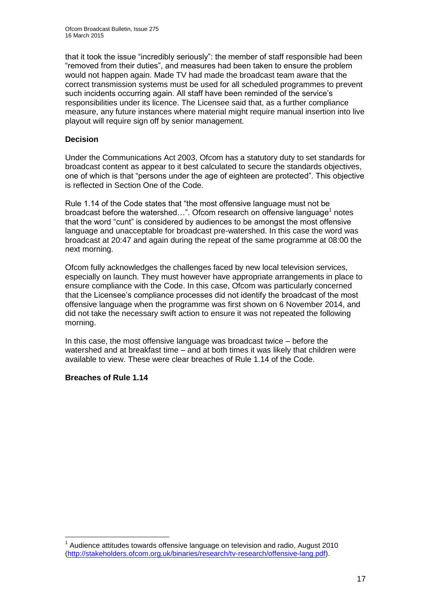that it took the issue "incredibly seriously": the member of staff responsible had been "removed from their duties", and measures had been taken to ensure the problem would not happen again. Made TV had made the broadcast team aware that the correct transmission systems must be used for all scheduled programmes to prevent such incidents occurring again. All staff have been reminded of the service's responsibilities under its licence. The Licensee said that, as a further compliance measure, any future instances where material might require manual insertion into live playout will require sign off by senior management.

## **Decision**

Under the Communications Act 2003, Ofcom has a statutory duty to set standards for broadcast content as appear to it best calculated to secure the standards objectives, one of which is that "persons under the age of eighteen are protected". This objective is reflected in Section One of the Code.

Rule 1.14 of the Code states that "the most offensive language must not be broadcast before the watershed...". Ofcom research on offensive language<sup>1</sup> notes that the word "cunt" is considered by audiences to be amongst the most offensive language and unacceptable for broadcast pre-watershed. In this case the word was broadcast at 20:47 and again during the repeat of the same programme at 08:00 the next morning.

Ofcom fully acknowledges the challenges faced by new local television services, especially on launch. They must however have appropriate arrangements in place to ensure compliance with the Code. In this case, Ofcom was particularly concerned that the Licensee's compliance processes did not identify the broadcast of the most offensive language when the programme was first shown on 6 November 2014, and did not take the necessary swift action to ensure it was not repeated the following morning.

In this case, the most offensive language was broadcast twice – before the watershed and at breakfast time – and at both times it was likely that children were available to view. These were clear breaches of Rule 1.14 of the Code.

## **Breaches of Rule 1.14**

1

 $1$  Audience attitudes towards offensive language on television and radio, August 2010 [\(http://stakeholders.ofcom.org.uk/binaries/research/tv-research/offensive-lang.pdf\)](http://stakeholders.ofcom.org.uk/binaries/research/tv-research/offensive-lang.pdf).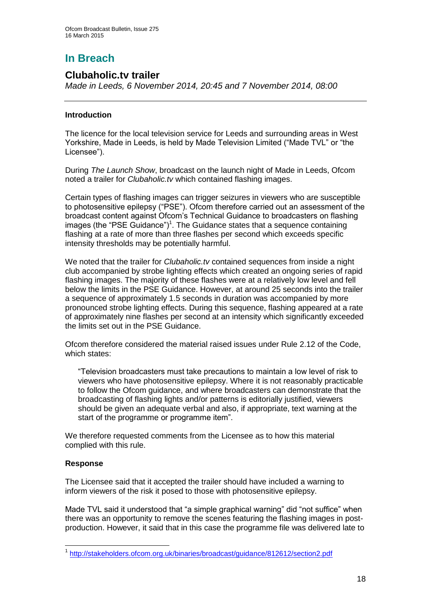# **In Breach**

## **Clubaholic.tv trailer**

*Made in Leeds, 6 November 2014, 20:45 and 7 November 2014, 08:00*

## **Introduction**

The licence for the local television service for Leeds and surrounding areas in West Yorkshire, Made in Leeds, is held by Made Television Limited ("Made TVL" or "the Licensee").

During *The Launch Show*, broadcast on the launch night of Made in Leeds, Ofcom noted a trailer for *Clubaholic.tv* which contained flashing images.

Certain types of flashing images can trigger seizures in viewers who are susceptible to photosensitive epilepsy ("PSE"). Ofcom therefore carried out an assessment of the broadcast content against Ofcom's Technical Guidance to broadcasters on flashing images (the "PSE Guidance")<sup>1</sup>. The Guidance states that a sequence containing flashing at a rate of more than three flashes per second which exceeds specific intensity thresholds may be potentially harmful.

We noted that the trailer for *Clubaholic.tv* contained sequences from inside a night club accompanied by strobe lighting effects which created an ongoing series of rapid flashing images. The majority of these flashes were at a relatively low level and fell below the limits in the PSE Guidance. However, at around 25 seconds into the trailer a sequence of approximately 1.5 seconds in duration was accompanied by more pronounced strobe lighting effects. During this sequence, flashing appeared at a rate of approximately nine flashes per second at an intensity which significantly exceeded the limits set out in the PSE Guidance.

Ofcom therefore considered the material raised issues under Rule 2.12 of the Code, which states:

"Television broadcasters must take precautions to maintain a low level of risk to viewers who have photosensitive epilepsy. Where it is not reasonably practicable to follow the Ofcom guidance, and where broadcasters can demonstrate that the broadcasting of flashing lights and/or patterns is editorially justified, viewers should be given an adequate verbal and also, if appropriate, text warning at the start of the programme or programme item".

We therefore requested comments from the Licensee as to how this material complied with this rule.

## **Response**

The Licensee said that it accepted the trailer should have included a warning to inform viewers of the risk it posed to those with photosensitive epilepsy.

Made TVL said it understood that "a simple graphical warning" did "not suffice" when there was an opportunity to remove the scenes featuring the flashing images in postproduction. However, it said that in this case the programme file was delivered late to

<sup>1</sup> <sup>1</sup> <http://stakeholders.ofcom.org.uk/binaries/broadcast/guidance/812612/section2.pdf>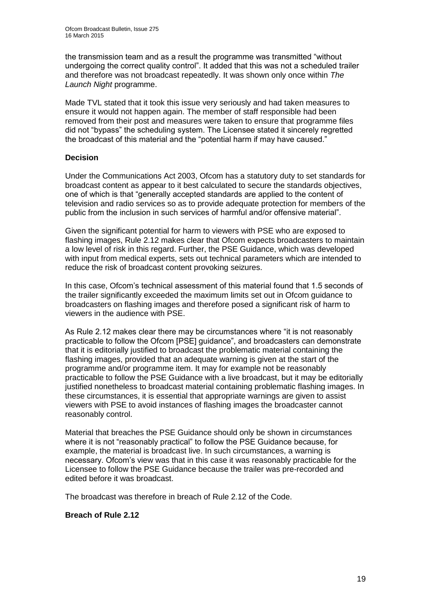the transmission team and as a result the programme was transmitted "without undergoing the correct quality control". It added that this was not a scheduled trailer and therefore was not broadcast repeatedly. It was shown only once within *The Launch Night* programme.

Made TVL stated that it took this issue very seriously and had taken measures to ensure it would not happen again. The member of staff responsible had been removed from their post and measures were taken to ensure that programme files did not "bypass" the scheduling system. The Licensee stated it sincerely regretted the broadcast of this material and the "potential harm if may have caused."

## **Decision**

Under the Communications Act 2003, Ofcom has a statutory duty to set standards for broadcast content as appear to it best calculated to secure the standards objectives, one of which is that "generally accepted standards are applied to the content of television and radio services so as to provide adequate protection for members of the public from the inclusion in such services of harmful and/or offensive material".

Given the significant potential for harm to viewers with PSE who are exposed to flashing images, Rule 2.12 makes clear that Ofcom expects broadcasters to maintain a low level of risk in this regard. Further, the PSE Guidance, which was developed with input from medical experts, sets out technical parameters which are intended to reduce the risk of broadcast content provoking seizures.

In this case, Ofcom's technical assessment of this material found that 1.5 seconds of the trailer significantly exceeded the maximum limits set out in Ofcom guidance to broadcasters on flashing images and therefore posed a significant risk of harm to viewers in the audience with PSE.

As Rule 2.12 makes clear there may be circumstances where "it is not reasonably practicable to follow the Ofcom [PSE] guidance", and broadcasters can demonstrate that it is editorially justified to broadcast the problematic material containing the flashing images, provided that an adequate warning is given at the start of the programme and/or programme item. It may for example not be reasonably practicable to follow the PSE Guidance with a live broadcast, but it may be editorially justified nonetheless to broadcast material containing problematic flashing images. In these circumstances, it is essential that appropriate warnings are given to assist viewers with PSE to avoid instances of flashing images the broadcaster cannot reasonably control.

Material that breaches the PSE Guidance should only be shown in circumstances where it is not "reasonably practical" to follow the PSE Guidance because, for example, the material is broadcast live. In such circumstances, a warning is necessary. Ofcom's view was that in this case it was reasonably practicable for the Licensee to follow the PSE Guidance because the trailer was pre-recorded and edited before it was broadcast.

The broadcast was therefore in breach of Rule 2.12 of the Code.

## **Breach of Rule 2.12**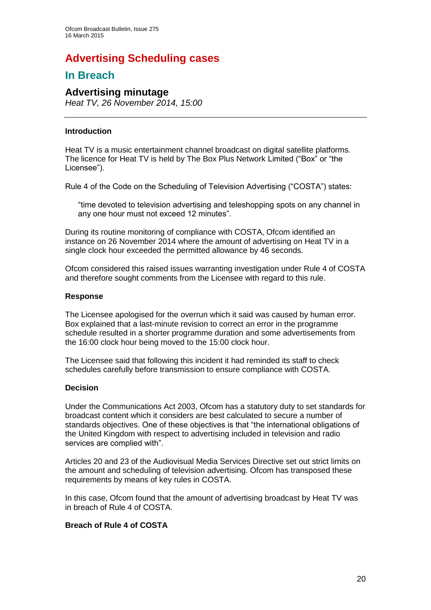# **Advertising Scheduling cases**

## **In Breach**

## **Advertising minutage**

*Heat TV, 26 November 2014, 15:00*

#### **Introduction**

Heat TV is a music entertainment channel broadcast on digital satellite platforms. The licence for Heat TV is held by The Box Plus Network Limited ("Box" or "the Licensee").

Rule 4 of the Code on the Scheduling of Television Advertising ("COSTA") states:

"time devoted to television advertising and teleshopping spots on any channel in any one hour must not exceed 12 minutes".

During its routine monitoring of compliance with COSTA, Ofcom identified an instance on 26 November 2014 where the amount of advertising on Heat TV in a single clock hour exceeded the permitted allowance by 46 seconds.

Ofcom considered this raised issues warranting investigation under Rule 4 of COSTA and therefore sought comments from the Licensee with regard to this rule.

#### **Response**

The Licensee apologised for the overrun which it said was caused by human error. Box explained that a last-minute revision to correct an error in the programme schedule resulted in a shorter programme duration and some advertisements from the 16:00 clock hour being moved to the 15:00 clock hour.

The Licensee said that following this incident it had reminded its staff to check schedules carefully before transmission to ensure compliance with COSTA.

## **Decision**

Under the Communications Act 2003, Ofcom has a statutory duty to set standards for broadcast content which it considers are best calculated to secure a number of standards objectives. One of these objectives is that "the international obligations of the United Kingdom with respect to advertising included in television and radio services are complied with".

Articles 20 and 23 of the Audiovisual Media Services Directive set out strict limits on the amount and scheduling of television advertising. Ofcom has transposed these requirements by means of key rules in COSTA.

In this case, Ofcom found that the amount of advertising broadcast by Heat TV was in breach of Rule 4 of COSTA.

## **Breach of Rule 4 of COSTA**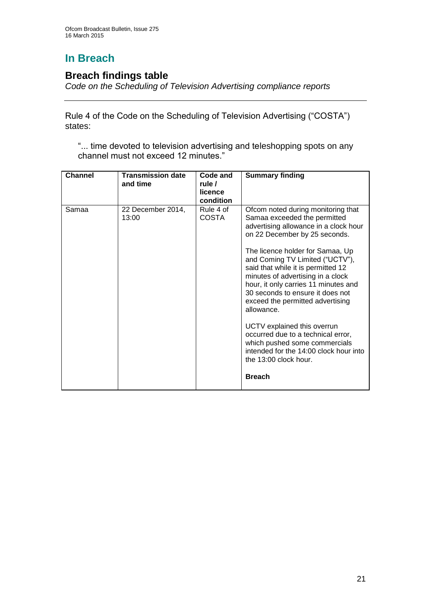# **In Breach**

## **Breach findings table**

*Code on the Scheduling of Television Advertising compliance reports*

Rule 4 of the Code on the Scheduling of Television Advertising ("COSTA") states:

"... time devoted to television advertising and teleshopping spots on any channel must not exceed 12 minutes."

| <b>Channel</b> | <b>Transmission date</b><br>and time | Code and<br>rule /<br>licence<br>condition | <b>Summary finding</b>                                                                                                                                                                                                                                                                                                                                                                                                                                                                                                                                                                                |
|----------------|--------------------------------------|--------------------------------------------|-------------------------------------------------------------------------------------------------------------------------------------------------------------------------------------------------------------------------------------------------------------------------------------------------------------------------------------------------------------------------------------------------------------------------------------------------------------------------------------------------------------------------------------------------------------------------------------------------------|
| Samaa          | 22 December 2014,<br>13:00           | Rule 4 of<br><b>COSTA</b>                  | Ofcom noted during monitoring that<br>Samaa exceeded the permitted<br>advertising allowance in a clock hour<br>on 22 December by 25 seconds.<br>The licence holder for Samaa, Up<br>and Coming TV Limited ("UCTV"),<br>said that while it is permitted 12<br>minutes of advertising in a clock<br>hour, it only carries 11 minutes and<br>30 seconds to ensure it does not<br>exceed the permitted advertising<br>allowance.<br>UCTV explained this overrun<br>occurred due to a technical error,<br>which pushed some commercials<br>intended for the 14:00 clock hour into<br>the 13:00 clock hour. |
|                |                                      |                                            | <b>Breach</b>                                                                                                                                                                                                                                                                                                                                                                                                                                                                                                                                                                                         |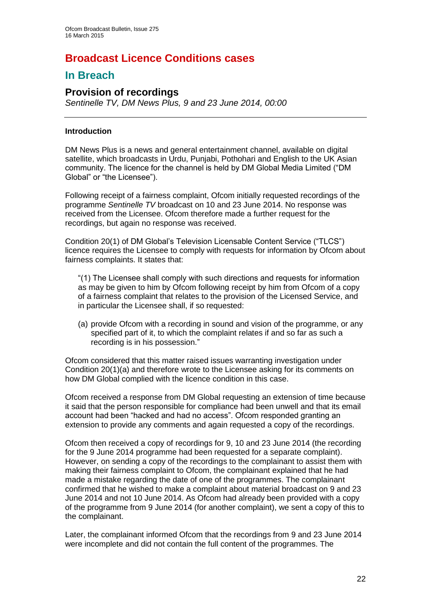# **Broadcast Licence Conditions cases**

## **In Breach**

## **Provision of recordings**

*Sentinelle TV, DM News Plus, 9 and 23 June 2014, 00:00* 

## **Introduction**

DM News Plus is a news and general entertainment channel, available on digital satellite, which broadcasts in Urdu, Punjabi, Pothohari and English to the UK Asian community. The licence for the channel is held by DM Global Media Limited ("DM Global" or "the Licensee").

Following receipt of a fairness complaint, Ofcom initially requested recordings of the programme *Sentinelle TV* broadcast on 10 and 23 June 2014. No response was received from the Licensee. Ofcom therefore made a further request for the recordings, but again no response was received.

Condition 20(1) of DM Global's Television Licensable Content Service ("TLCS") licence requires the Licensee to comply with requests for information by Ofcom about fairness complaints. It states that:

"(1) The Licensee shall comply with such directions and requests for information as may be given to him by Ofcom following receipt by him from Ofcom of a copy of a fairness complaint that relates to the provision of the Licensed Service, and in particular the Licensee shall, if so requested:

(a) provide Ofcom with a recording in sound and vision of the programme, or any specified part of it, to which the complaint relates if and so far as such a recording is in his possession."

Ofcom considered that this matter raised issues warranting investigation under Condition 20(1)(a) and therefore wrote to the Licensee asking for its comments on how DM Global complied with the licence condition in this case.

Ofcom received a response from DM Global requesting an extension of time because it said that the person responsible for compliance had been unwell and that its email account had been "hacked and had no access". Ofcom responded granting an extension to provide any comments and again requested a copy of the recordings.

Ofcom then received a copy of recordings for 9, 10 and 23 June 2014 (the recording for the 9 June 2014 programme had been requested for a separate complaint). However, on sending a copy of the recordings to the complainant to assist them with making their fairness complaint to Ofcom, the complainant explained that he had made a mistake regarding the date of one of the programmes. The complainant confirmed that he wished to make a complaint about material broadcast on 9 and 23 June 2014 and not 10 June 2014. As Ofcom had already been provided with a copy of the programme from 9 June 2014 (for another complaint), we sent a copy of this to the complainant.

Later, the complainant informed Ofcom that the recordings from 9 and 23 June 2014 were incomplete and did not contain the full content of the programmes. The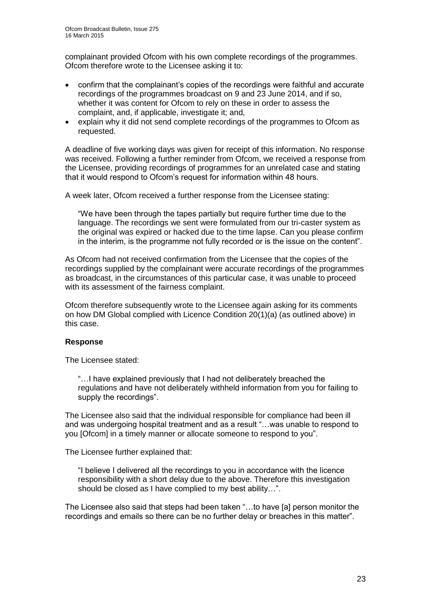complainant provided Ofcom with his own complete recordings of the programmes. Ofcom therefore wrote to the Licensee asking it to:

- confirm that the complainant's copies of the recordings were faithful and accurate recordings of the programmes broadcast on 9 and 23 June 2014, and if so, whether it was content for Ofcom to rely on these in order to assess the complaint, and, if applicable, investigate it; and,
- explain why it did not send complete recordings of the programmes to Ofcom as requested.

A deadline of five working days was given for receipt of this information. No response was received. Following a further reminder from Ofcom, we received a response from the Licensee, providing recordings of programmes for an unrelated case and stating that it would respond to Ofcom's request for information within 48 hours.

A week later, Ofcom received a further response from the Licensee stating:

"We have been through the tapes partially but require further time due to the language. The recordings we sent were formulated from our tri-caster system as the original was expired or hacked due to the time lapse. Can you please confirm in the interim, is the programme not fully recorded or is the issue on the content".

As Ofcom had not received confirmation from the Licensee that the copies of the recordings supplied by the complainant were accurate recordings of the programmes as broadcast, in the circumstances of this particular case, it was unable to proceed with its assessment of the fairness complaint.

Ofcom therefore subsequently wrote to the Licensee again asking for its comments on how DM Global complied with Licence Condition 20(1)(a) (as outlined above) in this case.

## **Response**

The Licensee stated:

"…I have explained previously that I had not deliberately breached the regulations and have not deliberately withheld information from you for failing to supply the recordings".

The Licensee also said that the individual responsible for compliance had been ill and was undergoing hospital treatment and as a result "…was unable to respond to you [Ofcom] in a timely manner or allocate someone to respond to you".

The Licensee further explained that:

"I believe I delivered all the recordings to you in accordance with the licence responsibility with a short delay due to the above. Therefore this investigation should be closed as I have complied to my best ability…".

The Licensee also said that steps had been taken "…to have [a] person monitor the recordings and emails so there can be no further delay or breaches in this matter".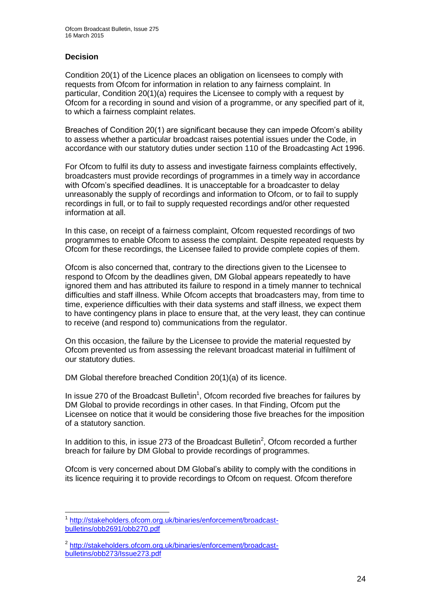## **Decision**

1

Condition 20(1) of the Licence places an obligation on licensees to comply with requests from Ofcom for information in relation to any fairness complaint. In particular, Condition 20(1)(a) requires the Licensee to comply with a request by Ofcom for a recording in sound and vision of a programme, or any specified part of it, to which a fairness complaint relates.

Breaches of Condition 20(1) are significant because they can impede Ofcom's ability to assess whether a particular broadcast raises potential issues under the Code, in accordance with our statutory duties under section 110 of the Broadcasting Act 1996.

For Ofcom to fulfil its duty to assess and investigate fairness complaints effectively, broadcasters must provide recordings of programmes in a timely way in accordance with Ofcom's specified deadlines. It is unacceptable for a broadcaster to delay unreasonably the supply of recordings and information to Ofcom, or to fail to supply recordings in full, or to fail to supply requested recordings and/or other requested information at all.

In this case, on receipt of a fairness complaint, Ofcom requested recordings of two programmes to enable Ofcom to assess the complaint. Despite repeated requests by Ofcom for these recordings, the Licensee failed to provide complete copies of them.

Ofcom is also concerned that, contrary to the directions given to the Licensee to respond to Ofcom by the deadlines given, DM Global appears repeatedly to have ignored them and has attributed its failure to respond in a timely manner to technical difficulties and staff illness. While Ofcom accepts that broadcasters may, from time to time, experience difficulties with their data systems and staff illness, we expect them to have contingency plans in place to ensure that, at the very least, they can continue to receive (and respond to) communications from the regulator.

On this occasion, the failure by the Licensee to provide the material requested by Ofcom prevented us from assessing the relevant broadcast material in fulfilment of our statutory duties.

DM Global therefore breached Condition 20(1)(a) of its licence.

In issue 270 of the Broadcast Bulletin<sup>1</sup>, Ofcom recorded five breaches for failures by DM Global to provide recordings in other cases. In that Finding, Ofcom put the Licensee on notice that it would be considering those five breaches for the imposition of a statutory sanction.

In addition to this, in issue 273 of the Broadcast Bulletin<sup>2</sup>, Ofcom recorded a further breach for failure by DM Global to provide recordings of programmes.

Ofcom is very concerned about DM Global's ability to comply with the conditions in its licence requiring it to provide recordings to Ofcom on request. Ofcom therefore

<sup>1</sup> [http://stakeholders.ofcom.org.uk/binaries/enforcement/broadcast](http://stakeholders.ofcom.org.uk/binaries/enforcement/broadcast-bulletins/obb2691/obb270.pdf)[bulletins/obb2691/obb270.pdf](http://stakeholders.ofcom.org.uk/binaries/enforcement/broadcast-bulletins/obb2691/obb270.pdf)

<sup>&</sup>lt;sup>2</sup> [http://stakeholders.ofcom.org.uk/binaries/enforcement/broadcast](http://stakeholders.ofcom.org.uk/binaries/enforcement/broadcast-bulletins/obb273/Issue273.pdf)[bulletins/obb273/Issue273.pdf](http://stakeholders.ofcom.org.uk/binaries/enforcement/broadcast-bulletins/obb273/Issue273.pdf)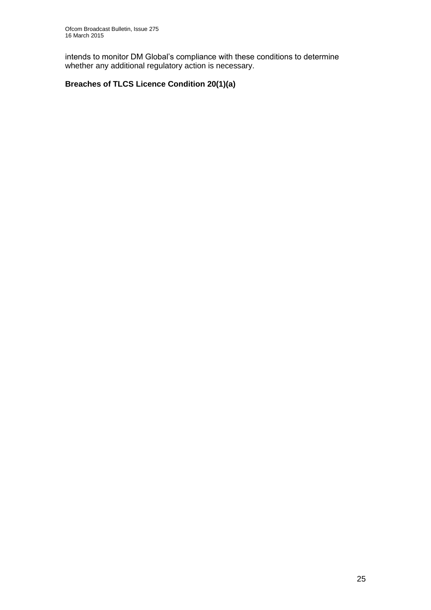intends to monitor DM Global's compliance with these conditions to determine whether any additional regulatory action is necessary.

## **Breaches of TLCS Licence Condition 20(1)(a)**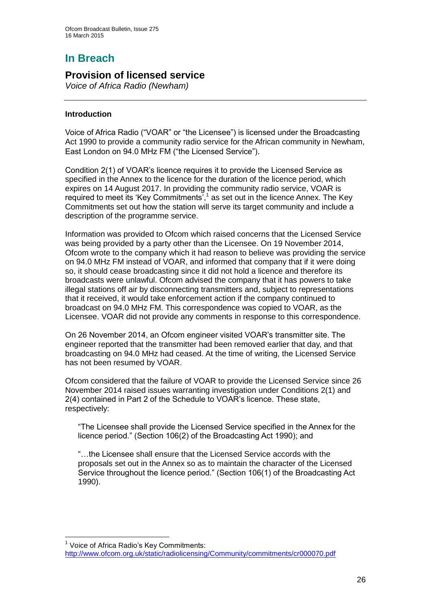# **In Breach**

## **Provision of licensed service**

*Voice of Africa Radio (Newham)* 

## **Introduction**

Voice of Africa Radio ("VOAR" or "the Licensee") is licensed under the Broadcasting Act 1990 to provide a community radio service for the African community in Newham, East London on 94.0 MHz FM ("the Licensed Service").

Condition 2(1) of VOAR's licence requires it to provide the Licensed Service as specified in the Annex to the licence for the duration of the licence period, which expires on 14 August 2017. In providing the community radio service, VOAR is required to meet its 'Key Commitments',<sup>1</sup> as set out in the licence Annex. The Key Commitments set out how the station will serve its target community and include a description of the programme service.

Information was provided to Ofcom which raised concerns that the Licensed Service was being provided by a party other than the Licensee. On 19 November 2014, Ofcom wrote to the company which it had reason to believe was providing the service on 94.0 MHz FM instead of VOAR, and informed that company that if it were doing so, it should cease broadcasting since it did not hold a licence and therefore its broadcasts were unlawful. Ofcom advised the company that it has powers to take illegal stations off air by disconnecting transmitters and, subject to representations that it received, it would take enforcement action if the company continued to broadcast on 94.0 MHz FM. This correspondence was copied to VOAR, as the Licensee. VOAR did not provide any comments in response to this correspondence.

On 26 November 2014, an Ofcom engineer visited VOAR's transmitter site. The engineer reported that the transmitter had been removed earlier that day, and that broadcasting on 94.0 MHz had ceased. At the time of writing, the Licensed Service has not been resumed by VOAR.

Ofcom considered that the failure of VOAR to provide the Licensed Service since 26 November 2014 raised issues warranting investigation under Conditions 2(1) and 2(4) contained in Part 2 of the Schedule to VOAR's licence. These state, respectively:

"The Licensee shall provide the Licensed Service specified in the Annex for the licence period." (Section 106(2) of the Broadcasting Act 1990); and

"…the Licensee shall ensure that the Licensed Service accords with the proposals set out in the Annex so as to maintain the character of the Licensed Service throughout the licence period." (Section 106(1) of the Broadcasting Act 1990).

<sup>1</sup> <sup>1</sup> Voice of Africa Radio's Key Commitments: <http://www.ofcom.org.uk/static/radiolicensing/Community/commitments/cr000070.pdf>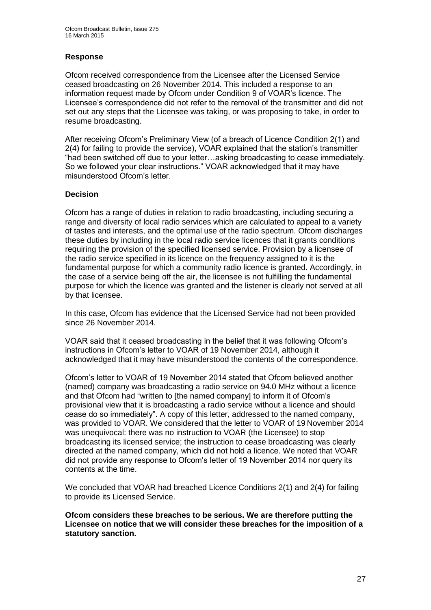## **Response**

Ofcom received correspondence from the Licensee after the Licensed Service ceased broadcasting on 26 November 2014. This included a response to an information request made by Ofcom under Condition 9 of VOAR's licence. The Licensee's correspondence did not refer to the removal of the transmitter and did not set out any steps that the Licensee was taking, or was proposing to take, in order to resume broadcasting.

After receiving Ofcom's Preliminary View (of a breach of Licence Condition 2(1) and 2(4) for failing to provide the service), VOAR explained that the station's transmitter "had been switched off due to your letter…asking broadcasting to cease immediately. So we followed your clear instructions." VOAR acknowledged that it may have misunderstood Ofcom's letter.

## **Decision**

Ofcom has a range of duties in relation to radio broadcasting, including securing a range and diversity of local radio services which are calculated to appeal to a variety of tastes and interests, and the optimal use of the radio spectrum. Ofcom discharges these duties by including in the local radio service licences that it grants conditions requiring the provision of the specified licensed service. Provision by a licensee of the radio service specified in its licence on the frequency assigned to it is the fundamental purpose for which a community radio licence is granted. Accordingly, in the case of a service being off the air, the licensee is not fulfilling the fundamental purpose for which the licence was granted and the listener is clearly not served at all by that licensee.

In this case, Ofcom has evidence that the Licensed Service had not been provided since 26 November 2014.

VOAR said that it ceased broadcasting in the belief that it was following Ofcom's instructions in Ofcom's letter to VOAR of 19 November 2014, although it acknowledged that it may have misunderstood the contents of the correspondence.

Ofcom's letter to VOAR of 19 November 2014 stated that Ofcom believed another (named) company was broadcasting a radio service on 94.0 MHz without a licence and that Ofcom had "written to [the named company] to inform it of Ofcom's provisional view that it is broadcasting a radio service without a licence and should cease do so immediately". A copy of this letter, addressed to the named company, was provided to VOAR. We considered that the letter to VOAR of 19 November 2014 was unequivocal: there was no instruction to VOAR (the Licensee) to stop broadcasting its licensed service; the instruction to cease broadcasting was clearly directed at the named company, which did not hold a licence. We noted that VOAR did not provide any response to Ofcom's letter of 19 November 2014 nor query its contents at the time.

We concluded that VOAR had breached Licence Conditions 2(1) and 2(4) for failing to provide its Licensed Service.

**Ofcom considers these breaches to be serious. We are therefore putting the Licensee on notice that we will consider these breaches for the imposition of a statutory sanction.**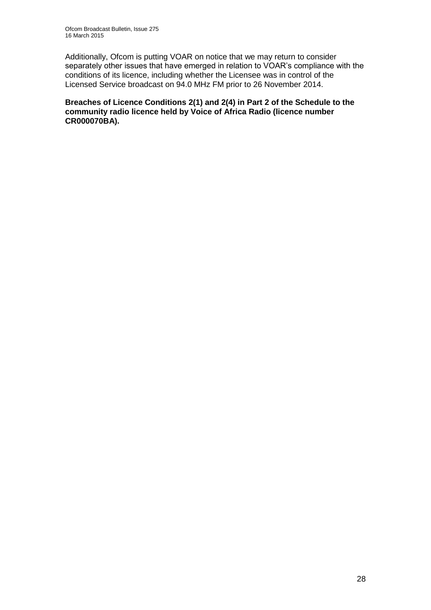Additionally, Ofcom is putting VOAR on notice that we may return to consider separately other issues that have emerged in relation to VOAR's compliance with the conditions of its licence, including whether the Licensee was in control of the Licensed Service broadcast on 94.0 MHz FM prior to 26 November 2014.

**Breaches of Licence Conditions 2(1) and 2(4) in Part 2 of the Schedule to the community radio licence held by Voice of Africa Radio (licence number CR000070BA).**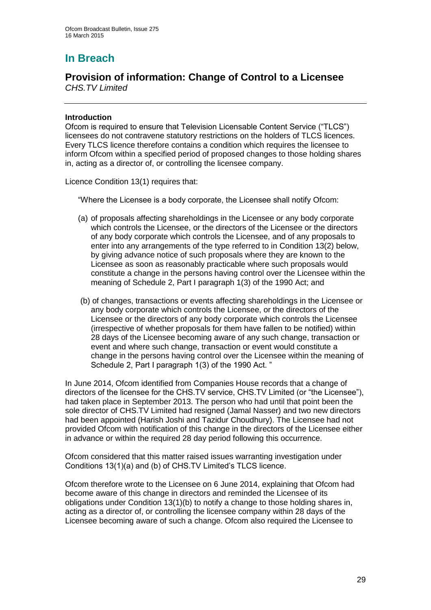# **In Breach**

## **Provision of information: Change of Control to a Licensee** *CHS.TV Limited*

## **Introduction**

Ofcom is required to ensure that Television Licensable Content Service ("TLCS") licensees do not contravene statutory restrictions on the holders of TLCS licences. Every TLCS licence therefore contains a condition which requires the licensee to inform Ofcom within a specified period of proposed changes to those holding shares in, acting as a director of, or controlling the licensee company.

Licence Condition 13(1) requires that:

"Where the Licensee is a body corporate, the Licensee shall notify Ofcom:

- (a) of proposals affecting shareholdings in the Licensee or any body corporate which controls the Licensee, or the directors of the Licensee or the directors of any body corporate which controls the Licensee, and of any proposals to enter into any arrangements of the type referred to in Condition 13(2) below, by giving advance notice of such proposals where they are known to the Licensee as soon as reasonably practicable where such proposals would constitute a change in the persons having control over the Licensee within the meaning of Schedule 2, Part I paragraph 1(3) of the 1990 Act; and
- (b) of changes, transactions or events affecting shareholdings in the Licensee or any body corporate which controls the Licensee, or the directors of the Licensee or the directors of any body corporate which controls the Licensee (irrespective of whether proposals for them have fallen to be notified) within 28 days of the Licensee becoming aware of any such change, transaction or event and where such change, transaction or event would constitute a change in the persons having control over the Licensee within the meaning of Schedule 2, Part I paragraph 1(3) of the 1990 Act. "

In June 2014, Ofcom identified from Companies House records that a change of directors of the licensee for the CHS.TV service, CHS.TV Limited (or "the Licensee"), had taken place in September 2013. The person who had until that point been the sole director of CHS.TV Limited had resigned (Jamal Nasser) and two new directors had been appointed (Harish Joshi and Tazidur Choudhury). The Licensee had not provided Ofcom with notification of this change in the directors of the Licensee either in advance or within the required 28 day period following this occurrence.

Ofcom considered that this matter raised issues warranting investigation under Conditions 13(1)(a) and (b) of CHS.TV Limited's TLCS licence.

Ofcom therefore wrote to the Licensee on 6 June 2014, explaining that Ofcom had become aware of this change in directors and reminded the Licensee of its obligations under Condition 13(1)(b) to notify a change to those holding shares in, acting as a director of, or controlling the licensee company within 28 days of the Licensee becoming aware of such a change. Ofcom also required the Licensee to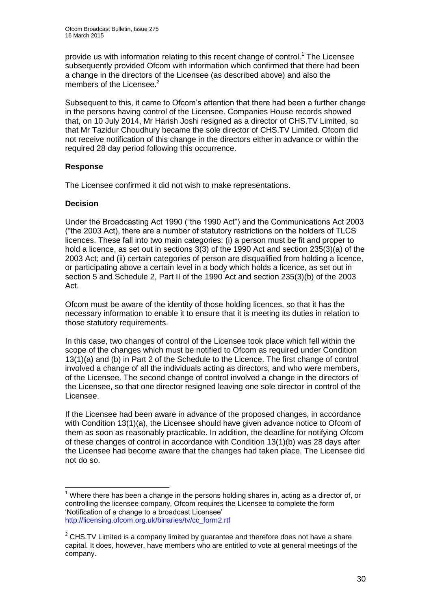provide us with information relating to this recent change of control.<sup>1</sup> The Licensee subsequently provided Ofcom with information which confirmed that there had been a change in the directors of the Licensee (as described above) and also the members of the Licensee.<sup>2</sup>

Subsequent to this, it came to Ofcom's attention that there had been a further change in the persons having control of the Licensee. Companies House records showed that, on 10 July 2014, Mr Harish Joshi resigned as a director of CHS.TV Limited, so that Mr Tazidur Choudhury became the sole director of CHS.TV Limited. Ofcom did not receive notification of this change in the directors either in advance or within the required 28 day period following this occurrence.

## **Response**

The Licensee confirmed it did not wish to make representations.

## **Decision**

1

Under the Broadcasting Act 1990 ("the 1990 Act") and the Communications Act 2003 ("the 2003 Act), there are a number of statutory restrictions on the holders of TLCS licences. These fall into two main categories: (i) a person must be fit and proper to hold a licence, as set out in sections 3(3) of the 1990 Act and section 235(3)(a) of the 2003 Act; and (ii) certain categories of person are disqualified from holding a licence, or participating above a certain level in a body which holds a licence, as set out in section 5 and Schedule 2, Part II of the 1990 Act and section 235(3)(b) of the 2003 Act.

Ofcom must be aware of the identity of those holding licences, so that it has the necessary information to enable it to ensure that it is meeting its duties in relation to those statutory requirements.

In this case, two changes of control of the Licensee took place which fell within the scope of the changes which must be notified to Ofcom as required under Condition 13(1)(a) and (b) in Part 2 of the Schedule to the Licence. The first change of control involved a change of all the individuals acting as directors, and who were members, of the Licensee. The second change of control involved a change in the directors of the Licensee, so that one director resigned leaving one sole director in control of the Licensee.

If the Licensee had been aware in advance of the proposed changes, in accordance with Condition 13(1)(a), the Licensee should have given advance notice to Ofcom of them as soon as reasonably practicable. In addition, the deadline for notifying Ofcom of these changes of control in accordance with Condition 13(1)(b) was 28 days after the Licensee had become aware that the changes had taken place. The Licensee did not do so.

 $1$  Where there has been a change in the persons holding shares in, acting as a director of, or controlling the licensee company, Ofcom requires the Licensee to complete the form 'Notification of a change to a broadcast Licensee' [http://licensing.ofcom.org.uk/binaries/tv/cc\\_form2.rtf](http://licensing.ofcom.org.uk/binaries/tv/cc_form2.rtf)

 $2$  CHS.TV Limited is a company limited by guarantee and therefore does not have a share capital. It does, however, have members who are entitled to vote at general meetings of the company.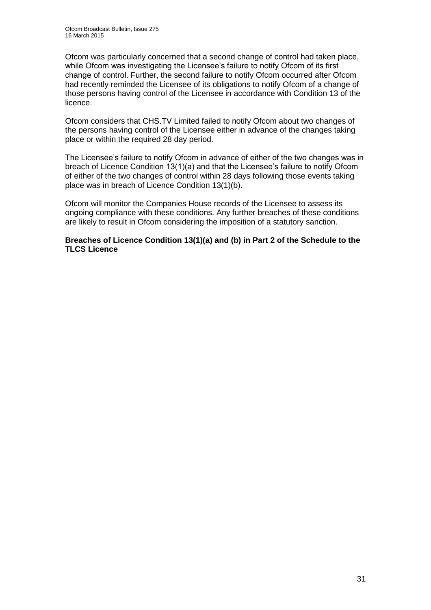Ofcom was particularly concerned that a second change of control had taken place, while Ofcom was investigating the Licensee's failure to notify Ofcom of its first change of control. Further, the second failure to notify Ofcom occurred after Ofcom had recently reminded the Licensee of its obligations to notify Ofcom of a change of those persons having control of the Licensee in accordance with Condition 13 of the licence.

Ofcom considers that CHS.TV Limited failed to notify Ofcom about two changes of the persons having control of the Licensee either in advance of the changes taking place or within the required 28 day period.

The Licensee's failure to notify Ofcom in advance of either of the two changes was in breach of Licence Condition 13(1)(a) and that the Licensee's failure to notify Ofcom of either of the two changes of control within 28 days following those events taking place was in breach of Licence Condition 13(1)(b).

Ofcom will monitor the Companies House records of the Licensee to assess its ongoing compliance with these conditions. Any further breaches of these conditions are likely to result in Ofcom considering the imposition of a statutory sanction.

#### **Breaches of Licence Condition 13(1)(a) and (b) in Part 2 of the Schedule to the TLCS Licence**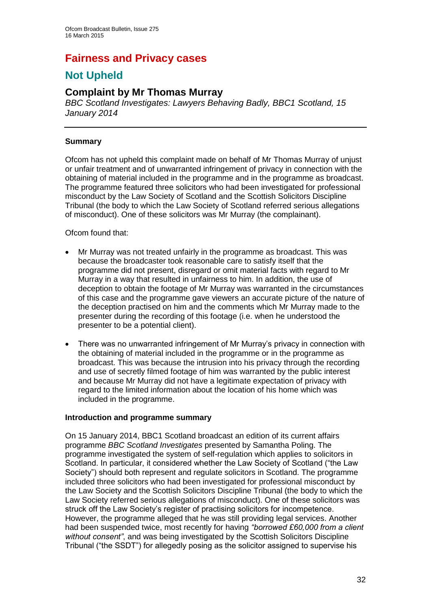# **Fairness and Privacy cases**

# **Not Upheld**

## **Complaint by Mr Thomas Murray**

*BBC Scotland Investigates: Lawyers Behaving Badly, BBC1 Scotland, 15 January 2014*

## **Summary**

Ofcom has not upheld this complaint made on behalf of Mr Thomas Murray of unjust or unfair treatment and of unwarranted infringement of privacy in connection with the obtaining of material included in the programme and in the programme as broadcast. The programme featured three solicitors who had been investigated for professional misconduct by the Law Society of Scotland and the Scottish Solicitors Discipline Tribunal (the body to which the Law Society of Scotland referred serious allegations of misconduct). One of these solicitors was Mr Murray (the complainant).

## Ofcom found that:

- Mr Murray was not treated unfairly in the programme as broadcast. This was because the broadcaster took reasonable care to satisfy itself that the programme did not present, disregard or omit material facts with regard to Mr Murray in a way that resulted in unfairness to him. In addition, the use of deception to obtain the footage of Mr Murray was warranted in the circumstances of this case and the programme gave viewers an accurate picture of the nature of the deception practised on him and the comments which Mr Murray made to the presenter during the recording of this footage (i.e. when he understood the presenter to be a potential client).
- There was no unwarranted infringement of Mr Murray's privacy in connection with the obtaining of material included in the programme or in the programme as broadcast. This was because the intrusion into his privacy through the recording and use of secretly filmed footage of him was warranted by the public interest and because Mr Murray did not have a legitimate expectation of privacy with regard to the limited information about the location of his home which was included in the programme.

## **Introduction and programme summary**

On 15 January 2014, BBC1 Scotland broadcast an edition of its current affairs programme *BBC Scotland Investigates* presented by Samantha Poling. The programme investigated the system of self-regulation which applies to solicitors in Scotland. In particular, it considered whether the Law Society of Scotland ("the Law Society") should both represent and regulate solicitors in Scotland. The programme included three solicitors who had been investigated for professional misconduct by the Law Society and the Scottish Solicitors Discipline Tribunal (the body to which the Law Society referred serious allegations of misconduct). One of these solicitors was struck off the Law Society's register of practising solicitors for incompetence. However, the programme alleged that he was still providing legal services. Another had been suspended twice, most recently for having *"borrowed £60,000 from a client without consent"*, and was being investigated by the Scottish Solicitors Discipline Tribunal ("the SSDT") for allegedly posing as the solicitor assigned to supervise his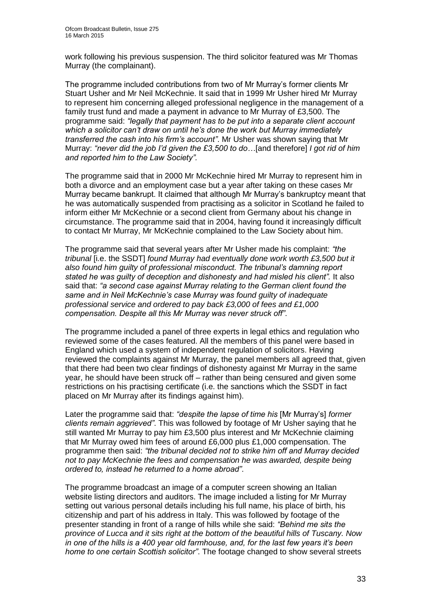work following his previous suspension. The third solicitor featured was Mr Thomas Murray (the complainant).

The programme included contributions from two of Mr Murray's former clients Mr Stuart Usher and Mr Neil McKechnie. It said that in 1999 Mr Usher hired Mr Murray to represent him concerning alleged professional negligence in the management of a family trust fund and made a payment in advance to Mr Murray of £3,500. The programme said: *"legally that payment has to be put into a separate client account which a solicitor can't draw on until he's done the work but Murray immediately transferred the cash into his firm's account"*. Mr Usher was shown saying that Mr Murray: *"never did the job I'd given the £3,500 to do…*[and therefore] *I got rid of him and reported him to the Law Society".*

The programme said that in 2000 Mr McKechnie hired Mr Murray to represent him in both a divorce and an employment case but a year after taking on these cases Mr Murray became bankrupt. It claimed that although Mr Murray's bankruptcy meant that he was automatically suspended from practising as a solicitor in Scotland he failed to inform either Mr McKechnie or a second client from Germany about his change in circumstance. The programme said that in 2004, having found it increasingly difficult to contact Mr Murray, Mr McKechnie complained to the Law Society about him.

The programme said that several years after Mr Usher made his complaint: *"the tribunal* [i.e. the SSDT] *found Murray had eventually done work worth £3,500 but it also found him guilty of professional misconduct. The tribunal's damning report stated he was guilty of deception and dishonesty and had misled his client".* It also said that: *"a second case against Murray relating to the German client found the same and in Neil McKechnie's case Murray was found guilty of inadequate professional service and ordered to pay back £3,000 of fees and £1,000 compensation. Despite all this Mr Murray was never struck off"*.

The programme included a panel of three experts in legal ethics and regulation who reviewed some of the cases featured. All the members of this panel were based in England which used a system of independent regulation of solicitors. Having reviewed the complaints against Mr Murray, the panel members all agreed that, given that there had been two clear findings of dishonesty against Mr Murray in the same year, he should have been struck off – rather than being censured and given some restrictions on his practising certificate (i.e. the sanctions which the SSDT in fact placed on Mr Murray after its findings against him).

Later the programme said that: *"despite the lapse of time his* [Mr Murray's] *former clients remain aggrieved"*. This was followed by footage of Mr Usher saying that he still wanted Mr Murray to pay him £3,500 plus interest and Mr McKechnie claiming that Mr Murray owed him fees of around £6,000 plus £1,000 compensation. The programme then said: *"the tribunal decided not to strike him off and Murray decided not to pay McKechnie the fees and compensation he was awarded, despite being ordered to, instead he returned to a home abroad"*.

The programme broadcast an image of a computer screen showing an Italian website listing directors and auditors. The image included a listing for Mr Murray setting out various personal details including his full name, his place of birth, his citizenship and part of his address in Italy. This was followed by footage of the presenter standing in front of a range of hills while she said: *"Behind me sits the province of Lucca and it sits right at the bottom of the beautiful hills of Tuscany. Now in one of the hills is a 400 year old farmhouse, and, for the last few years it's been home to one certain Scottish solicitor"*. The footage changed to show several streets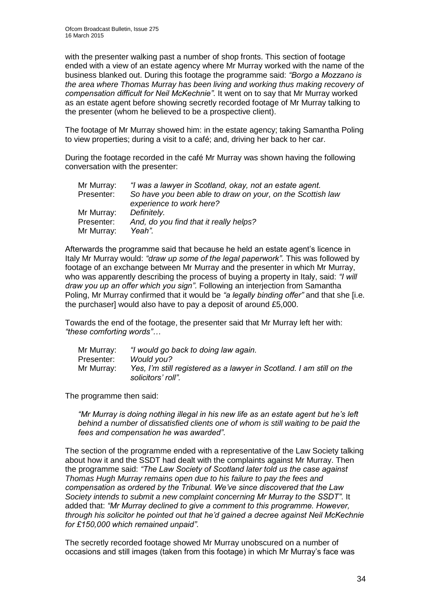with the presenter walking past a number of shop fronts. This section of footage ended with a view of an estate agency where Mr Murray worked with the name of the business blanked out. During this footage the programme said: *"Borgo a Mozzano is the area where Thomas Murray has been living and working thus making recovery of compensation difficult for Neil McKechnie"*. It went on to say that Mr Murray worked as an estate agent before showing secretly recorded footage of Mr Murray talking to the presenter (whom he believed to be a prospective client).

The footage of Mr Murray showed him: in the estate agency; taking Samantha Poling to view properties; during a visit to a café; and, driving her back to her car.

During the footage recorded in the café Mr Murray was shown having the following conversation with the presenter:

| Mr Murray: | "I was a lawyer in Scotland, okay, not an estate agent.                                |
|------------|----------------------------------------------------------------------------------------|
| Presenter: | So have you been able to draw on your, on the Scottish law<br>experience to work here? |
|            |                                                                                        |
| Mr Murray: | Definitely.                                                                            |
| Presenter: | And, do you find that it really helps?                                                 |
| Mr Murray: | Yeah".                                                                                 |

Afterwards the programme said that because he held an estate agent's licence in Italy Mr Murray would: *"draw up some of the legal paperwork"*. This was followed by footage of an exchange between Mr Murray and the presenter in which Mr Murray, who was apparently describing the process of buying a property in Italy, said: *"I will draw you up an offer which you sign"*. Following an interjection from Samantha Poling, Mr Murray confirmed that it would be *"a legally binding offer"* and that she [i.e. the purchaser] would also have to pay a deposit of around £5,000.

Towards the end of the footage, the presenter said that Mr Murray left her with: *"these comforting words"…*

| Mr Murray: | "I would go back to doing law again.                                                       |
|------------|--------------------------------------------------------------------------------------------|
| Presenter: | Would you?                                                                                 |
| Mr Murray: | Yes, I'm still registered as a lawyer in Scotland. I am still on the<br>solicitors' roll". |

The programme then said:

*"Mr Murray is doing nothing illegal in his new life as an estate agent but he's left behind a number of dissatisfied clients one of whom is still waiting to be paid the fees and compensation he was awarded"*.

The section of the programme ended with a representative of the Law Society talking about how it and the SSDT had dealt with the complaints against Mr Murray. Then the programme said: *"The Law Society of Scotland later told us the case against Thomas Hugh Murray remains open due to his failure to pay the fees and compensation as ordered by the Tribunal. We've since discovered that the Law Society intends to submit a new complaint concerning Mr Murray to the SSDT"*. It added that: *"Mr Murray declined to give a comment to this programme. However, through his solicitor he pointed out that he'd gained a decree against Neil McKechnie for £150,000 which remained unpaid"*.

The secretly recorded footage showed Mr Murray unobscured on a number of occasions and still images (taken from this footage) in which Mr Murray's face was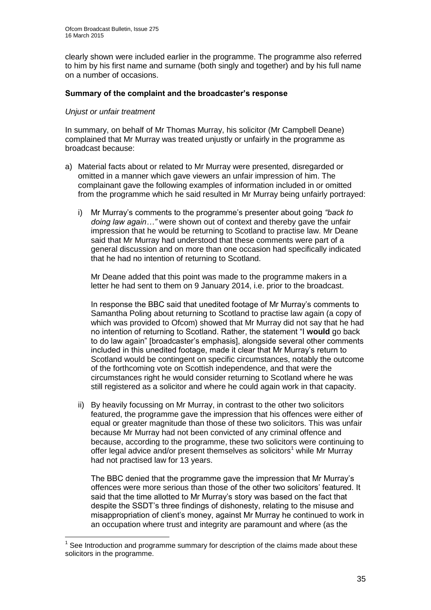clearly shown were included earlier in the programme. The programme also referred to him by his first name and surname (both singly and together) and by his full name on a number of occasions.

#### **Summary of the complaint and the broadcaster's response**

#### *Unjust or unfair treatment*

1

In summary, on behalf of Mr Thomas Murray, his solicitor (Mr Campbell Deane) complained that Mr Murray was treated unjustly or unfairly in the programme as broadcast because:

- a) Material facts about or related to Mr Murray were presented, disregarded or omitted in a manner which gave viewers an unfair impression of him. The complainant gave the following examples of information included in or omitted from the programme which he said resulted in Mr Murray being unfairly portrayed:
	- i) Mr Murray's comments to the programme's presenter about going *"back to doing law again…"* were shown out of context and thereby gave the unfair impression that he would be returning to Scotland to practise law. Mr Deane said that Mr Murray had understood that these comments were part of a general discussion and on more than one occasion had specifically indicated that he had no intention of returning to Scotland.

Mr Deane added that this point was made to the programme makers in a letter he had sent to them on 9 January 2014, i.e. prior to the broadcast.

In response the BBC said that unedited footage of Mr Murray's comments to Samantha Poling about returning to Scotland to practise law again (a copy of which was provided to Ofcom) showed that Mr Murray did not say that he had no intention of returning to Scotland. Rather, the statement "I **would** go back to do law again" [broadcaster's emphasis], alongside several other comments included in this unedited footage, made it clear that Mr Murray's return to Scotland would be contingent on specific circumstances, notably the outcome of the forthcoming vote on Scottish independence, and that were the circumstances right he would consider returning to Scotland where he was still registered as a solicitor and where he could again work in that capacity.

ii) By heavily focussing on Mr Murray, in contrast to the other two solicitors featured, the programme gave the impression that his offences were either of equal or greater magnitude than those of these two solicitors. This was unfair because Mr Murray had not been convicted of any criminal offence and because, according to the programme, these two solicitors were continuing to offer legal advice and/or present themselves as solicitors<sup>1</sup> while Mr Murray had not practised law for 13 years.

The BBC denied that the programme gave the impression that Mr Murray's offences were more serious than those of the other two solicitors' featured. It said that the time allotted to Mr Murray's story was based on the fact that despite the SSDT's three findings of dishonesty, relating to the misuse and misappropriation of client's money, against Mr Murray he continued to work in an occupation where trust and integrity are paramount and where (as the

 $1$  See Introduction and programme summary for description of the claims made about these solicitors in the programme.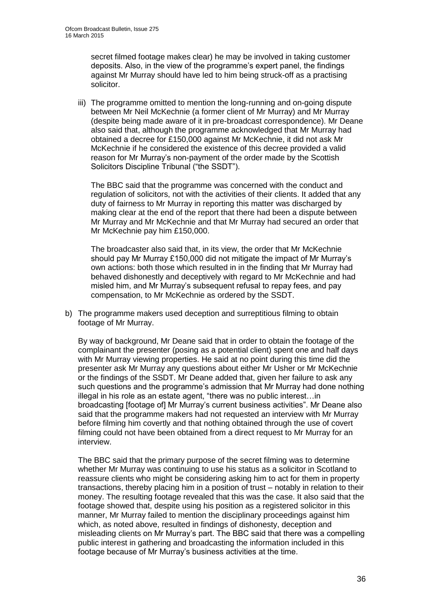secret filmed footage makes clear) he may be involved in taking customer deposits. Also, in the view of the programme's expert panel, the findings against Mr Murray should have led to him being struck-off as a practising solicitor.

iii) The programme omitted to mention the long-running and on-going dispute between Mr Neil McKechnie (a former client of Mr Murray) and Mr Murray (despite being made aware of it in pre-broadcast correspondence). Mr Deane also said that, although the programme acknowledged that Mr Murray had obtained a decree for £150,000 against Mr McKechnie, it did not ask Mr McKechnie if he considered the existence of this decree provided a valid reason for Mr Murray's non-payment of the order made by the Scottish Solicitors Discipline Tribunal ("the SSDT").

The BBC said that the programme was concerned with the conduct and regulation of solicitors, not with the activities of their clients. It added that any duty of fairness to Mr Murray in reporting this matter was discharged by making clear at the end of the report that there had been a dispute between Mr Murray and Mr McKechnie and that Mr Murray had secured an order that Mr McKechnie pay him £150,000.

The broadcaster also said that, in its view, the order that Mr McKechnie should pay Mr Murray £150,000 did not mitigate the impact of Mr Murray's own actions: both those which resulted in in the finding that Mr Murray had behaved dishonestly and deceptively with regard to Mr McKechnie and had misled him, and Mr Murray's subsequent refusal to repay fees, and pay compensation, to Mr McKechnie as ordered by the SSDT.

b) The programme makers used deception and surreptitious filming to obtain footage of Mr Murray.

By way of background, Mr Deane said that in order to obtain the footage of the complainant the presenter (posing as a potential client) spent one and half days with Mr Murray viewing properties. He said at no point during this time did the presenter ask Mr Murray any questions about either Mr Usher or Mr McKechnie or the findings of the SSDT. Mr Deane added that, given her failure to ask any such questions and the programme's admission that Mr Murray had done nothing illegal in his role as an estate agent, "there was no public interest…in broadcasting [footage of] Mr Murray's current business activities". Mr Deane also said that the programme makers had not requested an interview with Mr Murray before filming him covertly and that nothing obtained through the use of covert filming could not have been obtained from a direct request to Mr Murray for an interview.

The BBC said that the primary purpose of the secret filming was to determine whether Mr Murray was continuing to use his status as a solicitor in Scotland to reassure clients who might be considering asking him to act for them in property transactions, thereby placing him in a position of trust – notably in relation to their money. The resulting footage revealed that this was the case. It also said that the footage showed that, despite using his position as a registered solicitor in this manner, Mr Murray failed to mention the disciplinary proceedings against him which, as noted above, resulted in findings of dishonesty, deception and misleading clients on Mr Murray's part. The BBC said that there was a compelling public interest in gathering and broadcasting the information included in this footage because of Mr Murray's business activities at the time.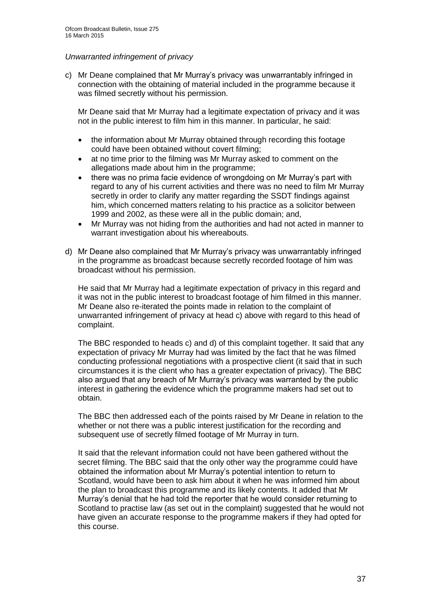#### *Unwarranted infringement of privacy*

c) Mr Deane complained that Mr Murray's privacy was unwarrantably infringed in connection with the obtaining of material included in the programme because it was filmed secretly without his permission.

Mr Deane said that Mr Murray had a legitimate expectation of privacy and it was not in the public interest to film him in this manner. In particular, he said:

- the information about Mr Murray obtained through recording this footage could have been obtained without covert filming;
- at no time prior to the filming was Mr Murray asked to comment on the allegations made about him in the programme;
- there was no prima facie evidence of wrongdoing on Mr Murray's part with regard to any of his current activities and there was no need to film Mr Murray secretly in order to clarify any matter regarding the SSDT findings against him, which concerned matters relating to his practice as a solicitor between 1999 and 2002, as these were all in the public domain; and,
- Mr Murray was not hiding from the authorities and had not acted in manner to warrant investigation about his whereabouts.
- d) Mr Deane also complained that Mr Murray's privacy was unwarrantably infringed in the programme as broadcast because secretly recorded footage of him was broadcast without his permission.

He said that Mr Murray had a legitimate expectation of privacy in this regard and it was not in the public interest to broadcast footage of him filmed in this manner. Mr Deane also re-iterated the points made in relation to the complaint of unwarranted infringement of privacy at head c) above with regard to this head of complaint.

The BBC responded to heads c) and d) of this complaint together. It said that any expectation of privacy Mr Murray had was limited by the fact that he was filmed conducting professional negotiations with a prospective client (it said that in such circumstances it is the client who has a greater expectation of privacy). The BBC also argued that any breach of Mr Murray's privacy was warranted by the public interest in gathering the evidence which the programme makers had set out to obtain.

The BBC then addressed each of the points raised by Mr Deane in relation to the whether or not there was a public interest justification for the recording and subsequent use of secretly filmed footage of Mr Murray in turn.

It said that the relevant information could not have been gathered without the secret filming. The BBC said that the only other way the programme could have obtained the information about Mr Murray's potential intention to return to Scotland, would have been to ask him about it when he was informed him about the plan to broadcast this programme and its likely contents. It added that Mr Murray's denial that he had told the reporter that he would consider returning to Scotland to practise law (as set out in the complaint) suggested that he would not have given an accurate response to the programme makers if they had opted for this course.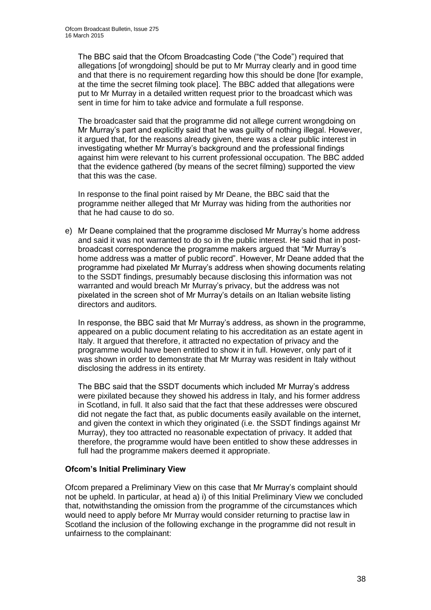The BBC said that the Ofcom Broadcasting Code ("the Code") required that allegations [of wrongdoing] should be put to Mr Murray clearly and in good time and that there is no requirement regarding how this should be done [for example, at the time the secret filming took place]. The BBC added that allegations were put to Mr Murray in a detailed written request prior to the broadcast which was sent in time for him to take advice and formulate a full response.

The broadcaster said that the programme did not allege current wrongdoing on Mr Murray's part and explicitly said that he was guilty of nothing illegal. However, it argued that, for the reasons already given, there was a clear public interest in investigating whether Mr Murray's background and the professional findings against him were relevant to his current professional occupation. The BBC added that the evidence gathered (by means of the secret filming) supported the view that this was the case.

In response to the final point raised by Mr Deane, the BBC said that the programme neither alleged that Mr Murray was hiding from the authorities nor that he had cause to do so.

e) Mr Deane complained that the programme disclosed Mr Murray's home address and said it was not warranted to do so in the public interest. He said that in postbroadcast correspondence the programme makers argued that "Mr Murray's home address was a matter of public record". However, Mr Deane added that the programme had pixelated Mr Murray's address when showing documents relating to the SSDT findings, presumably because disclosing this information was not warranted and would breach Mr Murray's privacy, but the address was not pixelated in the screen shot of Mr Murray's details on an Italian website listing directors and auditors.

In response, the BBC said that Mr Murray's address, as shown in the programme, appeared on a public document relating to his accreditation as an estate agent in Italy. It argued that therefore, it attracted no expectation of privacy and the programme would have been entitled to show it in full. However, only part of it was shown in order to demonstrate that Mr Murray was resident in Italy without disclosing the address in its entirety.

The BBC said that the SSDT documents which included Mr Murray's address were pixilated because they showed his address in Italy, and his former address in Scotland, in full. It also said that the fact that these addresses were obscured did not negate the fact that, as public documents easily available on the internet, and given the context in which they originated (i.e. the SSDT findings against Mr Murray), they too attracted no reasonable expectation of privacy. It added that therefore, the programme would have been entitled to show these addresses in full had the programme makers deemed it appropriate.

#### **Ofcom's Initial Preliminary View**

Ofcom prepared a Preliminary View on this case that Mr Murray's complaint should not be upheld. In particular, at head a) i) of this Initial Preliminary View we concluded that, notwithstanding the omission from the programme of the circumstances which would need to apply before Mr Murray would consider returning to practise law in Scotland the inclusion of the following exchange in the programme did not result in unfairness to the complainant: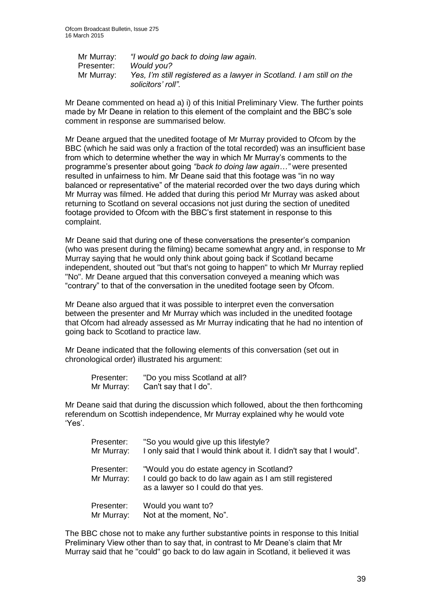| Mr Murray: | "I would go back to doing law again.                                                       |
|------------|--------------------------------------------------------------------------------------------|
| Presenter: | Would vou?                                                                                 |
| Mr Murray: | Yes, I'm still registered as a lawyer in Scotland. I am still on the<br>solicitors' roll". |

Mr Deane commented on head a) i) of this Initial Preliminary View. The further points made by Mr Deane in relation to this element of the complaint and the BBC's sole comment in response are summarised below.

Mr Deane argued that the unedited footage of Mr Murray provided to Ofcom by the BBC (which he said was only a fraction of the total recorded) was an insufficient base from which to determine whether the way in which Mr Murray's comments to the programme's presenter about going *"back to doing law again…"* were presented resulted in unfairness to him. Mr Deane said that this footage was "in no way balanced or representative" of the material recorded over the two days during which Mr Murray was filmed. He added that during this period Mr Murray was asked about returning to Scotland on several occasions not just during the section of unedited footage provided to Ofcom with the BBC's first statement in response to this complaint.

Mr Deane said that during one of these conversations the presenter's companion (who was present during the filming) became somewhat angry and, in response to Mr Murray saying that he would only think about going back if Scotland became independent, shouted out "but that's not going to happen" to which Mr Murray replied "No". Mr Deane argued that this conversation conveyed a meaning which was "contrary" to that of the conversation in the unedited footage seen by Ofcom.

Mr Deane also argued that it was possible to interpret even the conversation between the presenter and Mr Murray which was included in the unedited footage that Ofcom had already assessed as Mr Murray indicating that he had no intention of going back to Scotland to practice law.

Mr Deane indicated that the following elements of this conversation (set out in chronological order) illustrated his argument:

| Presenter: | "Do you miss Scotland at all? |
|------------|-------------------------------|
| Mr Murray: | Can't say that I do".         |

Mr Deane said that during the discussion which followed, about the then forthcoming referendum on Scottish independence, Mr Murray explained why he would vote 'Yes'.

| Presenter:               | "So you would give up this lifestyle?                                                                                                       |
|--------------------------|---------------------------------------------------------------------------------------------------------------------------------------------|
| Mr Murray:               | I only said that I would think about it. I didn't say that I would".                                                                        |
| Presenter:<br>Mr Murray: | "Would you do estate agency in Scotland?<br>I could go back to do law again as I am still registered<br>as a lawyer so I could do that yes. |
| Presenter:               | Would you want to?                                                                                                                          |
| Mr Murray:               | Not at the moment, No".                                                                                                                     |

The BBC chose not to make any further substantive points in response to this Initial Preliminary View other than to say that, in contrast to Mr Deane's claim that Mr Murray said that he "could" go back to do law again in Scotland, it believed it was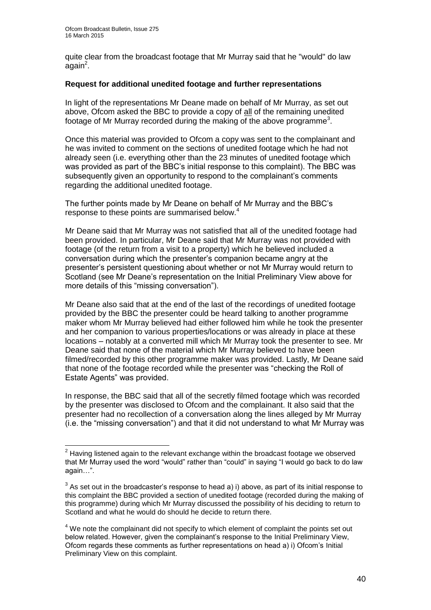<u>.</u>

quite clear from the broadcast footage that Mr Murray said that he "would" do law  $a$ gain<sup>2</sup>.

#### **Request for additional unedited footage and further representations**

In light of the representations Mr Deane made on behalf of Mr Murray, as set out above, Ofcom asked the BBC to provide a copy of all of the remaining unedited footage of Mr Murray recorded during the making of the above programme<sup>3</sup>.

Once this material was provided to Ofcom a copy was sent to the complainant and he was invited to comment on the sections of unedited footage which he had not already seen (i.e. everything other than the 23 minutes of unedited footage which was provided as part of the BBC's initial response to this complaint). The BBC was subsequently given an opportunity to respond to the complainant's comments regarding the additional unedited footage.

The further points made by Mr Deane on behalf of Mr Murray and the BBC's response to these points are summarised below.<sup>4</sup>

Mr Deane said that Mr Murray was not satisfied that all of the unedited footage had been provided. In particular, Mr Deane said that Mr Murray was not provided with footage (of the return from a visit to a property) which he believed included a conversation during which the presenter's companion became angry at the presenter's persistent questioning about whether or not Mr Murray would return to Scotland (see Mr Deane's representation on the Initial Preliminary View above for more details of this "missing conversation").

Mr Deane also said that at the end of the last of the recordings of unedited footage provided by the BBC the presenter could be heard talking to another programme maker whom Mr Murray believed had either followed him while he took the presenter and her companion to various properties/locations or was already in place at these locations – notably at a converted mill which Mr Murray took the presenter to see. Mr Deane said that none of the material which Mr Murray believed to have been filmed/recorded by this other programme maker was provided. Lastly, Mr Deane said that none of the footage recorded while the presenter was "checking the Roll of Estate Agents" was provided.

In response, the BBC said that all of the secretly filmed footage which was recorded by the presenter was disclosed to Ofcom and the complainant. It also said that the presenter had no recollection of a conversation along the lines alleged by Mr Murray (i.e. the "missing conversation") and that it did not understand to what Mr Murray was

 $2$  Having listened again to the relevant exchange within the broadcast footage we observed that Mr Murray used the word "would" rather than "could" in saying "I would go back to do law again…".

 $3$  As set out in the broadcaster's response to head a) i) above, as part of its initial response to this complaint the BBC provided a section of unedited footage (recorded during the making of this programme) during which Mr Murray discussed the possibility of his deciding to return to Scotland and what he would do should he decide to return there.

 $4$  We note the complainant did not specify to which element of complaint the points set out below related. However, given the complainant's response to the Initial Preliminary View, Ofcom regards these comments as further representations on head a) i) Ofcom's Initial Preliminary View on this complaint.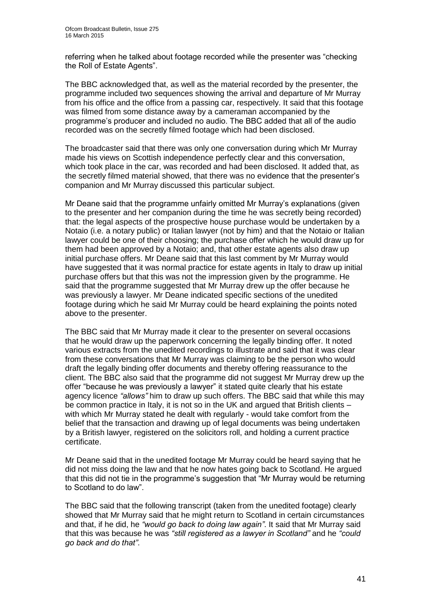referring when he talked about footage recorded while the presenter was "checking the Roll of Estate Agents".

The BBC acknowledged that, as well as the material recorded by the presenter, the programme included two sequences showing the arrival and departure of Mr Murray from his office and the office from a passing car, respectively. It said that this footage was filmed from some distance away by a cameraman accompanied by the programme's producer and included no audio. The BBC added that all of the audio recorded was on the secretly filmed footage which had been disclosed.

The broadcaster said that there was only one conversation during which Mr Murray made his views on Scottish independence perfectly clear and this conversation, which took place in the car, was recorded and had been disclosed. It added that, as the secretly filmed material showed, that there was no evidence that the presenter's companion and Mr Murray discussed this particular subject.

Mr Deane said that the programme unfairly omitted Mr Murray's explanations (given to the presenter and her companion during the time he was secretly being recorded) that: the legal aspects of the prospective house purchase would be undertaken by a Notaio (i.e. a notary public) or Italian lawyer (not by him) and that the Notaio or Italian lawyer could be one of their choosing; the purchase offer which he would draw up for them had been approved by a Notaio; and, that other estate agents also draw up initial purchase offers. Mr Deane said that this last comment by Mr Murray would have suggested that it was normal practice for estate agents in Italy to draw up initial purchase offers but that this was not the impression given by the programme. He said that the programme suggested that Mr Murray drew up the offer because he was previously a lawyer. Mr Deane indicated specific sections of the unedited footage during which he said Mr Murray could be heard explaining the points noted above to the presenter.

The BBC said that Mr Murray made it clear to the presenter on several occasions that he would draw up the paperwork concerning the legally binding offer. It noted various extracts from the unedited recordings to illustrate and said that it was clear from these conversations that Mr Murray was claiming to be the person who would draft the legally binding offer documents and thereby offering reassurance to the client. The BBC also said that the programme did not suggest Mr Murray drew up the offer "because he was previously a lawyer" it stated quite clearly that his estate agency licence *"allows"* him to draw up such offers. The BBC said that while this may be common practice in Italy, it is not so in the UK and argued that British clients – with which Mr Murray stated he dealt with regularly - would take comfort from the belief that the transaction and drawing up of legal documents was being undertaken by a British lawyer, registered on the solicitors roll, and holding a current practice certificate.

Mr Deane said that in the unedited footage Mr Murray could be heard saying that he did not miss doing the law and that he now hates going back to Scotland. He argued that this did not tie in the programme's suggestion that "Mr Murray would be returning to Scotland to do law".

The BBC said that the following transcript (taken from the unedited footage) clearly showed that Mr Murray said that he might return to Scotland in certain circumstances and that, if he did, he *"would go back to doing law again"*. It said that Mr Murray said that this was because he was *"still registered as a lawyer in Scotland"* and he *"could go back and do that"*.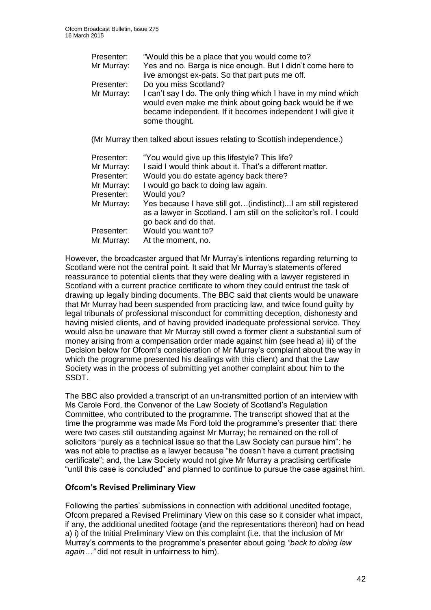| Presenter:<br>Mr Murray:<br>Presenter:<br>Mr Murray: | "Would this be a place that you would come to?<br>Yes and no. Barga is nice enough. But I didn't come here to<br>live amongst ex-pats. So that part puts me off.<br>Do you miss Scotland?<br>I can't say I do. The only thing which I have in my mind which<br>would even make me think about going back would be if we<br>became independent. If it becomes independent I will give it<br>some thought. |
|------------------------------------------------------|----------------------------------------------------------------------------------------------------------------------------------------------------------------------------------------------------------------------------------------------------------------------------------------------------------------------------------------------------------------------------------------------------------|
|                                                      | (Mr Murray then talked about issues relating to Scottish independence.)                                                                                                                                                                                                                                                                                                                                  |
| Presenter:<br>Mr Murray:<br>Presenter:<br>Mr Murray: | "You would give up this lifestyle? This life?<br>I said I would think about it. That's a different matter.<br>Would you do estate agency back there?<br>I would go back to doing law again.                                                                                                                                                                                                              |
| Presenter:<br>Mr Murray:                             | Would you?<br>Yes because I have still got(indistinct)I am still registered<br>as a lawyer in Scotland. I am still on the solicitor's roll. I could<br>go back and do that.                                                                                                                                                                                                                              |
| Presenter:<br>Mr Murray:                             | Would you want to?<br>At the moment, no.                                                                                                                                                                                                                                                                                                                                                                 |

However, the broadcaster argued that Mr Murray's intentions regarding returning to Scotland were not the central point. It said that Mr Murray's statements offered reassurance to potential clients that they were dealing with a lawyer registered in Scotland with a current practice certificate to whom they could entrust the task of drawing up legally binding documents. The BBC said that clients would be unaware that Mr Murray had been suspended from practicing law, and twice found guilty by legal tribunals of professional misconduct for committing deception, dishonesty and having misled clients, and of having provided inadequate professional service. They would also be unaware that Mr Murray still owed a former client a substantial sum of money arising from a compensation order made against him (see head a) iii) of the Decision below for Ofcom's consideration of Mr Murray's complaint about the way in which the programme presented his dealings with this client) and that the Law Society was in the process of submitting yet another complaint about him to the SSDT.

The BBC also provided a transcript of an un-transmitted portion of an interview with Ms Carole Ford, the Convenor of the Law Society of Scotland's Regulation Committee, who contributed to the programme. The transcript showed that at the time the programme was made Ms Ford told the programme's presenter that: there were two cases still outstanding against Mr Murray; he remained on the roll of solicitors "purely as a technical issue so that the Law Society can pursue him"; he was not able to practise as a lawyer because "he doesn't have a current practising certificate"; and, the Law Society would not give Mr Murray a practising certificate "until this case is concluded" and planned to continue to pursue the case against him.

#### **Ofcom's Revised Preliminary View**

Following the parties' submissions in connection with additional unedited footage, Ofcom prepared a Revised Preliminary View on this case so it consider what impact, if any, the additional unedited footage (and the representations thereon) had on head a) i) of the Initial Preliminary View on this complaint (i.e. that the inclusion of Mr Murray's comments to the programme's presenter about going *"back to doing law again…"* did not result in unfairness to him).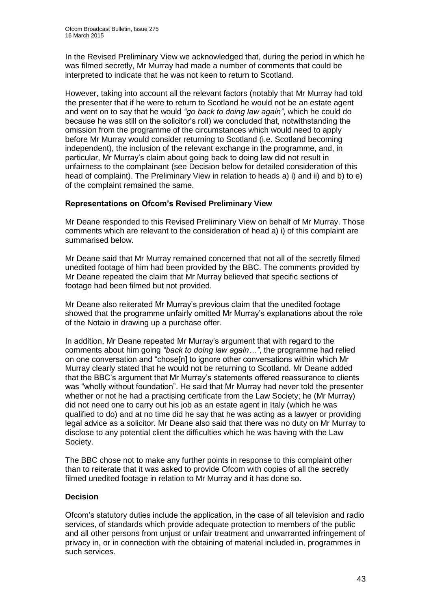In the Revised Preliminary View we acknowledged that, during the period in which he was filmed secretly, Mr Murray had made a number of comments that could be interpreted to indicate that he was not keen to return to Scotland.

However, taking into account all the relevant factors (notably that Mr Murray had told the presenter that if he were to return to Scotland he would not be an estate agent and went on to say that he would *"go back to doing law again"*, which he could do because he was still on the solicitor's roll) we concluded that, notwithstanding the omission from the programme of the circumstances which would need to apply before Mr Murray would consider returning to Scotland (i.e. Scotland becoming independent), the inclusion of the relevant exchange in the programme, and, in particular, Mr Murray's claim about going back to doing law did not result in unfairness to the complainant (see Decision below for detailed consideration of this head of complaint). The Preliminary View in relation to heads a) i) and ii) and b) to e) of the complaint remained the same.

### **Representations on Ofcom's Revised Preliminary View**

Mr Deane responded to this Revised Preliminary View on behalf of Mr Murray. Those comments which are relevant to the consideration of head a) i) of this complaint are summarised below.

Mr Deane said that Mr Murray remained concerned that not all of the secretly filmed unedited footage of him had been provided by the BBC. The comments provided by Mr Deane repeated the claim that Mr Murray believed that specific sections of footage had been filmed but not provided.

Mr Deane also reiterated Mr Murray's previous claim that the unedited footage showed that the programme unfairly omitted Mr Murray's explanations about the role of the Notaio in drawing up a purchase offer.

In addition, Mr Deane repeated Mr Murray's argument that with regard to the comments about him going *"back to doing law again…"*, the programme had relied on one conversation and "chose[n] to ignore other conversations within which Mr Murray clearly stated that he would not be returning to Scotland. Mr Deane added that the BBC's argument that Mr Murray's statements offered reassurance to clients was "wholly without foundation". He said that Mr Murray had never told the presenter whether or not he had a practising certificate from the Law Society; he (Mr Murray) did not need one to carry out his job as an estate agent in Italy (which he was qualified to do) and at no time did he say that he was acting as a lawyer or providing legal advice as a solicitor. Mr Deane also said that there was no duty on Mr Murray to disclose to any potential client the difficulties which he was having with the Law Society.

The BBC chose not to make any further points in response to this complaint other than to reiterate that it was asked to provide Ofcom with copies of all the secretly filmed unedited footage in relation to Mr Murray and it has done so.

## **Decision**

Ofcom's statutory duties include the application, in the case of all television and radio services, of standards which provide adequate protection to members of the public and all other persons from unjust or unfair treatment and unwarranted infringement of privacy in, or in connection with the obtaining of material included in, programmes in such services.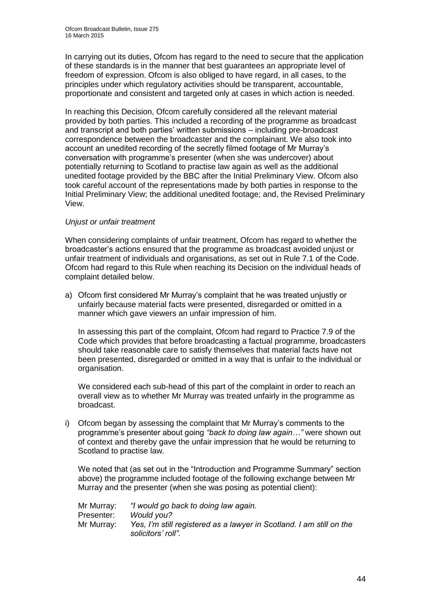In carrying out its duties, Ofcom has regard to the need to secure that the application of these standards is in the manner that best guarantees an appropriate level of freedom of expression. Ofcom is also obliged to have regard, in all cases, to the principles under which regulatory activities should be transparent, accountable, proportionate and consistent and targeted only at cases in which action is needed.

In reaching this Decision, Ofcom carefully considered all the relevant material provided by both parties. This included a recording of the programme as broadcast and transcript and both parties' written submissions – including pre-broadcast correspondence between the broadcaster and the complainant. We also took into account an unedited recording of the secretly filmed footage of Mr Murray's conversation with programme's presenter (when she was undercover) about potentially returning to Scotland to practise law again as well as the additional unedited footage provided by the BBC after the Initial Preliminary View. Ofcom also took careful account of the representations made by both parties in response to the Initial Preliminary View; the additional unedited footage; and, the Revised Preliminary View.

#### *Unjust or unfair treatment*

When considering complaints of unfair treatment, Ofcom has regard to whether the broadcaster's actions ensured that the programme as broadcast avoided unjust or unfair treatment of individuals and organisations, as set out in Rule 7.1 of the Code. Ofcom had regard to this Rule when reaching its Decision on the individual heads of complaint detailed below.

a) Ofcom first considered Mr Murray's complaint that he was treated unjustly or unfairly because material facts were presented, disregarded or omitted in a manner which gave viewers an unfair impression of him.

In assessing this part of the complaint, Ofcom had regard to Practice 7.9 of the Code which provides that before broadcasting a factual programme, broadcasters should take reasonable care to satisfy themselves that material facts have not been presented, disregarded or omitted in a way that is unfair to the individual or organisation.

We considered each sub-head of this part of the complaint in order to reach an overall view as to whether Mr Murray was treated unfairly in the programme as broadcast.

i) Ofcom began by assessing the complaint that Mr Murray's comments to the programme's presenter about going *"back to doing law again…"* were shown out of context and thereby gave the unfair impression that he would be returning to Scotland to practise law.

We noted that (as set out in the "Introduction and Programme Summary" section above) the programme included footage of the following exchange between Mr Murray and the presenter (when she was posing as potential client):

| Mr Murray: | "I would go back to doing law again.                                                       |
|------------|--------------------------------------------------------------------------------------------|
| Presenter: | Would you?                                                                                 |
| Mr Murray: | Yes, I'm still registered as a lawyer in Scotland. I am still on the<br>solicitors' roll". |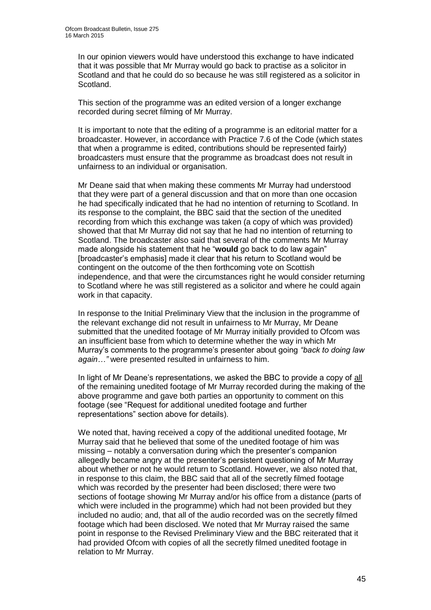In our opinion viewers would have understood this exchange to have indicated that it was possible that Mr Murray would go back to practise as a solicitor in Scotland and that he could do so because he was still registered as a solicitor in Scotland.

This section of the programme was an edited version of a longer exchange recorded during secret filming of Mr Murray.

It is important to note that the editing of a programme is an editorial matter for a broadcaster. However, in accordance with Practice 7.6 of the Code (which states that when a programme is edited, contributions should be represented fairly) broadcasters must ensure that the programme as broadcast does not result in unfairness to an individual or organisation.

Mr Deane said that when making these comments Mr Murray had understood that they were part of a general discussion and that on more than one occasion he had specifically indicated that he had no intention of returning to Scotland. In its response to the complaint, the BBC said that the section of the unedited recording from which this exchange was taken (a copy of which was provided) showed that that Mr Murray did not say that he had no intention of returning to Scotland. The broadcaster also said that several of the comments Mr Murray made alongside his statement that he "**would** go back to do law again" [broadcaster's emphasis] made it clear that his return to Scotland would be contingent on the outcome of the then forthcoming vote on Scottish independence, and that were the circumstances right he would consider returning to Scotland where he was still registered as a solicitor and where he could again work in that capacity.

In response to the Initial Preliminary View that the inclusion in the programme of the relevant exchange did not result in unfairness to Mr Murray, Mr Deane submitted that the unedited footage of Mr Murray initially provided to Ofcom was an insufficient base from which to determine whether the way in which Mr Murray's comments to the programme's presenter about going *"back to doing law again…"* were presented resulted in unfairness to him.

In light of Mr Deane's representations, we asked the BBC to provide a copy of all of the remaining unedited footage of Mr Murray recorded during the making of the above programme and gave both parties an opportunity to comment on this footage (see "Request for additional unedited footage and further representations" section above for details).

We noted that, having received a copy of the additional unedited footage, Mr Murray said that he believed that some of the unedited footage of him was missing – notably a conversation during which the presenter's companion allegedly became angry at the presenter's persistent questioning of Mr Murray about whether or not he would return to Scotland. However, we also noted that, in response to this claim, the BBC said that all of the secretly filmed footage which was recorded by the presenter had been disclosed; there were two sections of footage showing Mr Murray and/or his office from a distance (parts of which were included in the programme) which had not been provided but they included no audio; and, that all of the audio recorded was on the secretly filmed footage which had been disclosed. We noted that Mr Murray raised the same point in response to the Revised Preliminary View and the BBC reiterated that it had provided Ofcom with copies of all the secretly filmed unedited footage in relation to Mr Murray.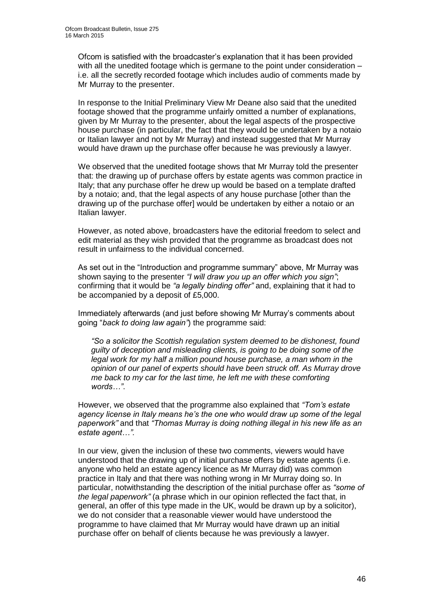Ofcom is satisfied with the broadcaster's explanation that it has been provided with all the unedited footage which is germane to the point under consideration – i.e. all the secretly recorded footage which includes audio of comments made by Mr Murray to the presenter.

In response to the Initial Preliminary View Mr Deane also said that the unedited footage showed that the programme unfairly omitted a number of explanations, given by Mr Murray to the presenter, about the legal aspects of the prospective house purchase (in particular, the fact that they would be undertaken by a notaio or Italian lawyer and not by Mr Murray) and instead suggested that Mr Murray would have drawn up the purchase offer because he was previously a lawyer.

We observed that the unedited footage shows that Mr Murray told the presenter that: the drawing up of purchase offers by estate agents was common practice in Italy; that any purchase offer he drew up would be based on a template drafted by a notaio; and, that the legal aspects of any house purchase [other than the drawing up of the purchase offer] would be undertaken by either a notaio or an Italian lawyer.

However, as noted above, broadcasters have the editorial freedom to select and edit material as they wish provided that the programme as broadcast does not result in unfairness to the individual concerned.

As set out in the "Introduction and programme summary" above, Mr Murray was shown saying to the presenter *"I will draw you up an offer which you sign"*; confirming that it would be *"a legally binding offer"* and, explaining that it had to be accompanied by a deposit of £5,000.

Immediately afterwards (and just before showing Mr Murray's comments about going "*back to doing law again"*) the programme said:

*"So a solicitor the Scottish regulation system deemed to be dishonest, found guilty of deception and misleading clients, is going to be doing some of the*  legal work for my half a million pound house purchase, a man whom in the *opinion of our panel of experts should have been struck off. As Murray drove me back to my car for the last time, he left me with these comforting words…"*.

However, we observed that the programme also explained that *"Tom's estate agency license in Italy means he's the one who would draw up some of the legal paperwork"* and that *"Thomas Murray is doing nothing illegal in his new life as an estate agent…".*

In our view, given the inclusion of these two comments, viewers would have understood that the drawing up of initial purchase offers by estate agents (i.e. anyone who held an estate agency licence as Mr Murray did) was common practice in Italy and that there was nothing wrong in Mr Murray doing so. In particular, notwithstanding the description of the initial purchase offer as *"some of the legal paperwork"* (a phrase which in our opinion reflected the fact that, in general, an offer of this type made in the UK, would be drawn up by a solicitor), we do not consider that a reasonable viewer would have understood the programme to have claimed that Mr Murray would have drawn up an initial purchase offer on behalf of clients because he was previously a lawyer.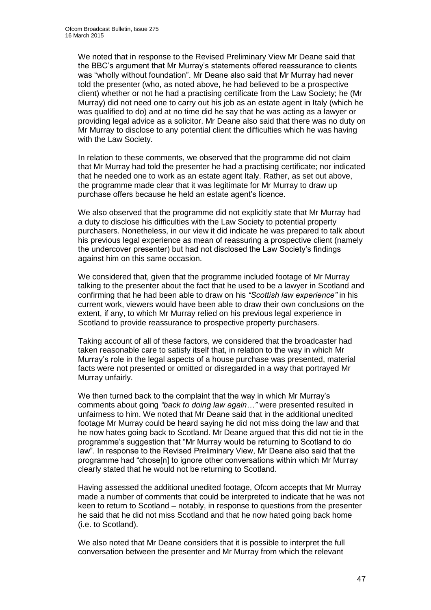We noted that in response to the Revised Preliminary View Mr Deane said that the BBC's argument that Mr Murray's statements offered reassurance to clients was "wholly without foundation". Mr Deane also said that Mr Murray had never told the presenter (who, as noted above, he had believed to be a prospective client) whether or not he had a practising certificate from the Law Society; he (Mr Murray) did not need one to carry out his job as an estate agent in Italy (which he was qualified to do) and at no time did he say that he was acting as a lawyer or providing legal advice as a solicitor. Mr Deane also said that there was no duty on Mr Murray to disclose to any potential client the difficulties which he was having with the Law Society.

In relation to these comments, we observed that the programme did not claim that Mr Murray had told the presenter he had a practising certificate; nor indicated that he needed one to work as an estate agent Italy. Rather, as set out above, the programme made clear that it was legitimate for Mr Murray to draw up purchase offers because he held an estate agent's licence.

We also observed that the programme did not explicitly state that Mr Murray had a duty to disclose his difficulties with the Law Society to potential property purchasers. Nonetheless, in our view it did indicate he was prepared to talk about his previous legal experience as mean of reassuring a prospective client (namely the undercover presenter) but had not disclosed the Law Society's findings against him on this same occasion.

We considered that, given that the programme included footage of Mr Murray talking to the presenter about the fact that he used to be a lawyer in Scotland and confirming that he had been able to draw on his *"Scottish law experience"* in his current work, viewers would have been able to draw their own conclusions on the extent, if any, to which Mr Murray relied on his previous legal experience in Scotland to provide reassurance to prospective property purchasers.

Taking account of all of these factors, we considered that the broadcaster had taken reasonable care to satisfy itself that, in relation to the way in which Mr Murray's role in the legal aspects of a house purchase was presented, material facts were not presented or omitted or disregarded in a way that portrayed Mr Murray unfairly.

We then turned back to the complaint that the way in which Mr Murray's comments about going *"back to doing law again…"* were presented resulted in unfairness to him. We noted that Mr Deane said that in the additional unedited footage Mr Murray could be heard saying he did not miss doing the law and that he now hates going back to Scotland. Mr Deane argued that this did not tie in the programme's suggestion that "Mr Murray would be returning to Scotland to do law". In response to the Revised Preliminary View, Mr Deane also said that the programme had "chose[n] to ignore other conversations within which Mr Murray clearly stated that he would not be returning to Scotland.

Having assessed the additional unedited footage, Ofcom accepts that Mr Murray made a number of comments that could be interpreted to indicate that he was not keen to return to Scotland – notably, in response to questions from the presenter he said that he did not miss Scotland and that he now hated going back home (i.e. to Scotland).

We also noted that Mr Deane considers that it is possible to interpret the full conversation between the presenter and Mr Murray from which the relevant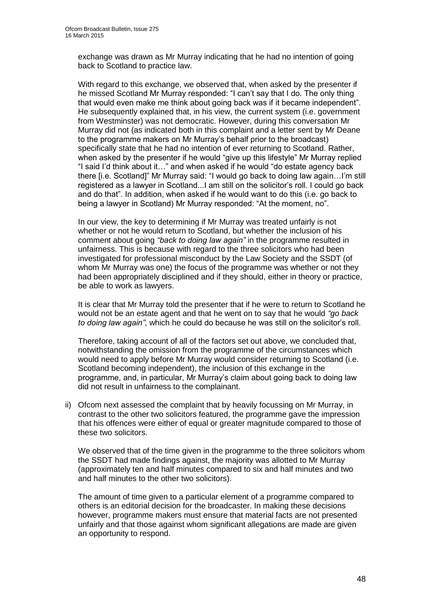exchange was drawn as Mr Murray indicating that he had no intention of going back to Scotland to practice law.

With regard to this exchange, we observed that, when asked by the presenter if he missed Scotland Mr Murray responded: "I can't say that I do. The only thing that would even make me think about going back was if it became independent". He subsequently explained that, in his view, the current system (i.e. government from Westminster) was not democratic. However, during this conversation Mr Murray did not (as indicated both in this complaint and a letter sent by Mr Deane to the programme makers on Mr Murray's behalf prior to the broadcast) specifically state that he had no intention of ever returning to Scotland. Rather, when asked by the presenter if he would "give up this lifestyle" Mr Murray replied "I said I'd think about it…" and when asked if he would "do estate agency back there [i.e. Scotland]" Mr Murray said: "I would go back to doing law again…I'm still registered as a lawyer in Scotland...I am still on the solicitor's roll. I could go back and do that". In addition, when asked if he would want to do this (i.e. go back to being a lawyer in Scotland) Mr Murray responded: "At the moment, no".

In our view, the key to determining if Mr Murray was treated unfairly is not whether or not he would return to Scotland, but whether the inclusion of his comment about going *"back to doing law again"* in the programme resulted in unfairness. This is because with regard to the three solicitors who had been investigated for professional misconduct by the Law Society and the SSDT (of whom Mr Murray was one) the focus of the programme was whether or not they had been appropriately disciplined and if they should, either in theory or practice, be able to work as lawyers.

It is clear that Mr Murray told the presenter that if he were to return to Scotland he would not be an estate agent and that he went on to say that he would *"go back to doing law again"*, which he could do because he was still on the solicitor's roll.

Therefore, taking account of all of the factors set out above, we concluded that, notwithstanding the omission from the programme of the circumstances which would need to apply before Mr Murray would consider returning to Scotland (i.e. Scotland becoming independent), the inclusion of this exchange in the programme, and, in particular, Mr Murray's claim about going back to doing law did not result in unfairness to the complainant.

ii) Ofcom next assessed the complaint that by heavily focussing on Mr Murray, in contrast to the other two solicitors featured, the programme gave the impression that his offences were either of equal or greater magnitude compared to those of these two solicitors.

We observed that of the time given in the programme to the three solicitors whom the SSDT had made findings against, the majority was allotted to Mr Murray (approximately ten and half minutes compared to six and half minutes and two and half minutes to the other two solicitors).

The amount of time given to a particular element of a programme compared to others is an editorial decision for the broadcaster. In making these decisions however, programme makers must ensure that material facts are not presented unfairly and that those against whom significant allegations are made are given an opportunity to respond.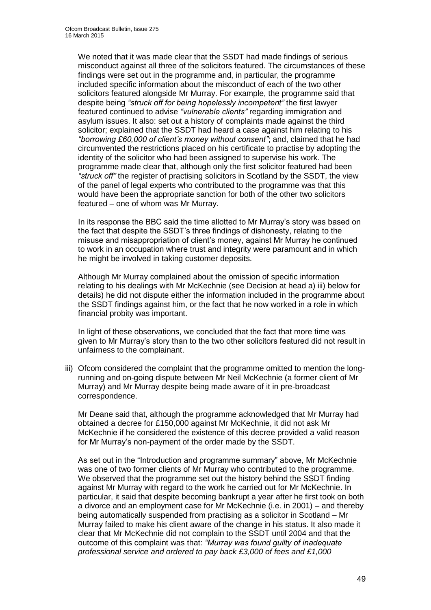We noted that it was made clear that the SSDT had made findings of serious misconduct against all three of the solicitors featured. The circumstances of these findings were set out in the programme and, in particular, the programme included specific information about the misconduct of each of the two other solicitors featured alongside Mr Murray. For example, the programme said that despite being *"struck off for being hopelessly incompetent"* the first lawyer featured continued to advise *"vulnerable clients"* regarding immigration and asylum issues. It also: set out a history of complaints made against the third solicitor; explained that the SSDT had heard a case against him relating to his *"borrowing £60,000 of client's money without consent"*; and, claimed that he had circumvented the restrictions placed on his certificate to practise by adopting the identity of the solicitor who had been assigned to supervise his work. The programme made clear that, although only the first solicitor featured had been *"struck off"* the register of practising solicitors in Scotland by the SSDT, the view of the panel of legal experts who contributed to the programme was that this would have been the appropriate sanction for both of the other two solicitors featured – one of whom was Mr Murray.

In its response the BBC said the time allotted to Mr Murray's story was based on the fact that despite the SSDT's three findings of dishonesty, relating to the misuse and misappropriation of client's money, against Mr Murray he continued to work in an occupation where trust and integrity were paramount and in which he might be involved in taking customer deposits.

Although Mr Murray complained about the omission of specific information relating to his dealings with Mr McKechnie (see Decision at head a) iii) below for details) he did not dispute either the information included in the programme about the SSDT findings against him, or the fact that he now worked in a role in which financial probity was important.

In light of these observations, we concluded that the fact that more time was given to Mr Murray's story than to the two other solicitors featured did not result in unfairness to the complainant.

iii) Ofcom considered the complaint that the programme omitted to mention the longrunning and on-going dispute between Mr Neil McKechnie (a former client of Mr Murray) and Mr Murray despite being made aware of it in pre-broadcast correspondence.

Mr Deane said that, although the programme acknowledged that Mr Murray had obtained a decree for £150,000 against Mr McKechnie, it did not ask Mr McKechnie if he considered the existence of this decree provided a valid reason for Mr Murray's non-payment of the order made by the SSDT.

As set out in the "Introduction and programme summary" above, Mr McKechnie was one of two former clients of Mr Murray who contributed to the programme. We observed that the programme set out the history behind the SSDT finding against Mr Murray with regard to the work he carried out for Mr McKechnie. In particular, it said that despite becoming bankrupt a year after he first took on both a divorce and an employment case for Mr McKechnie (i.e. in 2001) – and thereby being automatically suspended from practising as a solicitor in Scotland – Mr Murray failed to make his client aware of the change in his status. It also made it clear that Mr McKechnie did not complain to the SSDT until 2004 and that the outcome of this complaint was that: *"Murray was found guilty of inadequate professional service and ordered to pay back £3,000 of fees and £1,000*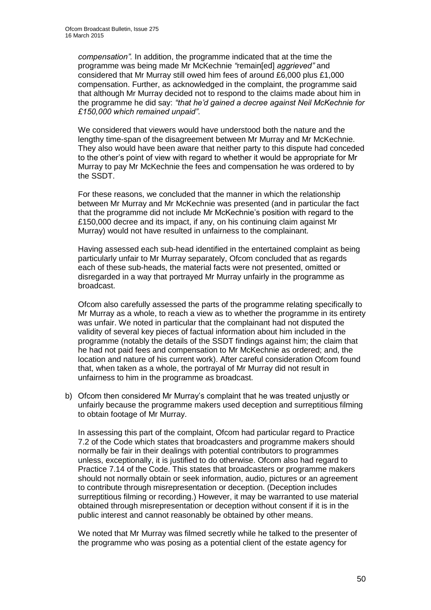*compensation".* In addition, the programme indicated that at the time the programme was being made Mr McKechnie *"*remain[ed] *aggrieved"* and considered that Mr Murray still owed him fees of around £6,000 plus £1,000 compensation. Further, as acknowledged in the complaint, the programme said that although Mr Murray decided not to respond to the claims made about him in the programme he did say: *"that he'd gained a decree against Neil McKechnie for £150,000 which remained unpaid"*.

We considered that viewers would have understood both the nature and the lengthy time-span of the disagreement between Mr Murray and Mr McKechnie. They also would have been aware that neither party to this dispute had conceded to the other's point of view with regard to whether it would be appropriate for Mr Murray to pay Mr McKechnie the fees and compensation he was ordered to by the SSDT.

For these reasons, we concluded that the manner in which the relationship between Mr Murray and Mr McKechnie was presented (and in particular the fact that the programme did not include Mr McKechnie's position with regard to the £150,000 decree and its impact, if any, on his continuing claim against Mr Murray) would not have resulted in unfairness to the complainant.

Having assessed each sub-head identified in the entertained complaint as being particularly unfair to Mr Murray separately, Ofcom concluded that as regards each of these sub-heads, the material facts were not presented, omitted or disregarded in a way that portrayed Mr Murray unfairly in the programme as broadcast.

Ofcom also carefully assessed the parts of the programme relating specifically to Mr Murray as a whole, to reach a view as to whether the programme in its entirety was unfair. We noted in particular that the complainant had not disputed the validity of several key pieces of factual information about him included in the programme (notably the details of the SSDT findings against him; the claim that he had not paid fees and compensation to Mr McKechnie as ordered; and, the location and nature of his current work). After careful consideration Ofcom found that, when taken as a whole, the portrayal of Mr Murray did not result in unfairness to him in the programme as broadcast.

b) Ofcom then considered Mr Murray's complaint that he was treated unjustly or unfairly because the programme makers used deception and surreptitious filming to obtain footage of Mr Murray.

In assessing this part of the complaint, Ofcom had particular regard to Practice 7.2 of the Code which states that broadcasters and programme makers should normally be fair in their dealings with potential contributors to programmes unless, exceptionally, it is justified to do otherwise. Ofcom also had regard to Practice 7.14 of the Code. This states that broadcasters or programme makers should not normally obtain or seek information, audio, pictures or an agreement to contribute through misrepresentation or deception. (Deception includes surreptitious filming or recording.) However, it may be warranted to use material obtained through misrepresentation or deception without consent if it is in the public interest and cannot reasonably be obtained by other means.

We noted that Mr Murray was filmed secretly while he talked to the presenter of the programme who was posing as a potential client of the estate agency for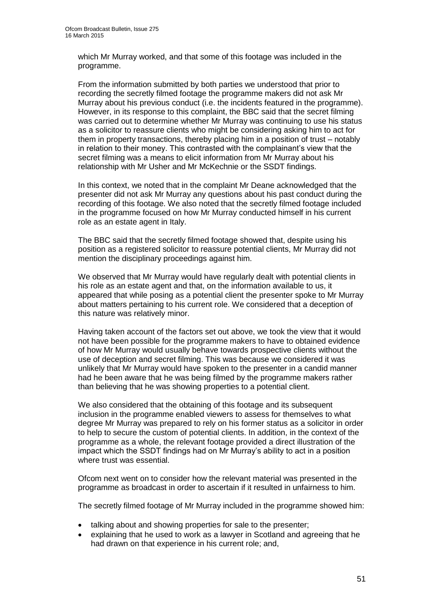which Mr Murray worked, and that some of this footage was included in the programme.

From the information submitted by both parties we understood that prior to recording the secretly filmed footage the programme makers did not ask Mr Murray about his previous conduct (i.e. the incidents featured in the programme). However, in its response to this complaint, the BBC said that the secret filming was carried out to determine whether Mr Murray was continuing to use his status as a solicitor to reassure clients who might be considering asking him to act for them in property transactions, thereby placing him in a position of trust – notably in relation to their money. This contrasted with the complainant's view that the secret filming was a means to elicit information from Mr Murray about his relationship with Mr Usher and Mr McKechnie or the SSDT findings.

In this context, we noted that in the complaint Mr Deane acknowledged that the presenter did not ask Mr Murray any questions about his past conduct during the recording of this footage. We also noted that the secretly filmed footage included in the programme focused on how Mr Murray conducted himself in his current role as an estate agent in Italy.

The BBC said that the secretly filmed footage showed that, despite using his position as a registered solicitor to reassure potential clients, Mr Murray did not mention the disciplinary proceedings against him.

We observed that Mr Murray would have regularly dealt with potential clients in his role as an estate agent and that, on the information available to us, it appeared that while posing as a potential client the presenter spoke to Mr Murray about matters pertaining to his current role. We considered that a deception of this nature was relatively minor.

Having taken account of the factors set out above, we took the view that it would not have been possible for the programme makers to have to obtained evidence of how Mr Murray would usually behave towards prospective clients without the use of deception and secret filming. This was because we considered it was unlikely that Mr Murray would have spoken to the presenter in a candid manner had he been aware that he was being filmed by the programme makers rather than believing that he was showing properties to a potential client.

We also considered that the obtaining of this footage and its subsequent inclusion in the programme enabled viewers to assess for themselves to what degree Mr Murray was prepared to rely on his former status as a solicitor in order to help to secure the custom of potential clients. In addition, in the context of the programme as a whole, the relevant footage provided a direct illustration of the impact which the SSDT findings had on Mr Murray's ability to act in a position where trust was essential.

Ofcom next went on to consider how the relevant material was presented in the programme as broadcast in order to ascertain if it resulted in unfairness to him.

The secretly filmed footage of Mr Murray included in the programme showed him:

- talking about and showing properties for sale to the presenter;
- explaining that he used to work as a lawyer in Scotland and agreeing that he had drawn on that experience in his current role; and,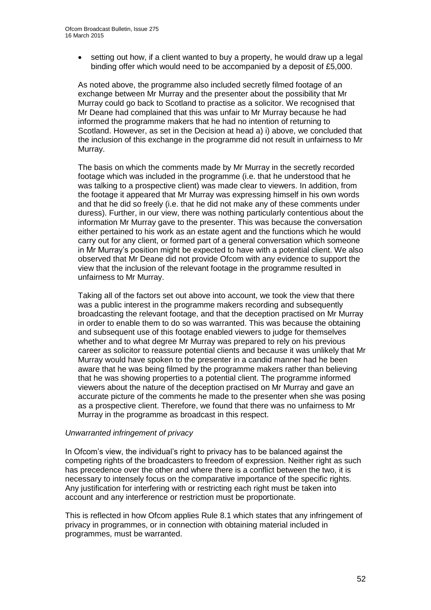setting out how, if a client wanted to buy a property, he would draw up a legal binding offer which would need to be accompanied by a deposit of £5,000.

As noted above, the programme also included secretly filmed footage of an exchange between Mr Murray and the presenter about the possibility that Mr Murray could go back to Scotland to practise as a solicitor. We recognised that Mr Deane had complained that this was unfair to Mr Murray because he had informed the programme makers that he had no intention of returning to Scotland. However, as set in the Decision at head a) i) above, we concluded that the inclusion of this exchange in the programme did not result in unfairness to Mr Murray.

The basis on which the comments made by Mr Murray in the secretly recorded footage which was included in the programme (i.e. that he understood that he was talking to a prospective client) was made clear to viewers. In addition, from the footage it appeared that Mr Murray was expressing himself in his own words and that he did so freely (i.e. that he did not make any of these comments under duress). Further, in our view, there was nothing particularly contentious about the information Mr Murray gave to the presenter. This was because the conversation either pertained to his work as an estate agent and the functions which he would carry out for any client, or formed part of a general conversation which someone in Mr Murray's position might be expected to have with a potential client. We also observed that Mr Deane did not provide Ofcom with any evidence to support the view that the inclusion of the relevant footage in the programme resulted in unfairness to Mr Murray.

Taking all of the factors set out above into account, we took the view that there was a public interest in the programme makers recording and subsequently broadcasting the relevant footage, and that the deception practised on Mr Murray in order to enable them to do so was warranted. This was because the obtaining and subsequent use of this footage enabled viewers to judge for themselves whether and to what degree Mr Murray was prepared to rely on his previous career as solicitor to reassure potential clients and because it was unlikely that Mr Murray would have spoken to the presenter in a candid manner had he been aware that he was being filmed by the programme makers rather than believing that he was showing properties to a potential client. The programme informed viewers about the nature of the deception practised on Mr Murray and gave an accurate picture of the comments he made to the presenter when she was posing as a prospective client. Therefore, we found that there was no unfairness to Mr Murray in the programme as broadcast in this respect.

#### *Unwarranted infringement of privacy*

In Ofcom's view, the individual's right to privacy has to be balanced against the competing rights of the broadcasters to freedom of expression. Neither right as such has precedence over the other and where there is a conflict between the two, it is necessary to intensely focus on the comparative importance of the specific rights. Any justification for interfering with or restricting each right must be taken into account and any interference or restriction must be proportionate.

This is reflected in how Ofcom applies Rule 8.1 which states that any infringement of privacy in programmes, or in connection with obtaining material included in programmes, must be warranted.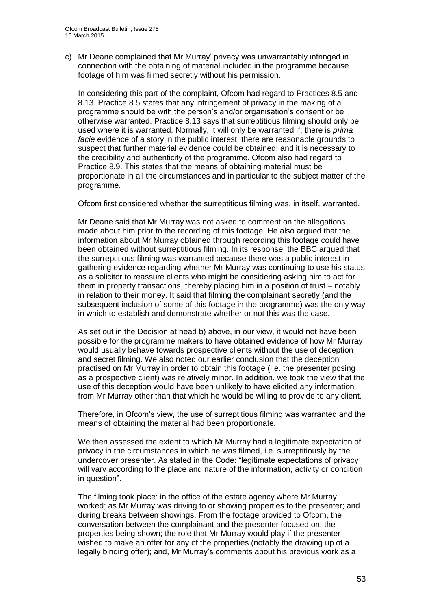c) Mr Deane complained that Mr Murray' privacy was unwarrantably infringed in connection with the obtaining of material included in the programme because footage of him was filmed secretly without his permission.

In considering this part of the complaint, Ofcom had regard to Practices 8.5 and 8.13. Practice 8.5 states that any infringement of privacy in the making of a programme should be with the person's and/or organisation's consent or be otherwise warranted. Practice 8.13 says that surreptitious filming should only be used where it is warranted. Normally, it will only be warranted if: there is *prima facie* evidence of a story in the public interest; there are reasonable grounds to suspect that further material evidence could be obtained; and it is necessary to the credibility and authenticity of the programme. Ofcom also had regard to Practice 8.9. This states that the means of obtaining material must be proportionate in all the circumstances and in particular to the subject matter of the programme.

Ofcom first considered whether the surreptitious filming was, in itself, warranted.

Mr Deane said that Mr Murray was not asked to comment on the allegations made about him prior to the recording of this footage. He also argued that the information about Mr Murray obtained through recording this footage could have been obtained without surreptitious filming. In its response, the BBC argued that the surreptitious filming was warranted because there was a public interest in gathering evidence regarding whether Mr Murray was continuing to use his status as a solicitor to reassure clients who might be considering asking him to act for them in property transactions, thereby placing him in a position of trust – notably in relation to their money. It said that filming the complainant secretly (and the subsequent inclusion of some of this footage in the programme) was the only way in which to establish and demonstrate whether or not this was the case.

As set out in the Decision at head b) above, in our view, it would not have been possible for the programme makers to have obtained evidence of how Mr Murray would usually behave towards prospective clients without the use of deception and secret filming. We also noted our earlier conclusion that the deception practised on Mr Murray in order to obtain this footage (i.e. the presenter posing as a prospective client) was relatively minor. In addition, we took the view that the use of this deception would have been unlikely to have elicited any information from Mr Murray other than that which he would be willing to provide to any client.

Therefore, in Ofcom's view, the use of surreptitious filming was warranted and the means of obtaining the material had been proportionate.

We then assessed the extent to which Mr Murray had a legitimate expectation of privacy in the circumstances in which he was filmed, i.e. surreptitiously by the undercover presenter. As stated in the Code: "legitimate expectations of privacy will vary according to the place and nature of the information, activity or condition in question".

The filming took place: in the office of the estate agency where Mr Murray worked; as Mr Murray was driving to or showing properties to the presenter; and during breaks between showings. From the footage provided to Ofcom, the conversation between the complainant and the presenter focused on: the properties being shown; the role that Mr Murray would play if the presenter wished to make an offer for any of the properties (notably the drawing up of a legally binding offer); and, Mr Murray's comments about his previous work as a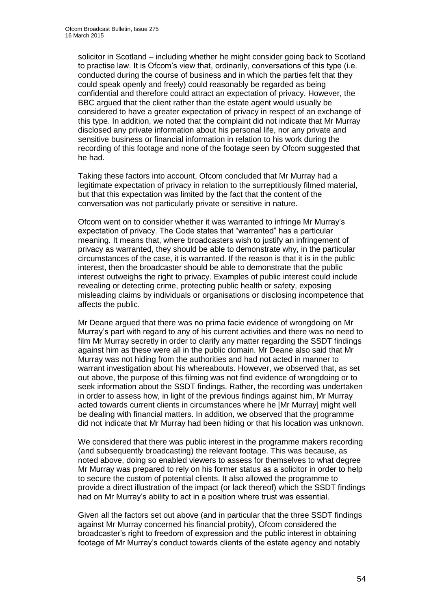solicitor in Scotland – including whether he might consider going back to Scotland to practise law. It is Ofcom's view that, ordinarily, conversations of this type (i.e. conducted during the course of business and in which the parties felt that they could speak openly and freely) could reasonably be regarded as being confidential and therefore could attract an expectation of privacy. However, the BBC argued that the client rather than the estate agent would usually be considered to have a greater expectation of privacy in respect of an exchange of this type. In addition, we noted that the complaint did not indicate that Mr Murray disclosed any private information about his personal life, nor any private and sensitive business or financial information in relation to his work during the recording of this footage and none of the footage seen by Ofcom suggested that he had.

Taking these factors into account, Ofcom concluded that Mr Murray had a legitimate expectation of privacy in relation to the surreptitiously filmed material, but that this expectation was limited by the fact that the content of the conversation was not particularly private or sensitive in nature.

Ofcom went on to consider whether it was warranted to infringe Mr Murray's expectation of privacy. The Code states that "warranted" has a particular meaning. It means that, where broadcasters wish to justify an infringement of privacy as warranted, they should be able to demonstrate why, in the particular circumstances of the case, it is warranted. If the reason is that it is in the public interest, then the broadcaster should be able to demonstrate that the public interest outweighs the right to privacy. Examples of public interest could include revealing or detecting crime, protecting public health or safety, exposing misleading claims by individuals or organisations or disclosing incompetence that affects the public.

Mr Deane argued that there was no prima facie evidence of wrongdoing on Mr Murray's part with regard to any of his current activities and there was no need to film Mr Murray secretly in order to clarify any matter regarding the SSDT findings against him as these were all in the public domain. Mr Deane also said that Mr Murray was not hiding from the authorities and had not acted in manner to warrant investigation about his whereabouts. However, we observed that, as set out above, the purpose of this filming was not find evidence of wrongdoing or to seek information about the SSDT findings. Rather, the recording was undertaken in order to assess how, in light of the previous findings against him, Mr Murray acted towards current clients in circumstances where he [Mr Murray] might well be dealing with financial matters. In addition, we observed that the programme did not indicate that Mr Murray had been hiding or that his location was unknown.

We considered that there was public interest in the programme makers recording (and subsequently broadcasting) the relevant footage. This was because, as noted above, doing so enabled viewers to assess for themselves to what degree Mr Murray was prepared to rely on his former status as a solicitor in order to help to secure the custom of potential clients. It also allowed the programme to provide a direct illustration of the impact (or lack thereof) which the SSDT findings had on Mr Murray's ability to act in a position where trust was essential.

Given all the factors set out above (and in particular that the three SSDT findings against Mr Murray concerned his financial probity), Ofcom considered the broadcaster's right to freedom of expression and the public interest in obtaining footage of Mr Murray's conduct towards clients of the estate agency and notably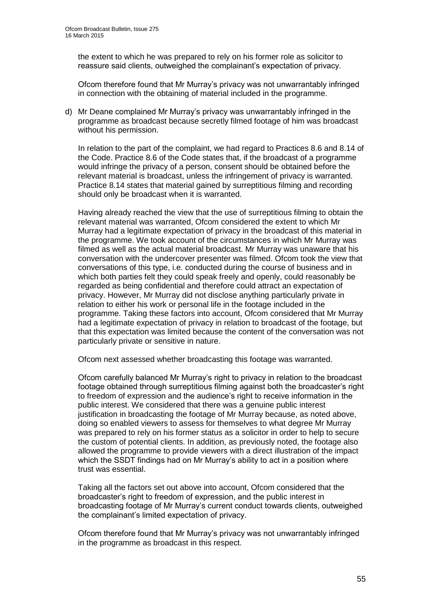the extent to which he was prepared to rely on his former role as solicitor to reassure said clients, outweighed the complainant's expectation of privacy.

Ofcom therefore found that Mr Murray's privacy was not unwarrantably infringed in connection with the obtaining of material included in the programme.

d) Mr Deane complained Mr Murray's privacy was unwarrantably infringed in the programme as broadcast because secretly filmed footage of him was broadcast without his permission.

In relation to the part of the complaint, we had regard to Practices 8.6 and 8.14 of the Code. Practice 8.6 of the Code states that, if the broadcast of a programme would infringe the privacy of a person, consent should be obtained before the relevant material is broadcast, unless the infringement of privacy is warranted. Practice 8.14 states that material gained by surreptitious filming and recording should only be broadcast when it is warranted.

Having already reached the view that the use of surreptitious filming to obtain the relevant material was warranted, Ofcom considered the extent to which Mr Murray had a legitimate expectation of privacy in the broadcast of this material in the programme. We took account of the circumstances in which Mr Murray was filmed as well as the actual material broadcast. Mr Murray was unaware that his conversation with the undercover presenter was filmed. Ofcom took the view that conversations of this type, i.e. conducted during the course of business and in which both parties felt they could speak freely and openly, could reasonably be regarded as being confidential and therefore could attract an expectation of privacy. However, Mr Murray did not disclose anything particularly private in relation to either his work or personal life in the footage included in the programme. Taking these factors into account, Ofcom considered that Mr Murray had a legitimate expectation of privacy in relation to broadcast of the footage, but that this expectation was limited because the content of the conversation was not particularly private or sensitive in nature.

Ofcom next assessed whether broadcasting this footage was warranted.

Ofcom carefully balanced Mr Murray's right to privacy in relation to the broadcast footage obtained through surreptitious filming against both the broadcaster's right to freedom of expression and the audience's right to receive information in the public interest. We considered that there was a genuine public interest justification in broadcasting the footage of Mr Murray because, as noted above, doing so enabled viewers to assess for themselves to what degree Mr Murray was prepared to rely on his former status as a solicitor in order to help to secure the custom of potential clients. In addition, as previously noted, the footage also allowed the programme to provide viewers with a direct illustration of the impact which the SSDT findings had on Mr Murray's ability to act in a position where trust was essential.

Taking all the factors set out above into account, Ofcom considered that the broadcaster's right to freedom of expression, and the public interest in broadcasting footage of Mr Murray's current conduct towards clients, outweighed the complainant's limited expectation of privacy.

Ofcom therefore found that Mr Murray's privacy was not unwarrantably infringed in the programme as broadcast in this respect.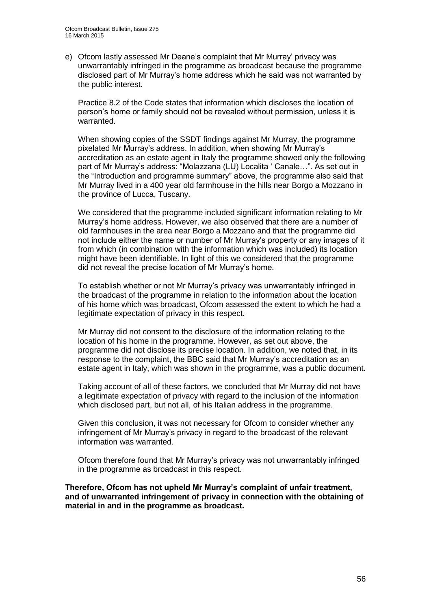e) Ofcom lastly assessed Mr Deane's complaint that Mr Murray' privacy was unwarrantably infringed in the programme as broadcast because the programme disclosed part of Mr Murray's home address which he said was not warranted by the public interest.

Practice 8.2 of the Code states that information which discloses the location of person's home or family should not be revealed without permission, unless it is warranted.

When showing copies of the SSDT findings against Mr Murray, the programme pixelated Mr Murray's address. In addition, when showing Mr Murray's accreditation as an estate agent in Italy the programme showed only the following part of Mr Murray's address: "Molazzana (LU) Localita ' Canale…". As set out in the "Introduction and programme summary" above, the programme also said that Mr Murray lived in a 400 year old farmhouse in the hills near Borgo a Mozzano in the province of Lucca, Tuscany.

We considered that the programme included significant information relating to Mr Murray's home address. However, we also observed that there are a number of old farmhouses in the area near Borgo a Mozzano and that the programme did not include either the name or number of Mr Murray's property or any images of it from which (in combination with the information which was included) its location might have been identifiable. In light of this we considered that the programme did not reveal the precise location of Mr Murray's home.

To establish whether or not Mr Murray's privacy was unwarrantably infringed in the broadcast of the programme in relation to the information about the location of his home which was broadcast, Ofcom assessed the extent to which he had a legitimate expectation of privacy in this respect.

Mr Murray did not consent to the disclosure of the information relating to the location of his home in the programme. However, as set out above, the programme did not disclose its precise location. In addition, we noted that, in its response to the complaint, the BBC said that Mr Murray's accreditation as an estate agent in Italy, which was shown in the programme, was a public document.

Taking account of all of these factors, we concluded that Mr Murray did not have a legitimate expectation of privacy with regard to the inclusion of the information which disclosed part, but not all, of his Italian address in the programme.

Given this conclusion, it was not necessary for Ofcom to consider whether any infringement of Mr Murray's privacy in regard to the broadcast of the relevant information was warranted.

Ofcom therefore found that Mr Murray's privacy was not unwarrantably infringed in the programme as broadcast in this respect.

**Therefore, Ofcom has not upheld Mr Murray's complaint of unfair treatment, and of unwarranted infringement of privacy in connection with the obtaining of material in and in the programme as broadcast.**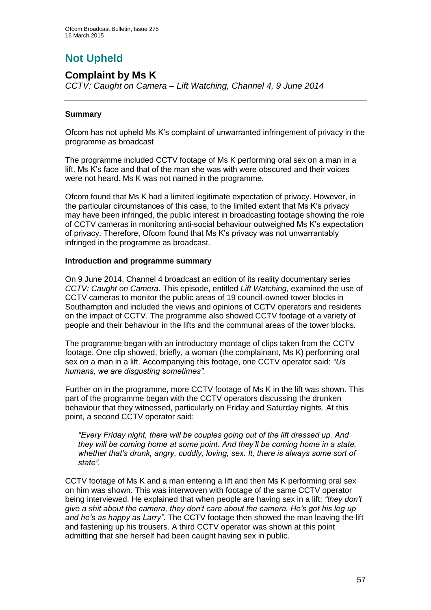# **Not Upheld**

# **Complaint by Ms K**

*CCTV: Caught on Camera – Lift Watching, Channel 4, 9 June 2014*

### **Summary**

Ofcom has not upheld Ms K's complaint of unwarranted infringement of privacy in the programme as broadcast

The programme included CCTV footage of Ms K performing oral sex on a man in a lift. Ms K's face and that of the man she was with were obscured and their voices were not heard. Ms K was not named in the programme.

Ofcom found that Ms K had a limited legitimate expectation of privacy. However, in the particular circumstances of this case, to the limited extent that Ms K's privacy may have been infringed, the public interest in broadcasting footage showing the role of CCTV cameras in monitoring anti-social behaviour outweighed Ms K's expectation of privacy. Therefore, Ofcom found that Ms K's privacy was not unwarrantably infringed in the programme as broadcast.

#### **Introduction and programme summary**

On 9 June 2014, Channel 4 broadcast an edition of its reality documentary series *CCTV: Caught on Camera*. This episode, entitled *Lift Watching,* examined the use of CCTV cameras to monitor the public areas of 19 council-owned tower blocks in Southampton and included the views and opinions of CCTV operators and residents on the impact of CCTV. The programme also showed CCTV footage of a variety of people and their behaviour in the lifts and the communal areas of the tower blocks.

The programme began with an introductory montage of clips taken from the CCTV footage. One clip showed, briefly, a woman (the complainant, Ms K) performing oral sex on a man in a lift. Accompanying this footage, one CCTV operator said: *"Us humans, we are disgusting sometimes".*

Further on in the programme, more CCTV footage of Ms K in the lift was shown. This part of the programme began with the CCTV operators discussing the drunken behaviour that they witnessed, particularly on Friday and Saturday nights. At this point, a second CCTV operator said:

*"Every Friday night, there will be couples going out of the lift dressed up. And they will be coming home at some point. And they'll be coming home in a state, whether that's drunk, angry, cuddly, loving, sex. It, there is always some sort of state".*

CCTV footage of Ms K and a man entering a lift and then Ms K performing oral sex on him was shown. This was interwoven with footage of the same CCTV operator being interviewed. He explained that when people are having sex in a lift: *"they don't give a shit about the camera, they don't care about the camera. He's got his leg up and he's as happy as Larry"*. The CCTV footage then showed the man leaving the lift and fastening up his trousers. A third CCTV operator was shown at this point admitting that she herself had been caught having sex in public.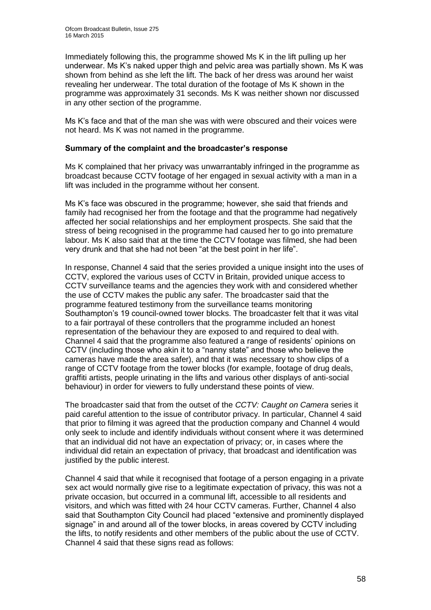Immediately following this, the programme showed Ms K in the lift pulling up her underwear. Ms K's naked upper thigh and pelvic area was partially shown. Ms K was shown from behind as she left the lift. The back of her dress was around her waist revealing her underwear. The total duration of the footage of Ms K shown in the programme was approximately 31 seconds. Ms K was neither shown nor discussed in any other section of the programme.

Ms K's face and that of the man she was with were obscured and their voices were not heard. Ms K was not named in the programme.

#### **Summary of the complaint and the broadcaster's response**

Ms K complained that her privacy was unwarrantably infringed in the programme as broadcast because CCTV footage of her engaged in sexual activity with a man in a lift was included in the programme without her consent.

Ms K's face was obscured in the programme; however, she said that friends and family had recognised her from the footage and that the programme had negatively affected her social relationships and her employment prospects. She said that the stress of being recognised in the programme had caused her to go into premature labour. Ms K also said that at the time the CCTV footage was filmed, she had been very drunk and that she had not been "at the best point in her life".

In response, Channel 4 said that the series provided a unique insight into the uses of CCTV, explored the various uses of CCTV in Britain, provided unique access to CCTV surveillance teams and the agencies they work with and considered whether the use of CCTV makes the public any safer. The broadcaster said that the programme featured testimony from the surveillance teams monitoring Southampton's 19 council-owned tower blocks. The broadcaster felt that it was vital to a fair portrayal of these controllers that the programme included an honest representation of the behaviour they are exposed to and required to deal with. Channel 4 said that the programme also featured a range of residents' opinions on CCTV (including those who akin it to a "nanny state" and those who believe the cameras have made the area safer), and that it was necessary to show clips of a range of CCTV footage from the tower blocks (for example, footage of drug deals, graffiti artists, people urinating in the lifts and various other displays of anti-social behaviour) in order for viewers to fully understand these points of view.

The broadcaster said that from the outset of the *CCTV: Caught on Camera* series it paid careful attention to the issue of contributor privacy. In particular, Channel 4 said that prior to filming it was agreed that the production company and Channel 4 would only seek to include and identify individuals without consent where it was determined that an individual did not have an expectation of privacy; or, in cases where the individual did retain an expectation of privacy, that broadcast and identification was justified by the public interest.

Channel 4 said that while it recognised that footage of a person engaging in a private sex act would normally give rise to a legitimate expectation of privacy, this was not a private occasion, but occurred in a communal lift, accessible to all residents and visitors, and which was fitted with 24 hour CCTV cameras. Further, Channel 4 also said that Southampton City Council had placed "extensive and prominently displayed signage" in and around all of the tower blocks, in areas covered by CCTV including the lifts, to notify residents and other members of the public about the use of CCTV. Channel 4 said that these signs read as follows: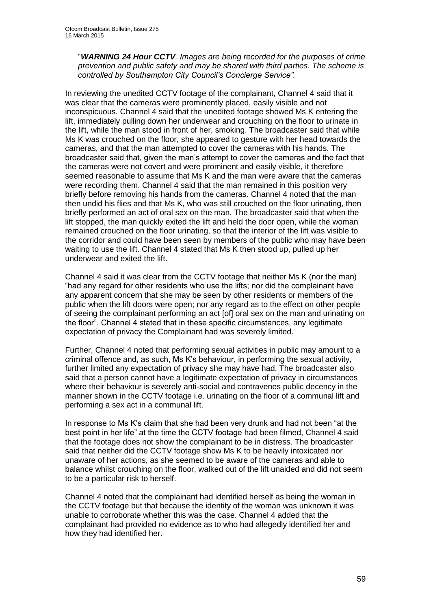"*WARNING 24 Hour CCTV. Images are being recorded for the purposes of crime prevention and public safety and may be shared with third parties. The scheme is controlled by Southampton City Council's Concierge Service".*

In reviewing the unedited CCTV footage of the complainant, Channel 4 said that it was clear that the cameras were prominently placed, easily visible and not inconspicuous. Channel 4 said that the unedited footage showed Ms K entering the lift, immediately pulling down her underwear and crouching on the floor to urinate in the lift, while the man stood in front of her, smoking. The broadcaster said that while Ms K was crouched on the floor, she appeared to gesture with her head towards the cameras, and that the man attempted to cover the cameras with his hands. The broadcaster said that, given the man's attempt to cover the cameras and the fact that the cameras were not covert and were prominent and easily visible, it therefore seemed reasonable to assume that Ms K and the man were aware that the cameras were recording them. Channel 4 said that the man remained in this position very briefly before removing his hands from the cameras. Channel 4 noted that the man then undid his flies and that Ms K, who was still crouched on the floor urinating, then briefly performed an act of oral sex on the man. The broadcaster said that when the lift stopped, the man quickly exited the lift and held the door open, while the woman remained crouched on the floor urinating, so that the interior of the lift was visible to the corridor and could have been seen by members of the public who may have been waiting to use the lift. Channel 4 stated that Ms K then stood up, pulled up her underwear and exited the lift.

Channel 4 said it was clear from the CCTV footage that neither Ms K (nor the man) "had any regard for other residents who use the lifts; nor did the complainant have any apparent concern that she may be seen by other residents or members of the public when the lift doors were open; nor any regard as to the effect on other people of seeing the complainant performing an act [of] oral sex on the man and urinating on the floor". Channel 4 stated that in these specific circumstances, any legitimate expectation of privacy the Complainant had was severely limited.

Further, Channel 4 noted that performing sexual activities in public may amount to a criminal offence and, as such, Ms K's behaviour, in performing the sexual activity, further limited any expectation of privacy she may have had. The broadcaster also said that a person cannot have a legitimate expectation of privacy in circumstances where their behaviour is severely anti-social and contravenes public decency in the manner shown in the CCTV footage i.e. urinating on the floor of a communal lift and performing a sex act in a communal lift.

In response to Ms K's claim that she had been very drunk and had not been "at the best point in her life" at the time the CCTV footage had been filmed, Channel 4 said that the footage does not show the complainant to be in distress. The broadcaster said that neither did the CCTV footage show Ms K to be heavily intoxicated nor unaware of her actions, as she seemed to be aware of the cameras and able to balance whilst crouching on the floor, walked out of the lift unaided and did not seem to be a particular risk to herself.

Channel 4 noted that the complainant had identified herself as being the woman in the CCTV footage but that because the identity of the woman was unknown it was unable to corroborate whether this was the case. Channel 4 added that the complainant had provided no evidence as to who had allegedly identified her and how they had identified her.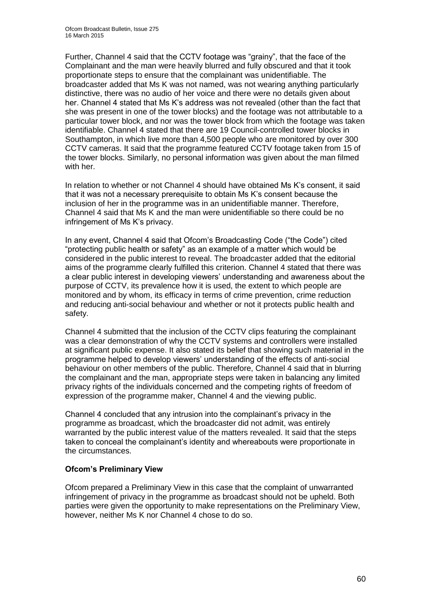Further, Channel 4 said that the CCTV footage was "grainy", that the face of the Complainant and the man were heavily blurred and fully obscured and that it took proportionate steps to ensure that the complainant was unidentifiable. The broadcaster added that Ms K was not named, was not wearing anything particularly distinctive, there was no audio of her voice and there were no details given about her. Channel 4 stated that Ms K's address was not revealed (other than the fact that she was present in one of the tower blocks) and the footage was not attributable to a particular tower block, and nor was the tower block from which the footage was taken identifiable. Channel 4 stated that there are 19 Council-controlled tower blocks in Southampton, in which live more than 4,500 people who are monitored by over 300 CCTV cameras. It said that the programme featured CCTV footage taken from 15 of the tower blocks. Similarly, no personal information was given about the man filmed with her.

In relation to whether or not Channel 4 should have obtained Ms K's consent, it said that it was not a necessary prerequisite to obtain Ms K's consent because the inclusion of her in the programme was in an unidentifiable manner. Therefore, Channel 4 said that Ms K and the man were unidentifiable so there could be no infringement of Ms K's privacy.

In any event, Channel 4 said that Ofcom's Broadcasting Code ("the Code") cited "protecting public health or safety" as an example of a matter which would be considered in the public interest to reveal. The broadcaster added that the editorial aims of the programme clearly fulfilled this criterion. Channel 4 stated that there was a clear public interest in developing viewers' understanding and awareness about the purpose of CCTV, its prevalence how it is used, the extent to which people are monitored and by whom, its efficacy in terms of crime prevention, crime reduction and reducing anti-social behaviour and whether or not it protects public health and safety.

Channel 4 submitted that the inclusion of the CCTV clips featuring the complainant was a clear demonstration of why the CCTV systems and controllers were installed at significant public expense. It also stated its belief that showing such material in the programme helped to develop viewers' understanding of the effects of anti-social behaviour on other members of the public. Therefore, Channel 4 said that in blurring the complainant and the man, appropriate steps were taken in balancing any limited privacy rights of the individuals concerned and the competing rights of freedom of expression of the programme maker, Channel 4 and the viewing public.

Channel 4 concluded that any intrusion into the complainant's privacy in the programme as broadcast, which the broadcaster did not admit, was entirely warranted by the public interest value of the matters revealed. It said that the steps taken to conceal the complainant's identity and whereabouts were proportionate in the circumstances.

#### **Ofcom's Preliminary View**

Ofcom prepared a Preliminary View in this case that the complaint of unwarranted infringement of privacy in the programme as broadcast should not be upheld. Both parties were given the opportunity to make representations on the Preliminary View, however, neither Ms K nor Channel 4 chose to do so.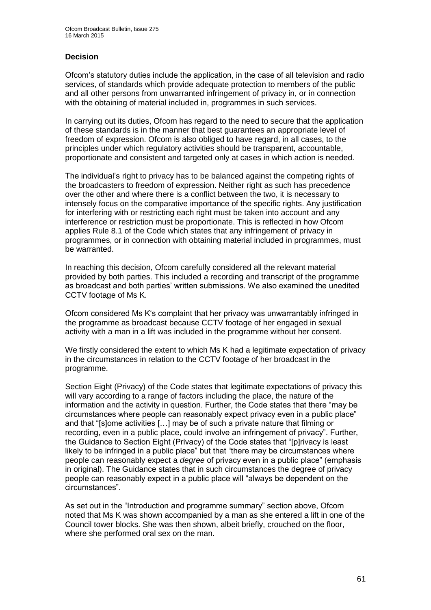### **Decision**

Ofcom's statutory duties include the application, in the case of all television and radio services, of standards which provide adequate protection to members of the public and all other persons from unwarranted infringement of privacy in, or in connection with the obtaining of material included in, programmes in such services.

In carrying out its duties, Ofcom has regard to the need to secure that the application of these standards is in the manner that best guarantees an appropriate level of freedom of expression. Ofcom is also obliged to have regard, in all cases, to the principles under which regulatory activities should be transparent, accountable, proportionate and consistent and targeted only at cases in which action is needed.

The individual's right to privacy has to be balanced against the competing rights of the broadcasters to freedom of expression. Neither right as such has precedence over the other and where there is a conflict between the two, it is necessary to intensely focus on the comparative importance of the specific rights. Any justification for interfering with or restricting each right must be taken into account and any interference or restriction must be proportionate. This is reflected in how Ofcom applies Rule 8.1 of the Code which states that any infringement of privacy in programmes, or in connection with obtaining material included in programmes, must be warranted.

In reaching this decision, Ofcom carefully considered all the relevant material provided by both parties. This included a recording and transcript of the programme as broadcast and both parties' written submissions. We also examined the unedited CCTV footage of Ms K.

Ofcom considered Ms K's complaint that her privacy was unwarrantably infringed in the programme as broadcast because CCTV footage of her engaged in sexual activity with a man in a lift was included in the programme without her consent.

We firstly considered the extent to which Ms K had a legitimate expectation of privacy in the circumstances in relation to the CCTV footage of her broadcast in the programme.

Section Eight (Privacy) of the Code states that legitimate expectations of privacy this will vary according to a range of factors including the place, the nature of the information and the activity in question. Further, the Code states that there "may be circumstances where people can reasonably expect privacy even in a public place" and that "[s]ome activities […] may be of such a private nature that filming or recording, even in a public place, could involve an infringement of privacy". Further, the Guidance to Section Eight (Privacy) of the Code states that "[p]rivacy is least likely to be infringed in a public place" but that "there may be circumstances where people can reasonably expect a *degree* of privacy even in a public place" (emphasis in original). The Guidance states that in such circumstances the degree of privacy people can reasonably expect in a public place will "always be dependent on the circumstances".

As set out in the "Introduction and programme summary" section above, Ofcom noted that Ms K was shown accompanied by a man as she entered a lift in one of the Council tower blocks. She was then shown, albeit briefly, crouched on the floor, where she performed oral sex on the man.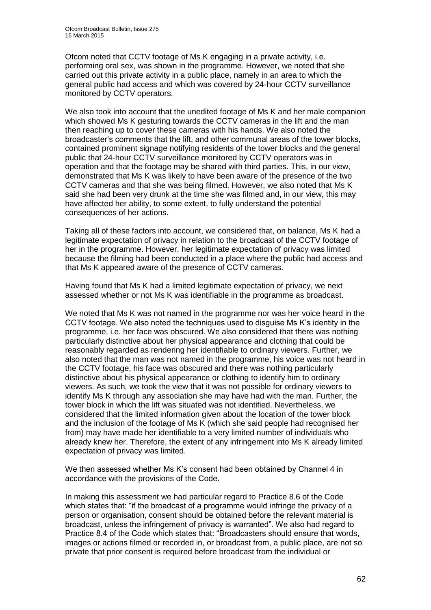Ofcom noted that CCTV footage of Ms K engaging in a private activity, i.e. performing oral sex, was shown in the programme. However, we noted that she carried out this private activity in a public place, namely in an area to which the general public had access and which was covered by 24-hour CCTV surveillance monitored by CCTV operators.

We also took into account that the unedited footage of Ms K and her male companion which showed Ms K gesturing towards the CCTV cameras in the lift and the man then reaching up to cover these cameras with his hands. We also noted the broadcaster's comments that the lift, and other communal areas of the tower blocks, contained prominent signage notifying residents of the tower blocks and the general public that 24-hour CCTV surveillance monitored by CCTV operators was in operation and that the footage may be shared with third parties. This, in our view, demonstrated that Ms K was likely to have been aware of the presence of the two CCTV cameras and that she was being filmed. However, we also noted that Ms K said she had been very drunk at the time she was filmed and, in our view, this may have affected her ability, to some extent, to fully understand the potential consequences of her actions.

Taking all of these factors into account, we considered that, on balance, Ms K had a legitimate expectation of privacy in relation to the broadcast of the CCTV footage of her in the programme. However, her legitimate expectation of privacy was limited because the filming had been conducted in a place where the public had access and that Ms K appeared aware of the presence of CCTV cameras.

Having found that Ms K had a limited legitimate expectation of privacy, we next assessed whether or not Ms K was identifiable in the programme as broadcast.

We noted that Ms K was not named in the programme nor was her voice heard in the CCTV footage. We also noted the techniques used to disguise Ms K's identity in the programme, i.e. her face was obscured. We also considered that there was nothing particularly distinctive about her physical appearance and clothing that could be reasonably regarded as rendering her identifiable to ordinary viewers. Further, we also noted that the man was not named in the programme, his voice was not heard in the CCTV footage, his face was obscured and there was nothing particularly distinctive about his physical appearance or clothing to identify him to ordinary viewers. As such, we took the view that it was not possible for ordinary viewers to identify Ms K through any association she may have had with the man. Further, the tower block in which the lift was situated was not identified. Nevertheless, we considered that the limited information given about the location of the tower block and the inclusion of the footage of Ms K (which she said people had recognised her from) may have made her identifiable to a very limited number of individuals who already knew her. Therefore, the extent of any infringement into Ms K already limited expectation of privacy was limited.

We then assessed whether Ms K's consent had been obtained by Channel 4 in accordance with the provisions of the Code.

In making this assessment we had particular regard to Practice 8.6 of the Code which states that: "if the broadcast of a programme would infringe the privacy of a person or organisation, consent should be obtained before the relevant material is broadcast, unless the infringement of privacy is warranted". We also had regard to Practice 8.4 of the Code which states that: "Broadcasters should ensure that words, images or actions filmed or recorded in, or broadcast from, a public place, are not so private that prior consent is required before broadcast from the individual or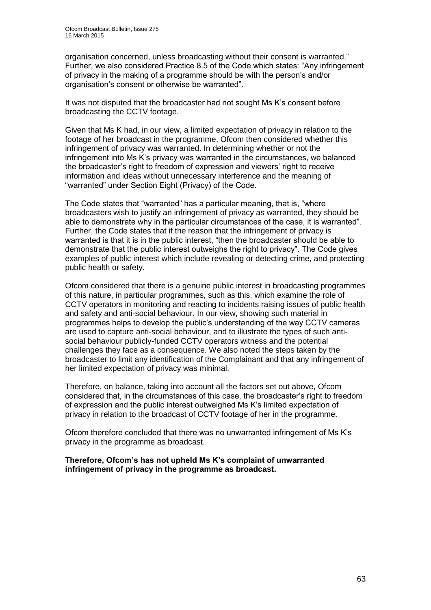organisation concerned, unless broadcasting without their consent is warranted." Further, we also considered Practice 8.5 of the Code which states: "Any infringement of privacy in the making of a programme should be with the person's and/or organisation's consent or otherwise be warranted".

It was not disputed that the broadcaster had not sought Ms K's consent before broadcasting the CCTV footage.

Given that Ms K had, in our view, a limited expectation of privacy in relation to the footage of her broadcast in the programme, Ofcom then considered whether this infringement of privacy was warranted. In determining whether or not the infringement into Ms K's privacy was warranted in the circumstances, we balanced the broadcaster's right to freedom of expression and viewers' right to receive information and ideas without unnecessary interference and the meaning of "warranted" under Section Eight (Privacy) of the Code.

The Code states that "warranted" has a particular meaning, that is, "where broadcasters wish to justify an infringement of privacy as warranted, they should be able to demonstrate why in the particular circumstances of the case, it is warranted". Further, the Code states that if the reason that the infringement of privacy is warranted is that it is in the public interest, "then the broadcaster should be able to demonstrate that the public interest outweighs the right to privacy". The Code gives examples of public interest which include revealing or detecting crime, and protecting public health or safety.

Ofcom considered that there is a genuine public interest in broadcasting programmes of this nature, in particular programmes, such as this, which examine the role of CCTV operators in monitoring and reacting to incidents raising issues of public health and safety and anti-social behaviour. In our view, showing such material in programmes helps to develop the public's understanding of the way CCTV cameras are used to capture anti-social behaviour, and to illustrate the types of such antisocial behaviour publicly-funded CCTV operators witness and the potential challenges they face as a consequence. We also noted the steps taken by the broadcaster to limit any identification of the Complainant and that any infringement of her limited expectation of privacy was minimal.

Therefore, on balance, taking into account all the factors set out above, Ofcom considered that, in the circumstances of this case, the broadcaster's right to freedom of expression and the public interest outweighed Ms K's limited expectation of privacy in relation to the broadcast of CCTV footage of her in the programme.

Ofcom therefore concluded that there was no unwarranted infringement of Ms K's privacy in the programme as broadcast.

#### **Therefore, Ofcom's has not upheld Ms K's complaint of unwarranted infringement of privacy in the programme as broadcast.**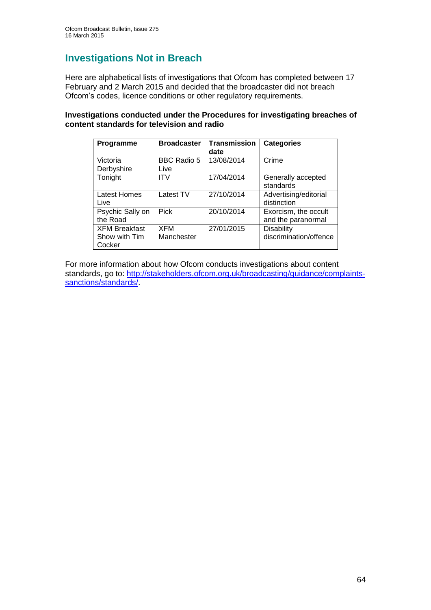# **Investigations Not in Breach**

Here are alphabetical lists of investigations that Ofcom has completed between 17 February and 2 March 2015 and decided that the broadcaster did not breach Ofcom's codes, licence conditions or other regulatory requirements.

#### **Investigations conducted under the Procedures for investigating breaches of content standards for television and radio**

| Programme                                       | <b>Broadcaster</b>         | <b>Transmission</b><br>date | <b>Categories</b>                           |
|-------------------------------------------------|----------------------------|-----------------------------|---------------------------------------------|
| Victoria<br>Derbyshire                          | <b>BBC Radio 5</b><br>Live | 13/08/2014                  | Crime                                       |
| Tonight                                         | ITV                        | 17/04/2014                  | Generally accepted<br>standards             |
| <b>Latest Homes</b><br>Live                     | Latest TV                  | 27/10/2014                  | Advertising/editorial<br>distinction        |
| Psychic Sally on<br>the Road                    | <b>Pick</b>                | 20/10/2014                  | Exorcism, the occult<br>and the paranormal  |
| <b>XFM Breakfast</b><br>Show with Tim<br>Cocker | <b>XFM</b><br>Manchester   | 27/01/2015                  | <b>Disability</b><br>discrimination/offence |

For more information about how Ofcom conducts investigations about content standards, go to: [http://stakeholders.ofcom.org.uk/broadcasting/guidance/complaints](http://stakeholders.ofcom.org.uk/broadcasting/guidance/complaints-sanctions/standards/)[sanctions/standards/.](http://stakeholders.ofcom.org.uk/broadcasting/guidance/complaints-sanctions/standards/)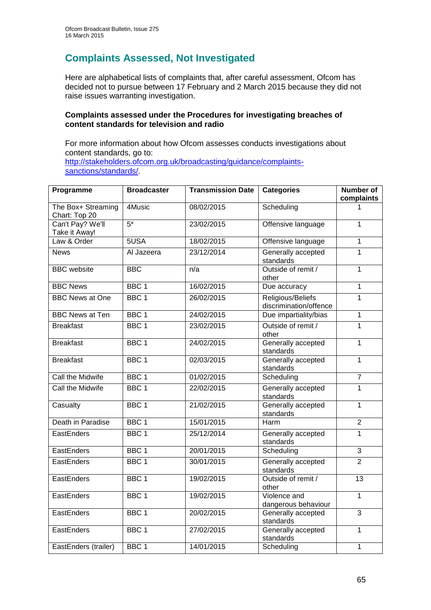# **Complaints Assessed, Not Investigated**

Here are alphabetical lists of complaints that, after careful assessment, Ofcom has decided not to pursue between 17 February and 2 March 2015 because they did not raise issues warranting investigation.

#### **Complaints assessed under the Procedures for investigating breaches of content standards for television and radio**

For more information about how Ofcom assesses conducts investigations about content standards, go to: [http://stakeholders.ofcom.org.uk/broadcasting/guidance/complaints](http://stakeholders.ofcom.org.uk/broadcasting/guidance/complaints-sanctions/standards/)[sanctions/standards/.](http://stakeholders.ofcom.org.uk/broadcasting/guidance/complaints-sanctions/standards/)

| Programme                           | <b>Broadcaster</b>   | <b>Transmission Date</b> | <b>Categories</b>                           | <b>Number of</b><br>complaints |
|-------------------------------------|----------------------|--------------------------|---------------------------------------------|--------------------------------|
| The Box+ Streaming<br>Chart: Top 20 | $\overline{4M}$ usic | 08/02/2015               | Scheduling                                  | 1                              |
| Can't Pay? We'll<br>Take it Away!   | $5^*$                | 23/02/2015               | Offensive language                          | $\mathbf{1}$                   |
| Law & Order                         | 5USA                 | 18/02/2015               | Offensive language                          | $\overline{1}$                 |
| <b>News</b>                         | Al Jazeera           | 23/12/2014               | Generally accepted<br>standards             | $\mathbf{1}$                   |
| <b>BBC</b> website                  | <b>BBC</b>           | n/a                      | Outside of remit /<br>other                 | $\mathbf{1}$                   |
| <b>BBC News</b>                     | BBC <sub>1</sub>     | 16/02/2015               | Due accuracy                                | $\mathbf{1}$                   |
| <b>BBC News at One</b>              | BBC <sub>1</sub>     | 26/02/2015               | Religious/Beliefs<br>discrimination/offence | $\overline{1}$                 |
| <b>BBC News at Ten</b>              | BBC <sub>1</sub>     | 24/02/2015               | Due impartiality/bias                       | $\overline{1}$                 |
| <b>Breakfast</b>                    | BBC <sub>1</sub>     | 23/02/2015               | Outside of remit /<br>other                 | 1                              |
| <b>Breakfast</b>                    | BBC <sub>1</sub>     | 24/02/2015               | Generally accepted<br>standards             | $\mathbf{1}$                   |
| <b>Breakfast</b>                    | BBC <sub>1</sub>     | 02/03/2015               | Generally accepted<br>standards             | $\overline{1}$                 |
| <b>Call the Midwife</b>             | BBC <sub>1</sub>     | 01/02/2015               | Scheduling                                  | $\overline{7}$                 |
| Call the Midwife                    | BBC <sub>1</sub>     | 22/02/2015               | Generally accepted<br>standards             | $\mathbf 1$                    |
| Casualty                            | BBC <sub>1</sub>     | 21/02/2015               | Generally accepted<br>standards             | $\mathbf{1}$                   |
| Death in Paradise                   | BBC <sub>1</sub>     | 15/01/2015               | Harm                                        | $\overline{2}$                 |
| EastEnders                          | BBC <sub>1</sub>     | 25/12/2014               | Generally accepted<br>standards             | $\overline{1}$                 |
| EastEnders                          | BBC <sub>1</sub>     | 20/01/2015               | Scheduling                                  | $\overline{3}$                 |
| EastEnders                          | BBC <sub>1</sub>     | 30/01/2015               | Generally accepted<br>standards             | $\overline{2}$                 |
| <b>EastEnders</b>                   | BBC <sub>1</sub>     | 19/02/2015               | Outside of remit /<br>other                 | 13                             |
| EastEnders                          | BBC <sub>1</sub>     | 19/02/2015               | Violence and<br>dangerous behaviour         | $\overline{1}$                 |
| EastEnders                          | BBC <sub>1</sub>     | 20/02/2015               | Generally accepted<br>standards             | 3                              |
| EastEnders                          | BBC <sub>1</sub>     | 27/02/2015               | Generally accepted<br>standards             | $\overline{1}$                 |
| EastEnders (trailer)                | BBC <sub>1</sub>     | 14/01/2015               | Scheduling                                  | $\overline{1}$                 |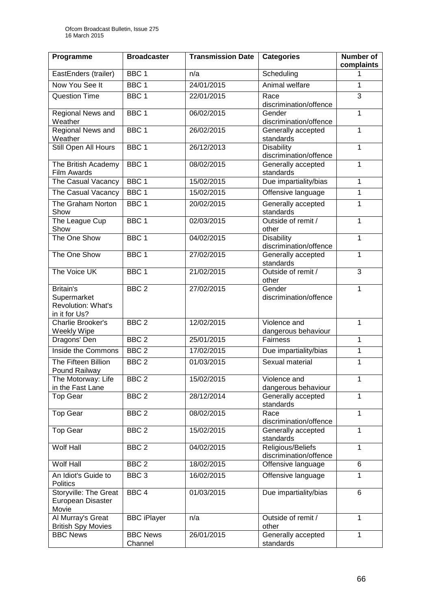| Programme                                                                     | <b>Broadcaster</b>         | <b>Transmission Date</b> | <b>Categories</b>                           | <b>Number of</b><br>complaints |
|-------------------------------------------------------------------------------|----------------------------|--------------------------|---------------------------------------------|--------------------------------|
| EastEnders (trailer)                                                          | BBC <sub>1</sub>           | n/a                      | Scheduling                                  |                                |
| Now You See It                                                                | BBC <sub>1</sub>           | 24/01/2015               | Animal welfare                              | 1                              |
| <b>Question Time</b>                                                          | BBC <sub>1</sub>           | 22/01/2015               | Race<br>discrimination/offence              | $\overline{3}$                 |
| Regional News and<br>Weather                                                  | BBC <sub>1</sub>           | 06/02/2015               | Gender<br>discrimination/offence            | $\mathbf 1$                    |
| <b>Regional News and</b><br>Weather                                           | BBC <sub>1</sub>           | 26/02/2015               | Generally accepted<br>standards             | 1                              |
| Still Open All Hours                                                          | BBC <sub>1</sub>           | 26/12/2013               | <b>Disability</b><br>discrimination/offence | 1                              |
| The British Academy<br>Film Awards                                            | BBC <sub>1</sub>           | 08/02/2015               | Generally accepted<br>standards             | 1                              |
| The Casual Vacancy                                                            | BBC <sub>1</sub>           | 15/02/2015               | Due impartiality/bias                       | 1                              |
| The Casual Vacancy                                                            | BBC <sub>1</sub>           | 15/02/2015               | Offensive language                          | 1                              |
| The Graham Norton<br>Show                                                     | BBC <sub>1</sub>           | 20/02/2015               | Generally accepted<br>standards             | 1                              |
| The League Cup<br>Show                                                        | BBC <sub>1</sub>           | 02/03/2015               | Outside of remit /<br>other                 | 1                              |
| The One Show                                                                  | BBC <sub>1</sub>           | 04/02/2015               | <b>Disability</b><br>discrimination/offence | 1                              |
| The One Show                                                                  | BBC <sub>1</sub>           | 27/02/2015               | Generally accepted<br>standards             | 1                              |
| The Voice UK                                                                  | BBC <sub>1</sub>           | 21/02/2015               | Outside of remit /<br>other                 | 3                              |
| <b>Britain's</b><br>Supermarket<br><b>Revolution: What's</b><br>in it for Us? | BBC <sub>2</sub>           | 27/02/2015               | Gender<br>discrimination/offence            | 1                              |
| Charlie Brooker's<br>Weekly Wipe                                              | BBC <sub>2</sub>           | 12/02/2015               | Violence and<br>dangerous behaviour         | 1                              |
| Dragons' Den                                                                  | BBC <sub>2</sub>           | 25/01/2015               | Fairness                                    | 1                              |
| Inside the Commons                                                            | BBC <sub>2</sub>           | 17/02/2015               | Due impartiality/bias                       | 1                              |
| The Fifteen Billion<br>Pound Railway                                          | BBC <sub>2</sub>           | 01/03/2015               | Sexual material                             | 1                              |
| The Motorway: Life<br>in the Fast Lane                                        | BBC <sub>2</sub>           | 15/02/2015               | Violence and<br>dangerous behaviour         | 1                              |
| Top Gear                                                                      | BBC <sub>2</sub>           | 28/12/2014               | Generally accepted<br>standards             | 1                              |
| <b>Top Gear</b>                                                               | BBC <sub>2</sub>           | 08/02/2015               | Race<br>discrimination/offence              | 1                              |
| <b>Top Gear</b>                                                               | BBC <sub>2</sub>           | 15/02/2015               | Generally accepted<br>standards             | 1                              |
| <b>Wolf Hall</b>                                                              | BBC <sub>2</sub>           | 04/02/2015               | Religious/Beliefs<br>discrimination/offence | 1                              |
| <b>Wolf Hall</b>                                                              | BBC <sub>2</sub>           | 18/02/2015               | Offensive language                          | 6                              |
| An Idiot's Guide to<br>Politics                                               | BBC <sub>3</sub>           | 16/02/2015               | Offensive language                          | 1                              |
| Storyville: The Great<br>European Disaster<br>Movie                           | BBC <sub>4</sub>           | 01/03/2015               | Due impartiality/bias                       | 6                              |
| Al Murray's Great<br><b>British Spy Movies</b>                                | <b>BBC iPlayer</b>         | n/a                      | Outside of remit /<br>other                 | 1                              |
| <b>BBC News</b>                                                               | <b>BBC News</b><br>Channel | 26/01/2015               | Generally accepted<br>standards             | 1                              |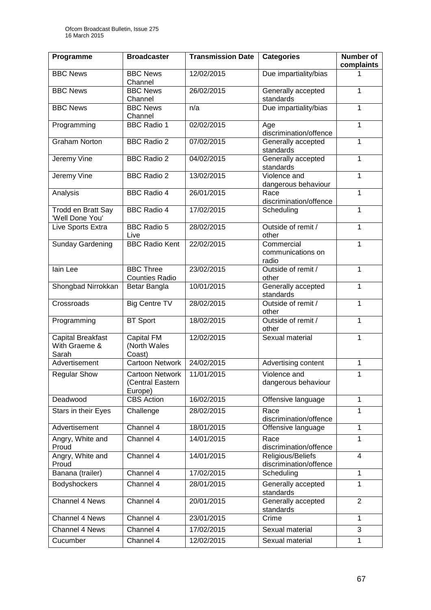| Programme                                          | <b>Broadcaster</b>                             | <b>Transmission Date</b> | <b>Categories</b>                           | <b>Number of</b><br>complaints |
|----------------------------------------------------|------------------------------------------------|--------------------------|---------------------------------------------|--------------------------------|
| <b>BBC News</b>                                    | <b>BBC News</b><br>Channel                     | 12/02/2015               | Due impartiality/bias                       |                                |
| <b>BBC News</b>                                    | <b>BBC News</b><br>Channel                     | 26/02/2015               | Generally accepted<br>standards             | 1                              |
| <b>BBC News</b>                                    | <b>BBC News</b><br>Channel                     | n/a                      | Due impartiality/bias                       | 1                              |
| Programming                                        | <b>BBC Radio 1</b>                             | 02/02/2015               | Age<br>discrimination/offence               | 1                              |
| <b>Graham Norton</b>                               | <b>BBC Radio 2</b>                             | 07/02/2015               | Generally accepted<br>standards             | 1                              |
| Jeremy Vine                                        | <b>BBC Radio 2</b>                             | 04/02/2015               | Generally accepted<br>standards             | 1                              |
| Jeremy Vine                                        | <b>BBC Radio 2</b>                             | 13/02/2015               | Violence and<br>dangerous behaviour         | 1                              |
| Analysis                                           | <b>BBC Radio 4</b>                             | 26/01/2015               | Race<br>discrimination/offence              | 1                              |
| Trodd en Bratt Say<br>'Well Done You'              | <b>BBC Radio 4</b>                             | 17/02/2015               | Scheduling                                  | 1                              |
| Live Sports Extra                                  | <b>BBC Radio 5</b><br>Live                     | 28/02/2015               | Outside of remit /<br>other                 | 1                              |
| Sunday Gardening                                   | <b>BBC Radio Kent</b>                          | 22/02/2015               | Commercial<br>communications on<br>radio    | 1                              |
| lain Lee                                           | <b>BBC Three</b><br><b>Counties Radio</b>      | 23/02/2015               | Outside of remit /<br>other                 | 1                              |
| Shongbad Nirrokkan                                 | Betar Bangla                                   | 10/01/2015               | Generally accepted<br>standards             | 1                              |
| Crossroads                                         | <b>Big Centre TV</b>                           | 28/02/2015               | Outside of remit /<br>other                 | 1                              |
| Programming                                        | <b>BT Sport</b>                                | 18/02/2015               | Outside of remit /<br>other                 | 1                              |
| <b>Capital Breakfast</b><br>With Graeme &<br>Sarah | Capital FM<br>(North Wales<br>Coast)           | 12/02/2015               | Sexual material                             | 1                              |
| Advertisement                                      | <b>Cartoon Network</b>                         | 24/02/2015               | Advertising content                         | 1                              |
| <b>Regular Show</b>                                | Cartoon Network<br>(Central Eastern<br>Europe) | 11/01/2015               | Violence and<br>dangerous behaviour         | 1                              |
| Deadwood                                           | <b>CBS</b> Action                              | 16/02/2015               | Offensive language                          | 1                              |
| Stars in their Eyes                                | Challenge                                      | 28/02/2015               | Race<br>discrimination/offence              | 1                              |
| Advertisement                                      | Channel 4                                      | 18/01/2015               | Offensive language                          | 1                              |
| Angry, White and<br>Proud                          | Channel 4                                      | 14/01/2015               | Race<br>discrimination/offence              | 1                              |
| Angry, White and<br>Proud                          | Channel 4                                      | 14/01/2015               | Religious/Beliefs<br>discrimination/offence | 4                              |
| Banana (trailer)                                   | Channel 4                                      | 17/02/2015               | Scheduling                                  | 1                              |
| Bodyshockers                                       | Channel 4                                      | 28/01/2015               | Generally accepted<br>standards             | 1                              |
| Channel 4 News                                     | Channel 4                                      | 20/01/2015               | Generally accepted<br>standards             | $\overline{2}$                 |
| Channel 4 News                                     | Channel 4                                      | 23/01/2015               | Crime                                       | 1                              |
| Channel 4 News                                     | Channel 4                                      | 17/02/2015               | Sexual material                             | 3                              |
| Cucumber                                           | Channel $4$                                    | 12/02/2015               | Sexual material                             | 1                              |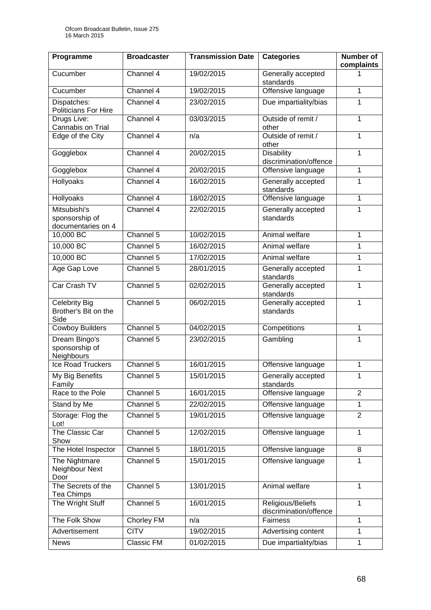| Programme                                            | <b>Broadcaster</b> | <b>Transmission Date</b> | <b>Categories</b>                           | Number of<br>complaints |
|------------------------------------------------------|--------------------|--------------------------|---------------------------------------------|-------------------------|
| Cucumber                                             | Channel 4          | 19/02/2015               | Generally accepted<br>standards             | 1                       |
| Cucumber                                             | Channel 4          | 19/02/2015               | Offensive language                          | 1                       |
| Dispatches:<br><b>Politicians For Hire</b>           | Channel 4          | 23/02/2015               | Due impartiality/bias                       | 1                       |
| Drugs Live:<br>Cannabis on Trial                     | Channel 4          | 03/03/2015               | Outside of remit /<br>other                 | 1                       |
| Edge of the City                                     | Channel 4          | n/a                      | Outside of remit /<br>other                 | $\mathbf{1}$            |
| Gogglebox                                            | Channel 4          | 20/02/2015               | <b>Disability</b><br>discrimination/offence | $\mathbf{1}$            |
| Gogglebox                                            | Channel 4          | 20/02/2015               | Offensive language                          | 1                       |
| Hollyoaks                                            | Channel 4          | 16/02/2015               | Generally accepted<br>standards             | 1                       |
| Hollyoaks                                            | Channel 4          | 18/02/2015               | Offensive language                          | 1                       |
| Mitsubishi's<br>sponsorship of<br>documentaries on 4 | Channel 4          | 22/02/2015               | Generally accepted<br>standards             | 1                       |
| 10,000 BC                                            | Channel 5          | 10/02/2015               | Animal welfare                              | 1                       |
| 10,000 BC                                            | Channel 5          | 16/02/2015               | Animal welfare                              | 1                       |
| 10,000 BC                                            | Channel 5          | 17/02/2015               | Animal welfare                              | 1                       |
| Age Gap Love                                         | Channel 5          | 28/01/2015               | Generally accepted<br>standards             | 1                       |
| Car Crash TV                                         | Channel 5          | 02/02/2015               | Generally accepted<br>standards             | 1                       |
| <b>Celebrity Big</b><br>Brother's Bit on the<br>Side | Channel 5          | 06/02/2015               | Generally accepted<br>standards             | 1                       |
| <b>Cowboy Builders</b>                               | Channel 5          | 04/02/2015               | Competitions                                | 1                       |
| Dream Bingo's<br>sponsorship of<br>Neighbours        | Channel 5          | 23/02/2015               | Gambling                                    | $\mathbf{1}$            |
| Ice Road Truckers                                    | Channel 5          | 16/01/2015               | Offensive language                          | 1                       |
| My Big Benefits<br>Family                            | Channel 5          | 15/01/2015               | Generally accepted<br>standards             | 1                       |
| Race to the Pole                                     | Channel 5          | 16/01/2015               | Offensive language                          | $\overline{2}$          |
| Stand by Me                                          | Channel 5          | 22/02/2015               | Offensive language                          | $\mathbf{1}$            |
| Storage: Flog the<br>Lot!                            | Channel 5          | 19/01/2015               | Offensive language                          | $\overline{2}$          |
| The Classic Car<br>Show                              | Channel 5          | 12/02/2015               | Offensive language                          | 1                       |
| The Hotel Inspector                                  | Channel 5          | 18/01/2015               | Offensive language                          | 8                       |
| The Nightmare<br>Neighbour Next<br>Door              | Channel 5          | 15/01/2015               | Offensive language                          | $\mathbf{1}$            |
| The Secrets of the<br>Tea Chimps                     | Channel 5          | 13/01/2015               | Animal welfare                              | $\mathbf{1}$            |
| The Wright Stuff                                     | Channel $5$        | 16/01/2015               | Religious/Beliefs<br>discrimination/offence | 1                       |
| The Folk Show                                        | Chorley FM         | n/a                      | Fairness                                    | $\mathbf{1}$            |
| Advertisement                                        | CITV               | 19/02/2015               | Advertising content                         | $\mathbf{1}$            |
| <b>News</b>                                          | Classic FM         | 01/02/2015               | Due impartiality/bias                       | 1                       |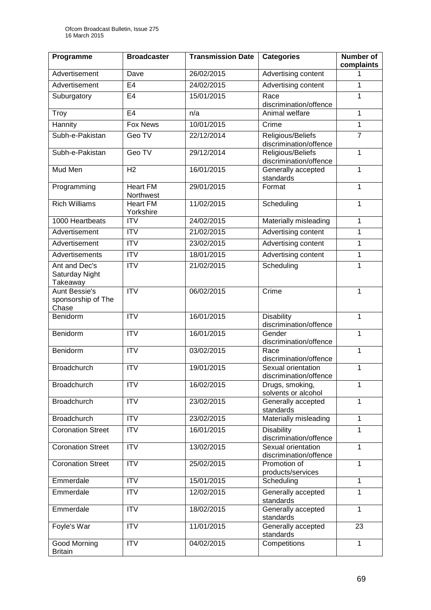| Programme                                           | <b>Broadcaster</b>           | <b>Transmission Date</b> | <b>Categories</b>                            | <b>Number of</b><br>complaints |
|-----------------------------------------------------|------------------------------|--------------------------|----------------------------------------------|--------------------------------|
| Advertisement                                       | Dave                         | 26/02/2015               | Advertising content                          | 1                              |
| Advertisement                                       | E <sub>4</sub>               | 24/02/2015               | Advertising content                          | 1                              |
| Suburgatory                                         | E <sub>4</sub>               | 15/01/2015               | Race<br>discrimination/offence               | $\mathbf{1}$                   |
| Troy                                                | E <sub>4</sub>               | n/a                      | Animal welfare                               | 1                              |
| Hannity                                             | <b>Fox News</b>              | 10/01/2015               | Crime                                        | 1                              |
| Subh-e-Pakistan                                     | Geo TV                       | 22/12/2014               | Religious/Beliefs<br>discrimination/offence  | $\overline{7}$                 |
| Subh-e-Pakistan                                     | Geo TV                       | 29/12/2014               | Religious/Beliefs<br>discrimination/offence  | 1                              |
| Mud Men                                             | H <sub>2</sub>               | 16/01/2015               | Generally accepted<br>standards              | 1                              |
| Programming                                         | <b>Heart FM</b><br>Northwest | 29/01/2015               | Format                                       | $\mathbf{1}$                   |
| <b>Rich Williams</b>                                | <b>Heart FM</b><br>Yorkshire | 11/02/2015               | Scheduling                                   | 1                              |
| 1000 Heartbeats                                     | <b>ITV</b>                   | 24/02/2015               | Materially misleading                        | 1                              |
| Advertisement                                       | $\overline{\text{IV}}$       | 21/02/2015               | Advertising content                          | 1                              |
| Advertisement                                       | <b>ITV</b>                   | 23/02/2015               | <b>Advertising content</b>                   | 1                              |
| Advertisements                                      | <b>ITV</b>                   | 18/01/2015               | Advertising content                          | 1                              |
| Ant and Dec's<br>Saturday Night<br>Takeaway         | <b>ITV</b>                   | 21/02/2015               | Scheduling                                   | 1                              |
| <b>Aunt Bessie's</b><br>sponsorship of The<br>Chase | $\overline{ITV}$             | 06/02/2015               | Crime                                        | $\mathbf{1}$                   |
| Benidorm                                            | <b>ITV</b>                   | 16/01/2015               | <b>Disability</b><br>discrimination/offence  | 1                              |
| Benidorm                                            | $\overline{ITV}$             | 16/01/2015               | Gender<br>discrimination/offence             | 1                              |
| Benidorm                                            | <b>ITV</b>                   | 03/02/2015               | Race<br>discrimination/offence               | 1                              |
| <b>Broadchurch</b>                                  | <b>ITV</b>                   | 19/01/2015               | Sexual orientation<br>discrimination/offence | 1                              |
| <b>Broadchurch</b>                                  | <b>ITV</b>                   | 16/02/2015               | Drugs, smoking,<br>solvents or alcohol       | 1                              |
| <b>Broadchurch</b>                                  | <b>ITV</b>                   | 23/02/2015               | Generally accepted<br>standards              | 1                              |
| Broadchurch                                         | <b>ITV</b>                   | 23/02/2015               | Materially misleading                        | 1                              |
| <b>Coronation Street</b>                            | <b>ITV</b>                   | 16/01/2015               | <b>Disability</b><br>discrimination/offence  | 1                              |
| <b>Coronation Street</b>                            | <b>ITV</b>                   | 13/02/2015               | Sexual orientation<br>discrimination/offence | 1                              |
| <b>Coronation Street</b>                            | <b>ITV</b>                   | 25/02/2015               | Promotion of<br>products/services            | $\mathbf{1}$                   |
| Emmerdale                                           | <b>ITV</b>                   | 15/01/2015               | Scheduling                                   | $\mathbf{1}$                   |
| Emmerdale                                           | <b>ITV</b>                   | 12/02/2015               | Generally accepted<br>standards              | $\mathbf{1}$                   |
| Emmerdale                                           | <b>ITV</b>                   | 18/02/2015               | Generally accepted<br>standards              | $\mathbf{1}$                   |
| Foyle's War                                         | <b>ITV</b>                   | 11/01/2015               | Generally accepted<br>standards              | 23                             |
| Good Morning<br><b>Britain</b>                      | <b>ITV</b>                   | 04/02/2015               | Competitions                                 | $\mathbf{1}$                   |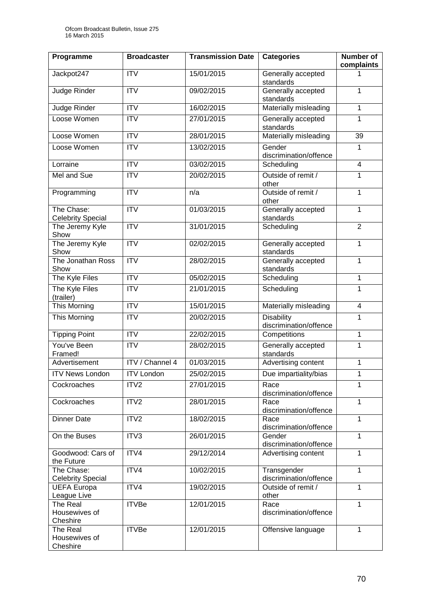| Programme                              | <b>Broadcaster</b>      | <b>Transmission Date</b> | <b>Categories</b>                           | Number of<br>complaints |
|----------------------------------------|-------------------------|--------------------------|---------------------------------------------|-------------------------|
| Jackpot247                             | <b>ITV</b>              | 15/01/2015               | Generally accepted<br>standards             | 1                       |
| Judge Rinder                           | <b>ITV</b>              | 09/02/2015               | Generally accepted<br>standards             | 1                       |
| Judge Rinder                           | <b>ITV</b>              | 16/02/2015               | Materially misleading                       | 1                       |
| Loose Women                            | <b>ITV</b>              | 27/01/2015               | Generally accepted<br>standards             | 1                       |
| Loose Women                            | $\overline{IV}$         | 28/01/2015               | Materially misleading                       | 39                      |
| Loose Women                            | <b>ITV</b>              | 13/02/2015               | Gender<br>discrimination/offence            | $\mathbf{1}$            |
| Lorraine                               | <b>ITV</b>              | 03/02/2015               | Scheduling                                  | 4                       |
| Mel and Sue                            | <b>ITV</b>              | 20/02/2015               | Outside of remit /<br>other                 | 1                       |
| Programming                            | <b>ITV</b>              | n/a                      | Outside of remit /<br>other                 | 1                       |
| The Chase:<br><b>Celebrity Special</b> | $\overline{IV}$         | 01/03/2015               | Generally accepted<br>standards             | $\overline{1}$          |
| The Jeremy Kyle<br>Show                | <b>ITV</b>              | 31/01/2015               | Scheduling                                  | $\overline{2}$          |
| The Jeremy Kyle<br>Show                | $\overline{ITV}$        | 02/02/2015               | Generally accepted<br>standards             | $\mathbf{1}$            |
| The Jonathan Ross<br>Show              | $\overline{IV}$         | 28/02/2015               | Generally accepted<br>standards             | $\mathbf{1}$            |
| The Kyle Files                         | <b>ITV</b>              | 05/02/2015               | Scheduling                                  | $\mathbf{1}$            |
| The Kyle Files<br>(trailer)            | $\overline{\text{ITV}}$ | 21/01/2015               | Scheduling                                  | $\mathbf{1}$            |
| This Morning                           | <b>ITV</b>              | 15/01/2015               | Materially misleading                       | 4                       |
| This Morning                           | <b>ITV</b>              | 20/02/2015               | <b>Disability</b><br>discrimination/offence | $\mathbf{1}$            |
| <b>Tipping Point</b>                   | <b>ITV</b>              | 22/02/2015               | Competitions                                | $\mathbf{1}$            |
| You've Been<br>Framed!                 | $\overline{IV}$         | 28/02/2015               | Generally accepted<br>standards             | $\overline{1}$          |
| Advertisement                          | ITV / Channel 4         | 01/03/2015               | Advertising content                         | $\mathbf{1}$            |
| <b>ITV News London</b>                 | <b>ITV London</b>       | 25/02/2015               | Due impartiality/bias                       | 1                       |
| Cockroaches                            | ITV <sub>2</sub>        | 27/01/2015               | Race<br>discrimination/offence              | 1                       |
| Cockroaches                            | ITV2                    | 28/01/2015               | Race<br>discrimination/offence              | 1                       |
| <b>Dinner Date</b>                     | ITV2                    | 18/02/2015               | Race<br>discrimination/offence              | 1                       |
| On the Buses                           | ITV3                    | 26/01/2015               | Gender<br>discrimination/offence            | $\mathbf{1}$            |
| Goodwood: Cars of<br>the Future        | ITV4                    | 29/12/2014               | Advertising content                         | $\mathbf{1}$            |
| The Chase:<br><b>Celebrity Special</b> | ITV4                    | 10/02/2015               | Transgender<br>discrimination/offence       | $\mathbf{1}$            |
| <b>UEFA Europa</b><br>League Live      | ITV4                    | 19/02/2015               | Outside of remit /<br>other                 | $\mathbf{1}$            |
| The Real                               | <b>ITVBe</b>            | 12/01/2015               | Race                                        | $\mathbf{1}$            |
| Housewives of<br>Cheshire              |                         |                          | discrimination/offence                      |                         |
| The Real<br>Housewives of<br>Cheshire  | <b>ITVBe</b>            | 12/01/2015               | Offensive language                          | $\mathbf{1}$            |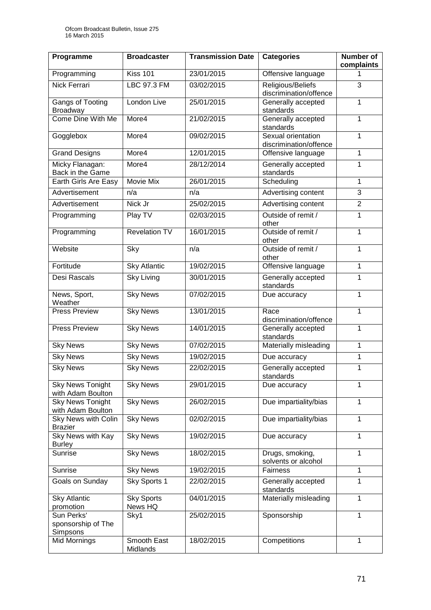| Programme                                    | <b>Broadcaster</b>           | <b>Transmission Date</b> | <b>Categories</b>                            | <b>Number of</b><br>complaints |
|----------------------------------------------|------------------------------|--------------------------|----------------------------------------------|--------------------------------|
| Programming                                  | <b>Kiss 101</b>              | 23/01/2015               | Offensive language                           |                                |
| <b>Nick Ferrari</b>                          | <b>LBC 97.3 FM</b>           | 03/02/2015               | Religious/Beliefs<br>discrimination/offence  | 3                              |
| <b>Gangs of Tooting</b><br><b>Broadway</b>   | <b>London Live</b>           | 25/01/2015               | Generally accepted<br>standards              | 1                              |
| Come Dine With Me                            | More4                        | 21/02/2015               | Generally accepted<br>standards              | 1                              |
| Gogglebox                                    | More4                        | 09/02/2015               | Sexual orientation<br>discrimination/offence | 1                              |
| <b>Grand Designs</b>                         | More4                        | 12/01/2015               | Offensive language                           | 1                              |
| Micky Flanagan:<br>Back in the Game          | More4                        | 28/12/2014               | Generally accepted<br>standards              | 1                              |
| Earth Girls Are Easy                         | <b>Movie Mix</b>             | 26/01/2015               | Scheduling                                   | 1                              |
| Advertisement                                | n/a                          | n/a                      | Advertising content                          | 3                              |
| Advertisement                                | Nick Jr                      | 25/02/2015               | Advertising content                          | $\overline{2}$                 |
| Programming                                  | Play TV                      | 02/03/2015               | Outside of remit /<br>other                  | 1                              |
| Programming                                  | <b>Revelation TV</b>         | 16/01/2015               | Outside of remit /<br>other                  | $\mathbf 1$                    |
| Website                                      | Sky                          | n/a                      | Outside of remit /<br>other                  | 1                              |
| Fortitude                                    | <b>Sky Atlantic</b>          | 19/02/2015               | Offensive language                           | 1                              |
| Desi Rascals                                 | <b>Sky Living</b>            | 30/01/2015               | Generally accepted<br>standards              | 1                              |
| News, Sport,<br>Weather                      | <b>Sky News</b>              | 07/02/2015               | Due accuracy                                 | 1                              |
| Press Preview                                | <b>Sky News</b>              | 13/01/2015               | Race<br>discrimination/offence               | 1                              |
| <b>Press Preview</b>                         | <b>Sky News</b>              | 14/01/2015               | Generally accepted<br>standards              | 1                              |
| <b>Sky News</b>                              | <b>Sky News</b>              | 07/02/2015               | Materially misleading                        | 1                              |
| <b>Sky News</b>                              | <b>Sky News</b>              | 19/02/2015               | Due accuracy                                 | 1                              |
| <b>Sky News</b>                              | <b>Sky News</b>              | 22/02/2015               | Generally accepted<br>standards              | 1                              |
| <b>Sky News Tonight</b><br>with Adam Boulton | <b>Sky News</b>              | 29/01/2015               | Due accuracy                                 | 1                              |
| <b>Sky News Tonight</b><br>with Adam Boulton | <b>Sky News</b>              | 26/02/2015               | Due impartiality/bias                        | 1                              |
| Sky News with Colin<br><b>Brazier</b>        | <b>Sky News</b>              | 02/02/2015               | Due impartiality/bias                        | 1                              |
| Sky News with Kay<br><b>Burley</b>           | <b>Sky News</b>              | 19/02/2015               | Due accuracy                                 | 1                              |
| Sunrise                                      | <b>Sky News</b>              | 18/02/2015               | Drugs, smoking,<br>solvents or alcohol       | 1                              |
| Sunrise                                      | <b>Sky News</b>              | 19/02/2015               | Fairness                                     | 1                              |
| Goals on Sunday                              | Sky Sports 1                 | 22/02/2015               | Generally accepted<br>standards              | 1                              |
| <b>Sky Atlantic</b><br>promotion             | <b>Sky Sports</b><br>News HQ | 04/01/2015               | Materially misleading                        | 1                              |
| Sun Perks'<br>sponsorship of The<br>Simpsons | Sky1                         | 25/02/2015               | Sponsorship                                  | 1                              |
| Mid Mornings                                 | Smooth East<br>Midlands      | 18/02/2015               | Competitions                                 | 1                              |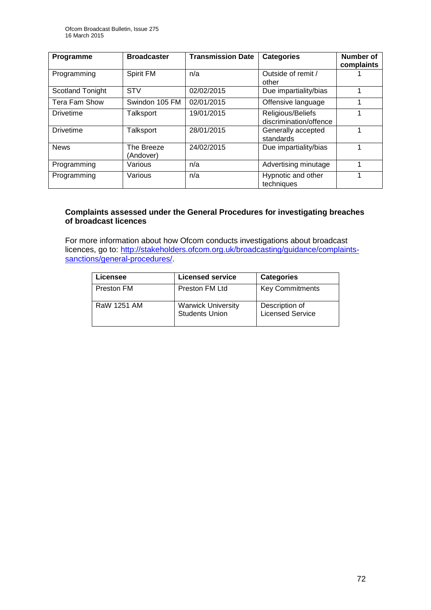| Programme        | <b>Broadcaster</b>      | <b>Transmission Date</b> | <b>Categories</b>                           | Number of<br>complaints |
|------------------|-------------------------|--------------------------|---------------------------------------------|-------------------------|
| Programming      | Spirit FM               | n/a                      | Outside of remit /<br>other                 |                         |
| Scotland Tonight | <b>STV</b>              | 02/02/2015               | Due impartiality/bias                       | 1                       |
| Tera Fam Show    | Swindon 105 FM          | 02/01/2015               | Offensive language                          |                         |
| <b>Drivetime</b> | Talksport               | 19/01/2015               | Religious/Beliefs<br>discrimination/offence |                         |
| <b>Drivetime</b> | Talksport               | 28/01/2015               | Generally accepted<br>standards             |                         |
| <b>News</b>      | The Breeze<br>(Andover) | 24/02/2015               | Due impartiality/bias                       |                         |
| Programming      | Various                 | n/a                      | Advertising minutage                        |                         |
| Programming      | Various                 | n/a                      | Hypnotic and other<br>techniques            | 1                       |

#### **Complaints assessed under the General Procedures for investigating breaches of broadcast licences**

For more information about how Ofcom conducts investigations about broadcast licences, go to: [http://stakeholders.ofcom.org.uk/broadcasting/guidance/complaints](http://stakeholders.ofcom.org.uk/broadcasting/guidance/complaints-sanctions/general-procedures/)[sanctions/general-procedures/.](http://stakeholders.ofcom.org.uk/broadcasting/guidance/complaints-sanctions/general-procedures/)

| Licensee    | <b>Licensed service</b>                            | <b>Categories</b>                         |
|-------------|----------------------------------------------------|-------------------------------------------|
| Preston FM  | Preston FM Ltd                                     | <b>Key Commitments</b>                    |
| RaW 1251 AM | <b>Warwick University</b><br><b>Students Union</b> | Description of<br><b>Licensed Service</b> |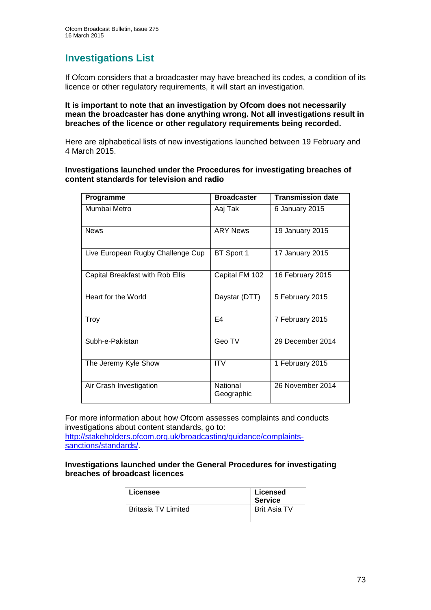## **Investigations List**

If Ofcom considers that a broadcaster may have breached its codes, a condition of its licence or other regulatory requirements, it will start an investigation.

## **It is important to note that an investigation by Ofcom does not necessarily mean the broadcaster has done anything wrong. Not all investigations result in breaches of the licence or other regulatory requirements being recorded.**

Here are alphabetical lists of new investigations launched between 19 February and 4 March 2015.

## **Investigations launched under the Procedures for investigating breaches of content standards for television and radio**

| Programme                         | <b>Broadcaster</b>     | <b>Transmission date</b> |
|-----------------------------------|------------------------|--------------------------|
| Mumbai Metro                      | Aaj Tak                | 6 January 2015           |
| <b>News</b>                       | <b>ARY News</b>        | 19 January 2015          |
| Live European Rugby Challenge Cup | BT Sport 1             | 17 January 2015          |
| Capital Breakfast with Rob Ellis  | Capital FM 102         | 16 February 2015         |
| Heart for the World               | Daystar (DTT)          | 5 February 2015          |
| Troy                              | E4                     | 7 February 2015          |
| Subh-e-Pakistan                   | Geo TV                 | 29 December 2014         |
| The Jeremy Kyle Show              | <b>ITV</b>             | 1 February 2015          |
| Air Crash Investigation           | National<br>Geographic | 26 November 2014         |

For more information about how Ofcom assesses complaints and conducts investigations about content standards, go to: [http://stakeholders.ofcom.org.uk/broadcasting/guidance/complaints](http://stakeholders.ofcom.org.uk/broadcasting/guidance/complaints-sanctions/standards/)[sanctions/standards/.](http://stakeholders.ofcom.org.uk/broadcasting/guidance/complaints-sanctions/standards/)

## **Investigations launched under the General Procedures for investigating breaches of broadcast licences**

| Licensee            | Licensed<br>Service |
|---------------------|---------------------|
| Britasia TV Limited | <b>Brit Asia TV</b> |